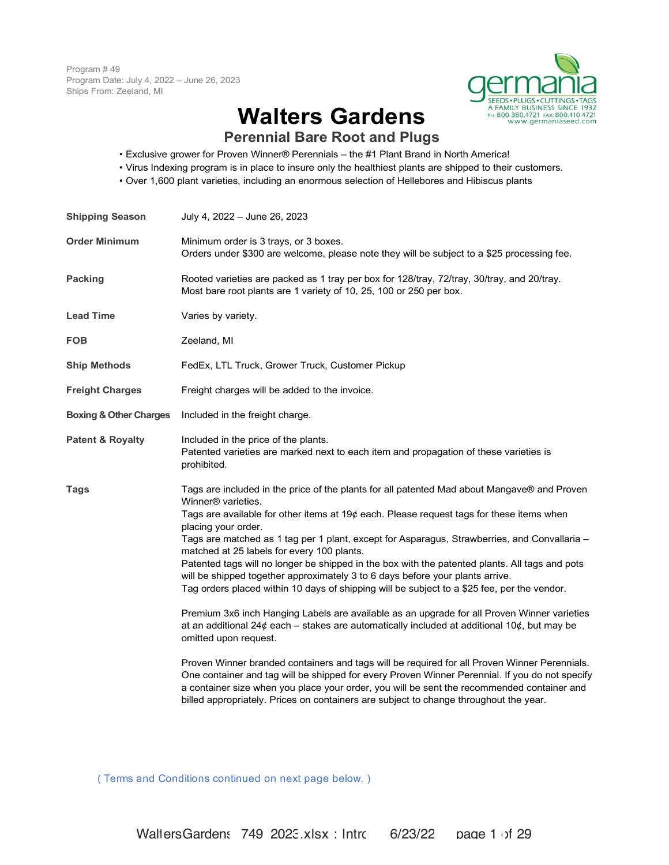Program # 49 Program Date: July 4, 2022 – June 26, 2023 Ships From: Zeeland, MI



# **Walters Gardens**

**Perennial Bare Root and Plugs**

- Exclusive grower for Proven Winner® Perennials the #1 Plant Brand in North America!
- Virus Indexing program is in place to insure only the healthiest plants are shipped to their customers.
- Over 1,600 plant varieties, including an enormous selection of Hellebores and Hibiscus plants

| <b>Shipping Season</b>            | July 4, 2022 - June 26, 2023                                                                                                                                                                                                                                                                                                                                                                                                                                                                                                                                                                                                                                                                                                                                                                                                                                                                                                                                                                                                                                                                                                                                                                                                                                                                     |
|-----------------------------------|--------------------------------------------------------------------------------------------------------------------------------------------------------------------------------------------------------------------------------------------------------------------------------------------------------------------------------------------------------------------------------------------------------------------------------------------------------------------------------------------------------------------------------------------------------------------------------------------------------------------------------------------------------------------------------------------------------------------------------------------------------------------------------------------------------------------------------------------------------------------------------------------------------------------------------------------------------------------------------------------------------------------------------------------------------------------------------------------------------------------------------------------------------------------------------------------------------------------------------------------------------------------------------------------------|
| <b>Order Minimum</b>              | Minimum order is 3 trays, or 3 boxes.<br>Orders under \$300 are welcome, please note they will be subject to a \$25 processing fee.                                                                                                                                                                                                                                                                                                                                                                                                                                                                                                                                                                                                                                                                                                                                                                                                                                                                                                                                                                                                                                                                                                                                                              |
| Packing                           | Rooted varieties are packed as 1 tray per box for 128/tray, 72/tray, 30/tray, and 20/tray.<br>Most bare root plants are 1 variety of 10, 25, 100 or 250 per box.                                                                                                                                                                                                                                                                                                                                                                                                                                                                                                                                                                                                                                                                                                                                                                                                                                                                                                                                                                                                                                                                                                                                 |
| <b>Lead Time</b>                  | Varies by variety.                                                                                                                                                                                                                                                                                                                                                                                                                                                                                                                                                                                                                                                                                                                                                                                                                                                                                                                                                                                                                                                                                                                                                                                                                                                                               |
| <b>FOB</b>                        | Zeeland, MI                                                                                                                                                                                                                                                                                                                                                                                                                                                                                                                                                                                                                                                                                                                                                                                                                                                                                                                                                                                                                                                                                                                                                                                                                                                                                      |
| <b>Ship Methods</b>               | FedEx, LTL Truck, Grower Truck, Customer Pickup                                                                                                                                                                                                                                                                                                                                                                                                                                                                                                                                                                                                                                                                                                                                                                                                                                                                                                                                                                                                                                                                                                                                                                                                                                                  |
| <b>Freight Charges</b>            | Freight charges will be added to the invoice.                                                                                                                                                                                                                                                                                                                                                                                                                                                                                                                                                                                                                                                                                                                                                                                                                                                                                                                                                                                                                                                                                                                                                                                                                                                    |
| <b>Boxing &amp; Other Charges</b> | Included in the freight charge.                                                                                                                                                                                                                                                                                                                                                                                                                                                                                                                                                                                                                                                                                                                                                                                                                                                                                                                                                                                                                                                                                                                                                                                                                                                                  |
| <b>Patent &amp; Royalty</b>       | Included in the price of the plants.<br>Patented varieties are marked next to each item and propagation of these varieties is<br>prohibited.                                                                                                                                                                                                                                                                                                                                                                                                                                                                                                                                                                                                                                                                                                                                                                                                                                                                                                                                                                                                                                                                                                                                                     |
| <b>Tags</b>                       | Tags are included in the price of the plants for all patented Mad about Mangave® and Proven<br>Winner <sup>®</sup> varieties.<br>Tags are available for other items at 19¢ each. Please request tags for these items when<br>placing your order.<br>Tags are matched as 1 tag per 1 plant, except for Asparagus, Strawberries, and Convallaria -<br>matched at 25 labels for every 100 plants.<br>Patented tags will no longer be shipped in the box with the patented plants. All tags and pots<br>will be shipped together approximately 3 to 6 days before your plants arrive.<br>Tag orders placed within 10 days of shipping will be subject to a \$25 fee, per the vendor.<br>Premium 3x6 inch Hanging Labels are available as an upgrade for all Proven Winner varieties<br>at an additional 24¢ each – stakes are automatically included at additional 10¢, but may be<br>omitted upon request.<br>Proven Winner branded containers and tags will be required for all Proven Winner Perennials.<br>One container and tag will be shipped for every Proven Winner Perennial. If you do not specify<br>a container size when you place your order, you will be sent the recommended container and<br>billed appropriately. Prices on containers are subject to change throughout the year. |

( Terms and Conditions continued on next page below. )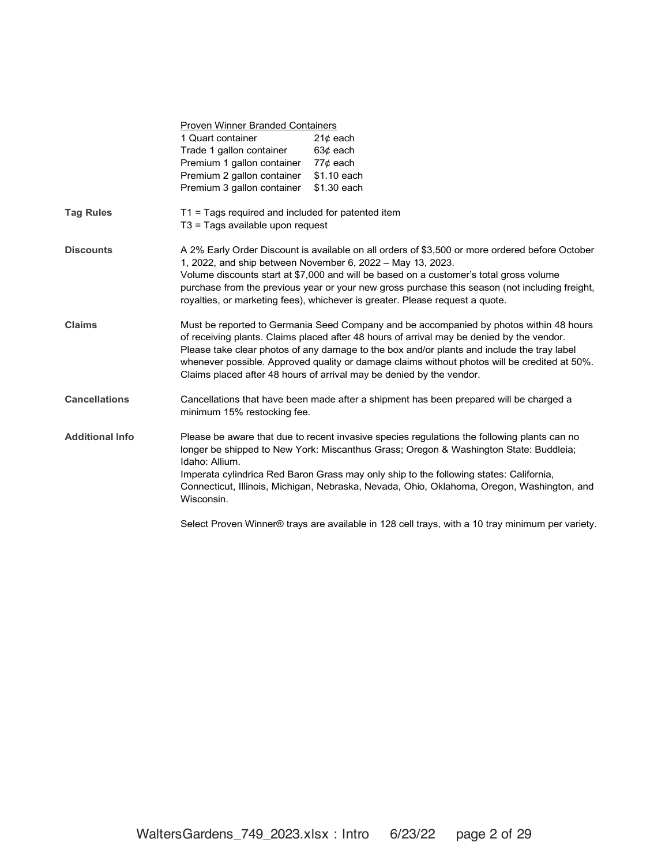|                        | Proven Winner Branded Containers<br>1 Quart container<br>Trade 1 gallon container<br>Premium 1 gallon container<br>Premium 2 gallon container<br>Premium 3 gallon container | $21¢$ each<br>$63¢$ each<br>77¢ each<br>\$1.10 each<br>\$1.30 each                                                                                                                                                                                                                                                                                                                                                                                        |  |  |  |  |  |  |  |
|------------------------|-----------------------------------------------------------------------------------------------------------------------------------------------------------------------------|-----------------------------------------------------------------------------------------------------------------------------------------------------------------------------------------------------------------------------------------------------------------------------------------------------------------------------------------------------------------------------------------------------------------------------------------------------------|--|--|--|--|--|--|--|
| <b>Tag Rules</b>       | T1 = Tags required and included for patented item<br>T3 = Tags available upon request                                                                                       |                                                                                                                                                                                                                                                                                                                                                                                                                                                           |  |  |  |  |  |  |  |
| <b>Discounts</b>       |                                                                                                                                                                             | A 2% Early Order Discount is available on all orders of \$3,500 or more ordered before October<br>1, 2022, and ship between November 6, 2022 - May 13, 2023.<br>Volume discounts start at \$7,000 and will be based on a customer's total gross volume<br>purchase from the previous year or your new gross purchase this season (not including freight,<br>royalties, or marketing fees), whichever is greater. Please request a quote.                  |  |  |  |  |  |  |  |
| <b>Claims</b>          |                                                                                                                                                                             | Must be reported to Germania Seed Company and be accompanied by photos within 48 hours<br>of receiving plants. Claims placed after 48 hours of arrival may be denied by the vendor.<br>Please take clear photos of any damage to the box and/or plants and include the tray label<br>whenever possible. Approved quality or damage claims without photos will be credited at 50%.<br>Claims placed after 48 hours of arrival may be denied by the vendor. |  |  |  |  |  |  |  |
| <b>Cancellations</b>   | minimum 15% restocking fee.                                                                                                                                                 | Cancellations that have been made after a shipment has been prepared will be charged a                                                                                                                                                                                                                                                                                                                                                                    |  |  |  |  |  |  |  |
| <b>Additional Info</b> | Idaho: Allium.<br>Wisconsin.                                                                                                                                                | Please be aware that due to recent invasive species regulations the following plants can no<br>longer be shipped to New York: Miscanthus Grass; Oregon & Washington State: Buddleia;<br>Imperata cylindrica Red Baron Grass may only ship to the following states: California,<br>Connecticut, Illinois, Michigan, Nebraska, Nevada, Ohio, Oklahoma, Oregon, Washington, and                                                                              |  |  |  |  |  |  |  |
|                        |                                                                                                                                                                             | $\Omega$ . It is the constant of the constant of the state of the state of the state of the constant of the constant of the constant of the constant of the constant of the constant of the constant of the constant of the const                                                                                                                                                                                                                         |  |  |  |  |  |  |  |

Select Proven Winner® trays are available in 128 cell trays, with a 10 tray minimum per variety.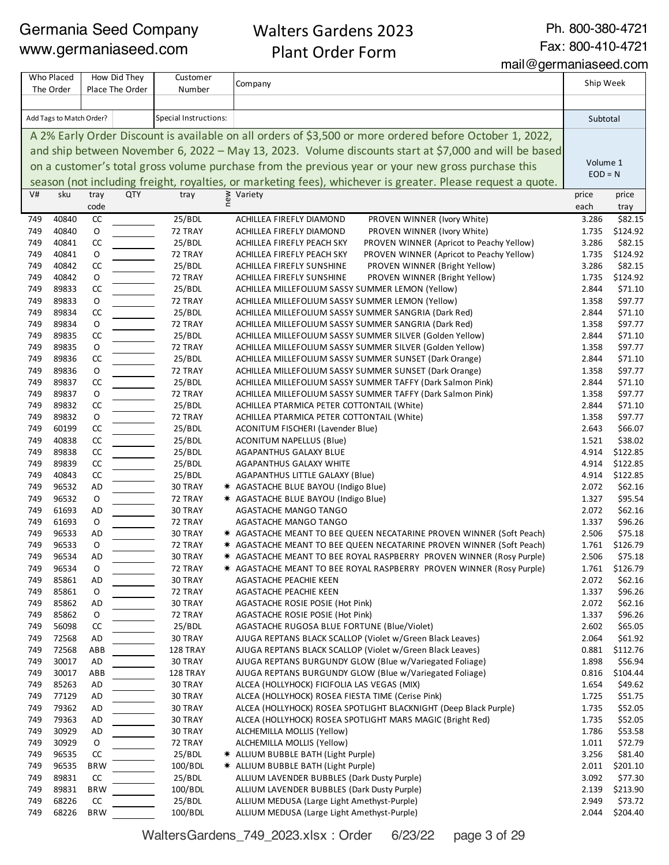Walters Gardens 2023 Plant Order Form

Ph. 800-380-4721 Fax: 800-410-4721

mail@germaniaseed.com

|            | Who Placed<br>The Order  |                   | How Did They<br>Place The Order | Customer<br>Number    | Company                                                                                                                | Ship Week      |                      |
|------------|--------------------------|-------------------|---------------------------------|-----------------------|------------------------------------------------------------------------------------------------------------------------|----------------|----------------------|
|            |                          |                   |                                 |                       |                                                                                                                        |                |                      |
|            | Add Tags to Match Order? |                   |                                 | Special Instructions: |                                                                                                                        | Subtotal       |                      |
|            |                          |                   |                                 |                       | A 2% Early Order Discount is available on all orders of \$3,500 or more ordered before October 1, 2022,                |                |                      |
|            |                          |                   |                                 |                       | and ship between November 6, 2022 - May 13, 2023. Volume discounts start at \$7,000 and will be based                  |                |                      |
|            |                          |                   |                                 |                       | on a customer's total gross volume purchase from the previous year or your new gross purchase this                     | Volume 1       |                      |
|            |                          |                   |                                 |                       |                                                                                                                        | $EOD = N$      |                      |
| V#         | sku                      | tray              | <b>QTY</b>                      | tray                  | season (not including freight, royalties, or marketing fees), whichever is greater. Please request a quote.            | price          | price                |
|            |                          | code              |                                 |                       | ≥ Variety<br>E                                                                                                         | each           | tray                 |
| 749        | 40840                    | CC                |                                 | 25/BDL                | PROVEN WINNER (Ivory White)<br>ACHILLEA FIREFLY DIAMOND                                                                | 3.286          | \$82.15              |
| 749        | 40840                    | $\mathsf O$       |                                 | 72 TRAY               | ACHILLEA FIREFLY DIAMOND<br>PROVEN WINNER (Ivory White)                                                                | 1.735          | \$124.92             |
| 749        | 40841                    | CC                |                                 | 25/BDL                | PROVEN WINNER (Apricot to Peachy Yellow)<br>ACHILLEA FIREFLY PEACH SKY                                                 | 3.286          | \$82.15              |
| 749        | 40841                    | O                 |                                 | 72 TRAY               | PROVEN WINNER (Apricot to Peachy Yellow)<br>ACHILLEA FIREFLY PEACH SKY                                                 | 1.735          | \$124.92             |
| 749        | 40842                    | CC                |                                 | 25/BDL                | PROVEN WINNER (Bright Yellow)<br>ACHILLEA FIREFLY SUNSHINE                                                             | 3.286          | \$82.15              |
| 749<br>749 | 40842<br>89833           | $\mathsf O$<br>CC |                                 | 72 TRAY               | PROVEN WINNER (Bright Yellow)<br>ACHILLEA FIREFLY SUNSHINE<br>ACHILLEA MILLEFOLIUM SASSY SUMMER LEMON (Yellow)         | 1.735<br>2.844 | \$124.92<br>\$71.10  |
| 749        | 89833                    | O                 |                                 | 25/BDL<br>72 TRAY     | ACHILLEA MILLEFOLIUM SASSY SUMMER LEMON (Yellow)                                                                       | 1.358          | \$97.77              |
| 749        | 89834                    | CC                |                                 | 25/BDL                | ACHILLEA MILLEFOLIUM SASSY SUMMER SANGRIA (Dark Red)                                                                   | 2.844          | \$71.10              |
| 749        | 89834                    | O                 |                                 | 72 TRAY               | ACHILLEA MILLEFOLIUM SASSY SUMMER SANGRIA (Dark Red)                                                                   | 1.358          | \$97.77              |
| 749        | 89835                    | CC                |                                 | 25/BDL                | ACHILLEA MILLEFOLIUM SASSY SUMMER SILVER (Golden Yellow)                                                               | 2.844          | \$71.10              |
| 749        | 89835                    | O                 |                                 | 72 TRAY               | ACHILLEA MILLEFOLIUM SASSY SUMMER SILVER (Golden Yellow)                                                               | 1.358          | \$97.77              |
| 749        | 89836                    | CC                |                                 | 25/BDL                | ACHILLEA MILLEFOLIUM SASSY SUMMER SUNSET (Dark Orange)                                                                 | 2.844          | \$71.10              |
| 749        | 89836                    | O                 |                                 | 72 TRAY               | ACHILLEA MILLEFOLIUM SASSY SUMMER SUNSET (Dark Orange)                                                                 | 1.358          | \$97.77              |
| 749        | 89837                    | CC                |                                 | 25/BDL                | ACHILLEA MILLEFOLIUM SASSY SUMMER TAFFY (Dark Salmon Pink)                                                             | 2.844          | \$71.10              |
| 749        | 89837                    | $\mathsf O$       |                                 | 72 TRAY               | ACHILLEA MILLEFOLIUM SASSY SUMMER TAFFY (Dark Salmon Pink)                                                             | 1.358          | \$97.77              |
| 749        | 89832                    | CC                |                                 | 25/BDL                | ACHILLEA PTARMICA PETER COTTONTAIL (White)                                                                             | 2.844          | \$71.10              |
| 749        | 89832                    | O                 |                                 | 72 TRAY               | ACHILLEA PTARMICA PETER COTTONTAIL (White)                                                                             | 1.358          | \$97.77              |
| 749        | 60199                    | CC                |                                 | 25/BDL                | ACONITUM FISCHERI (Lavender Blue)                                                                                      | 2.643          | \$66.07              |
| 749        | 40838                    | CC                |                                 | 25/BDL                | <b>ACONITUM NAPELLUS (Blue)</b>                                                                                        | 1.521          | \$38.02              |
| 749        | 89838                    | CC                |                                 | 25/BDL                | AGAPANTHUS GALAXY BLUE                                                                                                 | 4.914          | \$122.85             |
| 749<br>749 | 89839<br>40843           | CC<br>CC          |                                 | 25/BDL                | <b>AGAPANTHUS GALAXY WHITE</b>                                                                                         | 4.914          | \$122.85<br>\$122.85 |
| 749        | 96532                    | AD                |                                 | 25/BDL<br>30 TRAY     | AGAPANTHUS LITTLE GALAXY (Blue)<br>* AGASTACHE BLUE BAYOU (Indigo Blue)                                                | 4.914<br>2.072 | \$62.16              |
| 749        | 96532                    | $\mathsf O$       |                                 | 72 TRAY               | * AGASTACHE BLUE BAYOU (Indigo Blue)                                                                                   | 1.327          | \$95.54              |
| 749        | 61693                    | <b>AD</b>         |                                 | 30 TRAY               | AGASTACHE MANGO TANGO                                                                                                  | 2.072          | \$62.16              |
| 749        | 61693                    | O                 |                                 | 72 TRAY               | <b>AGASTACHE MANGO TANGO</b>                                                                                           | 1.337          | \$96.26              |
| 749        | 96533                    | <b>AD</b>         |                                 | 30 TRAY               | * AGASTACHE MEANT TO BEE QUEEN NECATARINE PROVEN WINNER (Soft Peach)                                                   | 2.506          | \$75.18              |
| 749        | 96533                    | O                 |                                 | 72 TRAY               | * AGASTACHE MEANT TO BEE QUEEN NECATARINE PROVEN WINNER (Soft Peach)                                                   | 1.761          | \$126.79             |
| 749        | 96534                    | <b>AD</b>         |                                 | 30 TRAY               | * AGASTACHE MEANT TO BEE ROYAL RASPBERRY PROVEN WINNER (Rosy Purple)                                                   | 2.506          | \$75.18              |
| 749        | 96534                    | O                 |                                 | 72 TRAY               | * AGASTACHE MEANT TO BEE ROYAL RASPBERRY PROVEN WINNER (Rosy Purple)                                                   | 1.761          | \$126.79             |
| 749        | 85861                    | AD                |                                 | 30 TRAY               | AGASTACHE PEACHIE KEEN                                                                                                 | 2.072          | \$62.16              |
| 749        | 85861                    | O                 |                                 | 72 TRAY               | AGASTACHE PEACHIE KEEN                                                                                                 | 1.337          | \$96.26              |
| 749        | 85862                    | AD                |                                 | 30 TRAY               | AGASTACHE ROSIE POSIE (Hot Pink)                                                                                       | 2.072          | \$62.16              |
| 749        | 85862                    | 0                 |                                 | 72 TRAY               | AGASTACHE ROSIE POSIE (Hot Pink)                                                                                       | 1.337          | \$96.26              |
| 749        | 56098                    | CC                |                                 | 25/BDL                | AGASTACHE RUGOSA BLUE FORTUNE (Blue/Violet)                                                                            | 2.602          | \$65.05              |
| 749        | 72568<br>72568           | AD<br>ABB         |                                 | 30 TRAY               | AJUGA REPTANS BLACK SCALLOP (Violet w/Green Black Leaves)<br>AJUGA REPTANS BLACK SCALLOP (Violet w/Green Black Leaves) | 2.064<br>0.881 | \$61.92<br>\$112.76  |
| 749<br>749 | 30017                    | AD                |                                 | 128 TRAY<br>30 TRAY   | AJUGA REPTANS BURGUNDY GLOW (Blue w/Variegated Foliage)                                                                | 1.898          | \$56.94              |
| 749        | 30017                    | ABB               |                                 | 128 TRAY              | AJUGA REPTANS BURGUNDY GLOW (Blue w/Variegated Foliage)                                                                | 0.816          | \$104.44             |
| 749        | 85263                    | AD                |                                 | 30 TRAY               | ALCEA (HOLLYHOCK) FICIFOLIA LAS VEGAS (MIX)                                                                            | 1.654          | \$49.62              |
| 749        | 77129                    | AD                |                                 | 30 TRAY               | ALCEA (HOLLYHOCK) ROSEA FIESTA TIME (Cerise Pink)                                                                      | 1.725          | \$51.75              |
| 749        | 79362                    | AD                |                                 | 30 TRAY               | ALCEA (HOLLYHOCK) ROSEA SPOTLIGHT BLACKNIGHT (Deep Black Purple)                                                       | 1.735          | \$52.05              |
| 749        | 79363                    | AD                |                                 | 30 TRAY               | ALCEA (HOLLYHOCK) ROSEA SPOTLIGHT MARS MAGIC (Bright Red)                                                              | 1.735          | \$52.05              |
| 749        | 30929                    | AD                |                                 | 30 TRAY               | ALCHEMILLA MOLLIS (Yellow)                                                                                             | 1.786          | \$53.58              |
| 749        | 30929                    | O                 |                                 | 72 TRAY               | ALCHEMILLA MOLLIS (Yellow)                                                                                             | 1.011          | \$72.79              |
| 749        | 96535                    | CC                |                                 | 25/BDL                | * ALLIUM BUBBLE BATH (Light Purple)                                                                                    | 3.256          | \$81.40              |
| 749        | 96535                    | <b>BRW</b>        |                                 | 100/BDL               | * ALLIUM BUBBLE BATH (Light Purple)                                                                                    | 2.011          | \$201.10             |
| 749        | 89831                    | CC                |                                 | 25/BDL                | ALLIUM LAVENDER BUBBLES (Dark Dusty Purple)                                                                            | 3.092          | \$77.30              |
| 749        | 89831                    | <b>BRW</b>        |                                 | 100/BDL               | ALLIUM LAVENDER BUBBLES (Dark Dusty Purple)                                                                            | 2.139          | \$213.90             |
| 749        | 68226                    | CC                |                                 | 25/BDL                | ALLIUM MEDUSA (Large Light Amethyst-Purple)                                                                            | 2.949          | \$73.72              |
| 749        | 68226                    | <b>BRW</b>        |                                 | 100/BDL               | ALLIUM MEDUSA (Large Light Amethyst-Purple)                                                                            | 2.044          | \$204.40             |

WaltersGardens\_749\_2023.xlsx : Order 6/23/22 page 3 of 29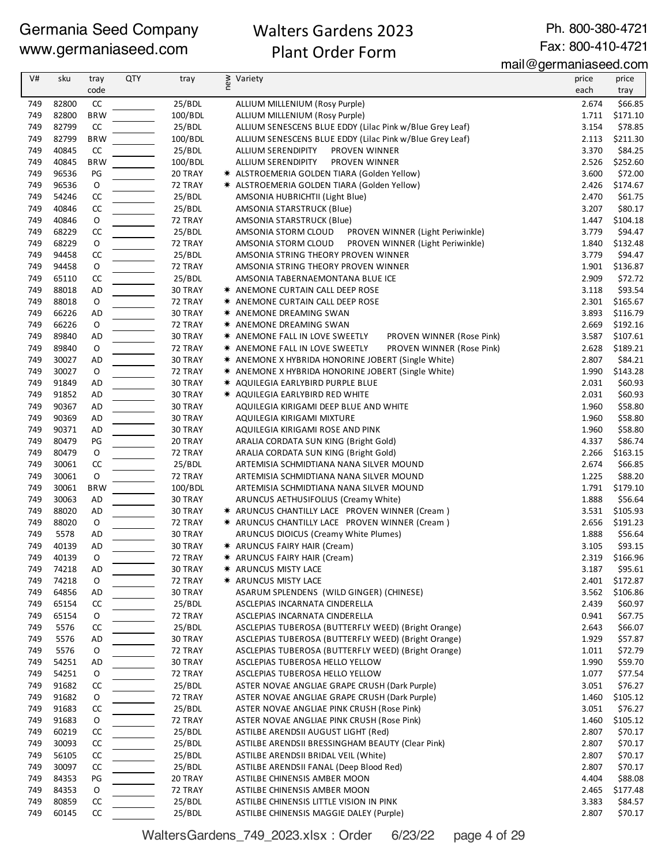## Walters Gardens 2023 Plant Order Form

Ph. 800-380-4721 Fax: 800-410-4721

mail@germaniaseed.com

| V#         | sku            | tray<br>code      | <b>QTY</b> | tray               | ≥ Variety<br>E                                                                              | price<br>each  | price<br>tray        |
|------------|----------------|-------------------|------------|--------------------|---------------------------------------------------------------------------------------------|----------------|----------------------|
| 749        | 82800          | CC                |            | 25/BDL             | ALLIUM MILLENIUM (Rosy Purple)                                                              | 2.674          | \$66.85              |
| 749        | 82800          | <b>BRW</b>        |            | 100/BDL            | ALLIUM MILLENIUM (Rosy Purple)                                                              | 1.711          | \$171.10             |
| 749        | 82799          | CC                |            | 25/BDL             | ALLIUM SENESCENS BLUE EDDY (Lilac Pink w/Blue Grey Leaf)                                    | 3.154          | \$78.85              |
| 749        | 82799          | <b>BRW</b>        |            | 100/BDL            | ALLIUM SENESCENS BLUE EDDY (Lilac Pink w/Blue Grey Leaf)                                    | 2.113          | \$211.30             |
| 749        | 40845          | CC                |            | 25/BDL             | <b>ALLIUM SERENDIPITY</b><br>PROVEN WINNER                                                  | 3.370          | \$84.25              |
| 749        | 40845          | <b>BRW</b>        |            | 100/BDL            | PROVEN WINNER<br>ALLIUM SERENDIPITY                                                         | 2.526          | \$252.60             |
| 749        | 96536          | PG                |            | 20 TRAY            | * ALSTROEMERIA GOLDEN TIARA (Golden Yellow)                                                 | 3.600          | \$72.00<br>\$174.67  |
| 749<br>749 | 96536<br>54246 | $\mathsf O$<br>CC |            | 72 TRAY<br>25/BDL  | * ALSTROEMERIA GOLDEN TIARA (Golden Yellow)<br>AMSONIA HUBRICHTII (Light Blue)              | 2.426<br>2.470 | \$61.75              |
| 749        | 40846          | CC                |            | 25/BDL             | AMSONIA STARSTRUCK (Blue)                                                                   | 3.207          | \$80.17              |
| 749        | 40846          | $\mathsf O$       |            | 72 TRAY            | AMSONIA STARSTRUCK (Blue)                                                                   | 1.447          | \$104.18             |
| 749        | 68229          | CC                |            | 25/BDL             | AMSONIA STORM CLOUD<br>PROVEN WINNER (Light Periwinkle)                                     | 3.779          | \$94.47              |
| 749        | 68229          | O                 |            | 72 TRAY            | PROVEN WINNER (Light Periwinkle)<br>AMSONIA STORM CLOUD                                     | 1.840          | \$132.48             |
| 749        | 94458          | CC                |            | 25/BDL             | AMSONIA STRING THEORY PROVEN WINNER                                                         | 3.779          | \$94.47              |
| 749        | 94458          | $\mathsf O$       |            | 72 TRAY            | AMSONIA STRING THEORY PROVEN WINNER                                                         | 1.901          | \$136.87             |
| 749        | 65110          | CC                |            | 25/BDL             | AMSONIA TABERNAEMONTANA BLUE ICE                                                            | 2.909          | \$72.72              |
| 749        | 88018          | <b>AD</b>         |            | 30 TRAY            | * ANEMONE CURTAIN CALL DEEP ROSE                                                            | 3.118          | \$93.54              |
| 749<br>749 | 88018<br>66226 | O<br><b>AD</b>    |            | 72 TRAY<br>30 TRAY | * ANEMONE CURTAIN CALL DEEP ROSE<br>* ANEMONE DREAMING SWAN                                 | 2.301<br>3.893 | \$165.67<br>\$116.79 |
| 749        | 66226          | $\mathsf O$       |            | 72 TRAY            | * ANEMONE DREAMING SWAN                                                                     | 2.669          | \$192.16             |
| 749        | 89840          | AD                |            | 30 TRAY            | * ANEMONE FALL IN LOVE SWEETLY<br>PROVEN WINNER (Rose Pink)                                 | 3.587          | \$107.61             |
| 749        | 89840          | $\mathsf O$       |            | 72 TRAY            | PROVEN WINNER (Rose Pink)<br><b>★ ANEMONE FALL IN LOVE SWEETLY</b>                          | 2.628          | \$189.21             |
| 749        | 30027          | AD                |            | 30 TRAY            | * ANEMONE X HYBRIDA HONORINE JOBERT (Single White)                                          | 2.807          | \$84.21              |
| 749        | 30027          | O                 |            | 72 TRAY            | * ANEMONE X HYBRIDA HONORINE JOBERT (Single White)                                          | 1.990          | \$143.28             |
| 749        | 91849          | <b>AD</b>         |            | 30 TRAY            | * AQUILEGIA EARLYBIRD PURPLE BLUE                                                           | 2.031          | \$60.93              |
| 749        | 91852          | <b>AD</b>         |            | 30 TRAY            | * AQUILEGIA EARLYBIRD RED WHITE                                                             | 2.031          | \$60.93              |
| 749        | 90367          | AD                |            | 30 TRAY            | AQUILEGIA KIRIGAMI DEEP BLUE AND WHITE                                                      | 1.960          | \$58.80              |
| 749        | 90369          | AD                |            | 30 TRAY            | AQUILEGIA KIRIGAMI MIXTURE                                                                  | 1.960          | \$58.80              |
| 749<br>749 | 90371<br>80479 | AD<br>PG          |            | 30 TRAY<br>20 TRAY | AQUILEGIA KIRIGAMI ROSE AND PINK                                                            | 1.960<br>4.337 | \$58.80<br>\$86.74   |
| 749        | 80479          | O                 |            | 72 TRAY            | ARALIA CORDATA SUN KING (Bright Gold)<br>ARALIA CORDATA SUN KING (Bright Gold)              | 2.266          | \$163.15             |
| 749        | 30061          | CC                |            | 25/BDL             | ARTEMISIA SCHMIDTIANA NANA SILVER MOUND                                                     | 2.674          | \$66.85              |
| 749        | 30061          | $\mathsf O$       |            | 72 TRAY            | ARTEMISIA SCHMIDTIANA NANA SILVER MOUND                                                     | 1.225          | \$88.20              |
| 749        | 30061          | <b>BRW</b>        |            | 100/BDL            | ARTEMISIA SCHMIDTIANA NANA SILVER MOUND                                                     | 1.791          | \$179.10             |
| 749        | 30063          | AD                |            | 30 TRAY            | ARUNCUS AETHUSIFOLIUS (Creamy White)                                                        | 1.888          | \$56.64              |
| 749        | 88020          | <b>AD</b>         |            | 30 TRAY            | * ARUNCUS CHANTILLY LACE PROVEN WINNER (Cream)                                              | 3.531          | \$105.93             |
| 749        | 88020          | O                 |            | 72 TRAY            | * ARUNCUS CHANTILLY LACE PROVEN WINNER (Cream)                                              | 2.656          | \$191.23             |
| 749        | 5578           | AD                |            | 30 TRAY            | ARUNCUS DIOICUS (Creamy White Plumes)                                                       | 1.888          | \$56.64              |
| 749        | 40139          | AD                |            | 30 TRAY            | * ARUNCUS FAIRY HAIR (Cream)                                                                | 3.105          | \$93.15              |
| 749        | 40139          | O                 |            | 72 TRAY            | * ARUNCUS FAIRY HAIR (Cream)                                                                | 2.319          | \$166.96<br>\$95.61  |
| 749<br>749 | 74218<br>74218 | AD<br>O           |            | 30 TRAY<br>72 TRAY | <b>★ ARUNCUS MISTY LACE</b><br>* ARUNCUS MISTY LACE                                         | 3.187<br>2.401 | \$172.87             |
| 749        | 64856          | AD                |            | 30 TRAY            | ASARUM SPLENDENS (WILD GINGER) (CHINESE)                                                    | 3.562          | \$106.86             |
| 749        | 65154          | CC                |            | 25/BDL             | ASCLEPIAS INCARNATA CINDERELLA                                                              | 2.439          | \$60.97              |
| 749        | 65154          | 0                 |            | 72 TRAY            | ASCLEPIAS INCARNATA CINDERELLA                                                              | 0.941          | \$67.75              |
| 749        | 5576           | CC                |            | 25/BDL             | ASCLEPIAS TUBEROSA (BUTTERFLY WEED) (Bright Orange)                                         | 2.643          | \$66.07              |
| 749        | 5576           | AD                |            | 30 TRAY            | ASCLEPIAS TUBEROSA (BUTTERFLY WEED) (Bright Orange)                                         | 1.929          | \$57.87              |
| 749        | 5576           | 0                 |            | 72 TRAY            | ASCLEPIAS TUBEROSA (BUTTERFLY WEED) (Bright Orange)                                         | 1.011          | \$72.79              |
| 749        | 54251          | AD                |            | 30 TRAY            | ASCLEPIAS TUBEROSA HELLO YELLOW                                                             | 1.990          | \$59.70              |
| 749        | 54251          | 0                 |            | 72 TRAY            | ASCLEPIAS TUBEROSA HELLO YELLOW                                                             | 1.077          | \$77.54              |
| 749        | 91682          | CC                |            | 25/BDL             | ASTER NOVAE ANGLIAE GRAPE CRUSH (Dark Purple)                                               | 3.051          | \$76.27              |
| 749<br>749 | 91682<br>91683 | 0<br>CC           |            | 72 TRAY<br>25/BDL  | ASTER NOVAE ANGLIAE GRAPE CRUSH (Dark Purple)<br>ASTER NOVAE ANGLIAE PINK CRUSH (Rose Pink) | 1.460<br>3.051 | \$105.12<br>\$76.27  |
| 749        | 91683          | 0                 |            | 72 TRAY            | ASTER NOVAE ANGLIAE PINK CRUSH (Rose Pink)                                                  | 1.460          | \$105.12             |
| 749        | 60219          | CC                |            | 25/BDL             | ASTILBE ARENDSII AUGUST LIGHT (Red)                                                         | 2.807          | \$70.17              |
| 749        | 30093          | CC                |            | 25/BDL             | ASTILBE ARENDSII BRESSINGHAM BEAUTY (Clear Pink)                                            | 2.807          | \$70.17              |
| 749        | 56105          | CC                |            | 25/BDL             | ASTILBE ARENDSII BRIDAL VEIL (White)                                                        | 2.807          | \$70.17              |
| 749        | 30097          | CC                |            | 25/BDL             | ASTILBE ARENDSII FANAL (Deep Blood Red)                                                     | 2.807          | \$70.17              |
| 749        | 84353          | PG                |            | 20 TRAY            | ASTILBE CHINENSIS AMBER MOON                                                                | 4.404          | \$88.08              |
| 749        | 84353          | O                 |            | 72 TRAY            | ASTILBE CHINENSIS AMBER MOON                                                                | 2.465          | \$177.48             |
| 749        | 80859          | CC                |            | 25/BDL             | ASTILBE CHINENSIS LITTLE VISION IN PINK                                                     | 3.383          | \$84.57              |
| 749        | 60145          | CC                |            | 25/BDL             | ASTILBE CHINENSIS MAGGIE DALEY (Purple)                                                     | 2.807          | \$70.17              |

WaltersGardens\_749\_2023.xlsx : Order 6/23/22 page 4 of 29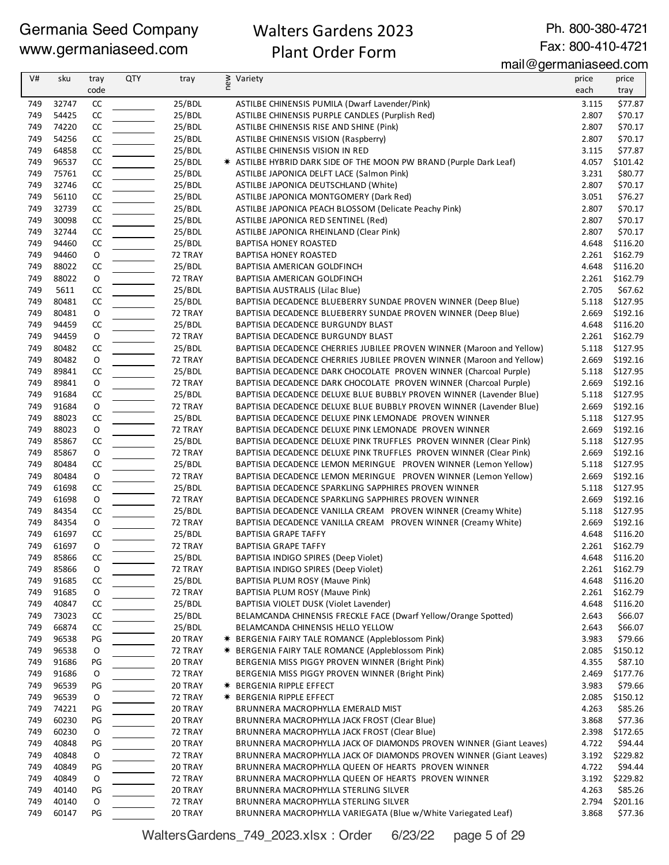## Walters Gardens 2023 Plant Order Form

Ph. 800-380-4721 Fax: 800-410-4721

mail@germaniaseed.com

| V#         | sku            | tray          | <b>QTY</b> | tray               | new<br>Variety                                                                         | price          | price               |
|------------|----------------|---------------|------------|--------------------|----------------------------------------------------------------------------------------|----------------|---------------------|
|            |                | code          |            |                    |                                                                                        | each           | tray                |
| 749        | 32747          | CC            |            | 25/BDL             | ASTILBE CHINENSIS PUMILA (Dwarf Lavender/Pink)                                         | 3.115          | \$77.87             |
| 749        | 54425          | CC            |            | 25/BDL             | ASTILBE CHINENSIS PURPLE CANDLES (Purplish Red)                                        | 2.807          | \$70.17             |
| 749        | 74220          | CC            |            | 25/BDL             | ASTILBE CHINENSIS RISE AND SHINE (Pink)                                                | 2.807          | \$70.17             |
| 749        | 54256          | CC            |            | 25/BDL             | ASTILBE CHINENSIS VISION (Raspberry)                                                   | 2.807          | \$70.17             |
| 749        | 64858          | CC            |            | 25/BDL             | ASTILBE CHINENSIS VISION IN RED                                                        | 3.115          | \$77.87             |
| 749        | 96537          | CC            |            | 25/BDL             | * ASTILBE HYBRID DARK SIDE OF THE MOON PW BRAND (Purple Dark Leaf)                     | 4.057          | \$101.42            |
| 749        | 75761          | CC            |            | 25/BDL             | ASTILBE JAPONICA DELFT LACE (Salmon Pink)                                              | 3.231          | \$80.77             |
| 749        | 32746          | CC            |            | 25/BDL             | ASTILBE JAPONICA DEUTSCHLAND (White)                                                   | 2.807          | \$70.17             |
| 749        | 56110          | CC            |            | 25/BDL             | ASTILBE JAPONICA MONTGOMERY (Dark Red)                                                 | 3.051          | \$76.27             |
| 749        | 32739          | CC            |            | 25/BDL             | ASTILBE JAPONICA PEACH BLOSSOM (Delicate Peachy Pink)                                  | 2.807          | \$70.17             |
| 749        | 30098          | CC            |            | 25/BDL             | ASTILBE JAPONICA RED SENTINEL (Red)                                                    | 2.807          | \$70.17             |
| 749        | 32744          | CC            |            | 25/BDL             | ASTILBE JAPONICA RHEINLAND (Clear Pink)                                                | 2.807          | \$70.17             |
| 749        | 94460          | CC            |            | 25/BDL             | <b>BAPTISA HONEY ROASTED</b>                                                           | 4.648          | \$116.20            |
| 749        | 94460          | $\mathsf O$   |            | 72 TRAY            | <b>BAPTISA HONEY ROASTED</b>                                                           | 2.261          | \$162.79            |
| 749        | 88022          | CC            |            | 25/BDL             | BAPTISIA AMERICAN GOLDFINCH                                                            | 4.648          | \$116.20            |
| 749        | 88022          | $\mathsf O$   |            | 72 TRAY            | BAPTISIA AMERICAN GOLDFINCH                                                            | 2.261          | \$162.79            |
| 749        | 5611           | CC            |            | 25/BDL             | BAPTISIA AUSTRALIS (Lilac Blue)                                                        | 2.705          | \$67.62             |
| 749        | 80481          | CC            |            | 25/BDL             | BAPTISIA DECADENCE BLUEBERRY SUNDAE PROVEN WINNER (Deep Blue)                          | 5.118          | \$127.95            |
| 749        | 80481          | $\mathsf O$   |            | 72 TRAY            | BAPTISIA DECADENCE BLUEBERRY SUNDAE PROVEN WINNER (Deep Blue)                          | 2.669          | \$192.16            |
| 749        | 94459          | CC            |            | 25/BDL             | BAPTISIA DECADENCE BURGUNDY BLAST                                                      | 4.648          | \$116.20            |
| 749        | 94459          | $\mathsf O$   |            | 72 TRAY            | BAPTISIA DECADENCE BURGUNDY BLAST                                                      | 2.261          | \$162.79            |
| 749        | 80482          | CC            |            | 25/BDL             | BAPTISIA DECADENCE CHERRIES JUBILEE PROVEN WINNER (Maroon and Yellow)                  | 5.118          | \$127.95            |
| 749        | 80482          | $\mathsf O$   |            | 72 TRAY            | BAPTISIA DECADENCE CHERRIES JUBILEE PROVEN WINNER (Maroon and Yellow)                  | 2.669          | \$192.16            |
| 749        | 89841          | CC            |            | 25/BDL             | BAPTISIA DECADENCE DARK CHOCOLATE PROVEN WINNER (Charcoal Purple)                      |                | 5.118 \$127.95      |
| 749        | 89841          | 0             |            | 72 TRAY            | BAPTISIA DECADENCE DARK CHOCOLATE PROVEN WINNER (Charcoal Purple)                      | 2.669          | \$192.16            |
| 749        | 91684          | CC            |            | 25/BDL             | BAPTISIA DECADENCE DELUXE BLUE BUBBLY PROVEN WINNER (Lavender Blue)                    | 5.118          | \$127.95            |
| 749        | 91684          | 0             |            | 72 TRAY            | BAPTISIA DECADENCE DELUXE BLUE BUBBLY PROVEN WINNER (Lavender Blue)                    | 2.669          | \$192.16            |
| 749        | 88023          | CC            |            | 25/BDL             | BAPTISIA DECADENCE DELUXE PINK LEMONADE PROVEN WINNER                                  | 5.118          | \$127.95            |
| 749        | 88023          | $\mathsf O$   |            | 72 TRAY            | BAPTISIA DECADENCE DELUXE PINK LEMONADE PROVEN WINNER                                  | 2.669          | \$192.16            |
| 749        | 85867          | CC            |            | 25/BDL             | BAPTISIA DECADENCE DELUXE PINK TRUFFLES PROVEN WINNER (Clear Pink)                     | 5.118          | \$127.95            |
| 749        | 85867          | 0             |            | 72 TRAY            | BAPTISIA DECADENCE DELUXE PINK TRUFFLES PROVEN WINNER (Clear Pink)                     | 2.669          | \$192.16            |
| 749        | 80484          | $\mathsf{CC}$ |            | 25/BDL             | BAPTISIA DECADENCE LEMON MERINGUE PROVEN WINNER (Lemon Yellow)                         | 5.118          | \$127.95            |
| 749        | 80484          | $\mathsf O$   |            | 72 TRAY            | BAPTISIA DECADENCE LEMON MERINGUE PROVEN WINNER (Lemon Yellow)                         | 2.669          | \$192.16            |
| 749        | 61698          | CC            |            | 25/BDL             | BAPTISIA DECADENCE SPARKLING SAPPHIRES PROVEN WINNER                                   | 5.118          | \$127.95            |
| 749        | 61698          | 0             |            | 72 TRAY<br>25/BDL  | BAPTISIA DECADENCE SPARKLING SAPPHIRES PROVEN WINNER                                   | 2.669          | \$192.16            |
| 749        | 84354          | $\mathsf{CC}$ |            |                    | BAPTISIA DECADENCE VANILLA CREAM PROVEN WINNER (Creamy White)                          | 5.118          | \$127.95            |
| 749        | 84354          | $\mathsf O$   |            | 72 TRAY            | BAPTISIA DECADENCE VANILLA CREAM PROVEN WINNER (Creamy White)                          | 2.669          | \$192.16            |
| 749        | 61697          | CC            |            | 25/BDL             | <b>BAPTISIA GRAPE TAFFY</b>                                                            | 4.648          | \$116.20            |
| 749        | 61697          | 0             |            | 72 TRAY            | <b>BAPTISIA GRAPE TAFFY</b>                                                            | 2.261          | \$162.79            |
| 749        | 85866          | CC            |            | 25/BDL             | BAPTISIA INDIGO SPIRES (Deep Violet)                                                   |                | 4.648 \$116.20      |
| 749        | 85866          | O             |            | 72 TRAY            | BAPTISIA INDIGO SPIRES (Deep Violet)                                                   | 2.261          | \$162.79            |
| 749        | 91685<br>91685 | CC            |            | 25/BDL             | BAPTISIA PLUM ROSY (Mauve Pink)                                                        | 4.648<br>2.261 | \$116.20            |
| 749        |                | 0             |            | 72 TRAY            | BAPTISIA PLUM ROSY (Mauve Pink)                                                        |                | \$162.79            |
| 749        | 40847          | CC            |            | 25/BDL             | BAPTISIA VIOLET DUSK (Violet Lavender)                                                 | 4.648          | \$116.20<br>\$66.07 |
| 749        | 73023<br>66874 | CC            |            | 25/BDL             | BELAMCANDA CHINENSIS FRECKLE FACE (Dwarf Yellow/Orange Spotted)                        | 2.643          |                     |
| 749<br>749 | 96538          | CC            |            | 25/BDL             | BELAMCANDA CHINENSIS HELLO YELLOW<br>* BERGENIA FAIRY TALE ROMANCE (Appleblossom Pink) | 2.643<br>3.983 | \$66.07<br>\$79.66  |
| 749        | 96538          | PG            |            | 20 TRAY<br>72 TRAY | * BERGENIA FAIRY TALE ROMANCE (Appleblossom Pink)                                      | 2.085          | \$150.12            |
| 749        | 91686          | 0<br>PG       |            | 20 TRAY            | BERGENIA MISS PIGGY PROVEN WINNER (Bright Pink)                                        | 4.355          | \$87.10             |
| 749        | 91686          | 0             |            | 72 TRAY            | BERGENIA MISS PIGGY PROVEN WINNER (Bright Pink)                                        | 2.469          | \$177.76            |
| 749        | 96539          | PG            |            | 20 TRAY            | <b>★ BERGENIA RIPPLE EFFECT</b>                                                        | 3.983          | \$79.66             |
|            |                |               |            |                    | * BERGENIA RIPPLE EFFECT                                                               |                |                     |
| 749<br>749 | 96539<br>74221 | O<br>PG       |            | 72 TRAY<br>20 TRAY | BRUNNERA MACROPHYLLA EMERALD MIST                                                      | 2.085<br>4.263 | \$150.12<br>\$85.26 |
| 749        | 60230          | PG            |            | 20 TRAY            | BRUNNERA MACROPHYLLA JACK FROST (Clear Blue)                                           | 3.868          | \$77.36             |
| 749        | 60230          | 0             |            | 72 TRAY            | BRUNNERA MACROPHYLLA JACK FROST (Clear Blue)                                           | 2.398          | \$172.65            |
| 749        | 40848          | PG            |            | 20 TRAY            | BRUNNERA MACROPHYLLA JACK OF DIAMONDS PROVEN WINNER (Giant Leaves)                     | 4.722          | \$94.44             |
| 749        | 40848          | 0             |            | 72 TRAY            | BRUNNERA MACROPHYLLA JACK OF DIAMONDS PROVEN WINNER (Giant Leaves)                     | 3.192          | \$229.82            |
| 749        | 40849          | PG            |            | 20 TRAY            | BRUNNERA MACROPHYLLA QUEEN OF HEARTS PROVEN WINNER                                     | 4.722          | \$94.44             |
| 749        | 40849          | 0             |            | 72 TRAY            | BRUNNERA MACROPHYLLA QUEEN OF HEARTS PROVEN WINNER                                     | 3.192          | \$229.82            |
| 749        | 40140          | PG            |            | 20 TRAY            | BRUNNERA MACROPHYLLA STERLING SILVER                                                   | 4.263          | \$85.26             |
| 749        | 40140          | O             |            | 72 TRAY            | BRUNNERA MACROPHYLLA STERLING SILVER                                                   | 2.794          | \$201.16            |
| 749        | 60147          | PG            |            | 20 TRAY            | BRUNNERA MACROPHYLLA VARIEGATA (Blue w/White Variegated Leaf)                          | 3.868          | \$77.36             |
|            |                |               |            |                    |                                                                                        |                |                     |

WaltersGardens\_749\_2023.xlsx : Order 6/23/22 page 5 of 29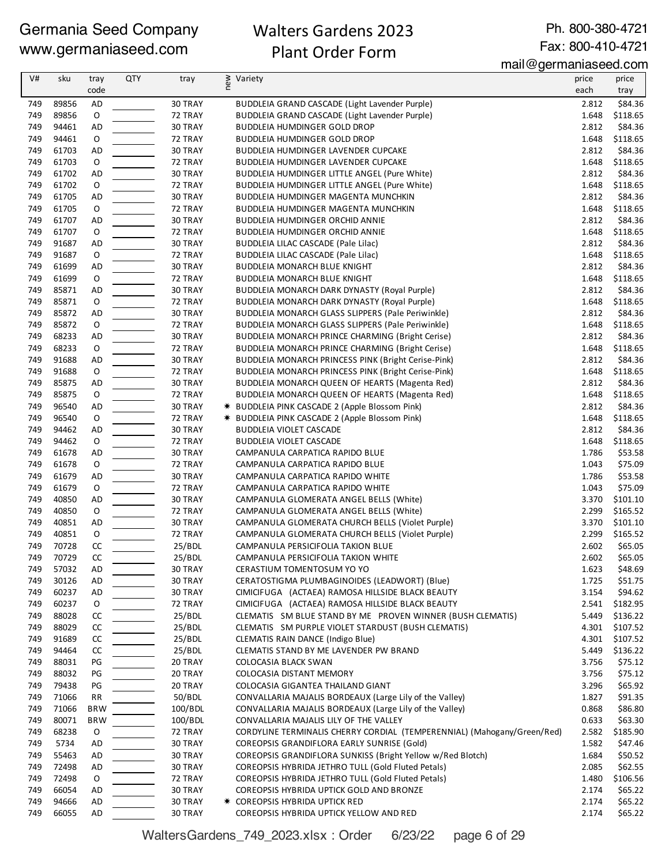## Walters Gardens 2023 Plant Order Form

Ph. 800-380-4721 Fax: 800-410-4721

| V#  | sku   | tray        | <b>QTY</b> | tray    | ≷ Variety<br>E                                                          | price | price    |
|-----|-------|-------------|------------|---------|-------------------------------------------------------------------------|-------|----------|
|     |       | code        |            |         |                                                                         | each  | tray     |
| 749 | 89856 | AD          |            | 30 TRAY | <b>BUDDLEIA GRAND CASCADE (Light Lavender Purple)</b>                   | 2.812 | \$84.36  |
| 749 | 89856 | $\mathsf O$ |            | 72 TRAY | BUDDLEIA GRAND CASCADE (Light Lavender Purple)                          | 1.648 | \$118.65 |
| 749 | 94461 | AD          |            | 30 TRAY | <b>BUDDLEIA HUMDINGER GOLD DROP</b>                                     | 2.812 | \$84.36  |
| 749 | 94461 | O           |            | 72 TRAY | <b>BUDDLEIA HUMDINGER GOLD DROP</b>                                     | 1.648 | \$118.65 |
| 749 | 61703 | <b>AD</b>   |            | 30 TRAY | BUDDLEIA HUMDINGER LAVENDER CUPCAKE                                     | 2.812 | \$84.36  |
| 749 | 61703 | $\mathsf O$ |            | 72 TRAY | BUDDLEIA HUMDINGER LAVENDER CUPCAKE                                     | 1.648 | \$118.65 |
| 749 | 61702 | <b>AD</b>   |            | 30 TRAY | BUDDLEIA HUMDINGER LITTLE ANGEL (Pure White)                            | 2.812 | \$84.36  |
| 749 | 61702 | $\mathsf O$ |            | 72 TRAY | BUDDLEIA HUMDINGER LITTLE ANGEL (Pure White)                            | 1.648 | \$118.65 |
| 749 | 61705 | <b>AD</b>   |            | 30 TRAY | BUDDLEIA HUMDINGER MAGENTA MUNCHKIN                                     | 2.812 | \$84.36  |
| 749 | 61705 | $\mathsf O$ |            | 72 TRAY | BUDDLEIA HUMDINGER MAGENTA MUNCHKIN                                     | 1.648 | \$118.65 |
| 749 | 61707 | AD          |            | 30 TRAY | BUDDLEIA HUMDINGER ORCHID ANNIE                                         | 2.812 | \$84.36  |
| 749 | 61707 | $\mathsf O$ |            | 72 TRAY | BUDDLEIA HUMDINGER ORCHID ANNIE                                         | 1.648 | \$118.65 |
| 749 | 91687 | AD          |            | 30 TRAY | BUDDLEIA LILAC CASCADE (Pale Lilac)                                     | 2.812 | \$84.36  |
| 749 | 91687 | O           |            | 72 TRAY | BUDDLEIA LILAC CASCADE (Pale Lilac)                                     | 1.648 | \$118.65 |
| 749 | 61699 | <b>AD</b>   |            | 30 TRAY | <b>BUDDLEIA MONARCH BLUE KNIGHT</b>                                     | 2.812 | \$84.36  |
| 749 | 61699 | $\mathsf O$ |            | 72 TRAY | <b>BUDDLEIA MONARCH BLUE KNIGHT</b>                                     | 1.648 | \$118.65 |
| 749 | 85871 | AD          |            | 30 TRAY | BUDDLEIA MONARCH DARK DYNASTY (Royal Purple)                            | 2.812 | \$84.36  |
| 749 | 85871 | $\mathsf O$ |            | 72 TRAY | BUDDLEIA MONARCH DARK DYNASTY (Royal Purple)                            | 1.648 | \$118.65 |
| 749 | 85872 | AD          |            | 30 TRAY | BUDDLEIA MONARCH GLASS SLIPPERS (Pale Periwinkle)                       | 2.812 | \$84.36  |
| 749 | 85872 | $\mathsf O$ |            | 72 TRAY | <b>BUDDLEIA MONARCH GLASS SLIPPERS (Pale Periwinkle)</b>                | 1.648 | \$118.65 |
| 749 | 68233 | AD          |            | 30 TRAY | BUDDLEIA MONARCH PRINCE CHARMING (Bright Cerise)                        | 2.812 | \$84.36  |
| 749 | 68233 | O           |            | 72 TRAY | BUDDLEIA MONARCH PRINCE CHARMING (Bright Cerise)                        | 1.648 | \$118.65 |
| 749 | 91688 | <b>AD</b>   |            | 30 TRAY | BUDDLEIA MONARCH PRINCESS PINK (Bright Cerise-Pink)                     | 2.812 | \$84.36  |
| 749 | 91688 | $\mathsf O$ |            | 72 TRAY | BUDDLEIA MONARCH PRINCESS PINK (Bright Cerise-Pink)                     | 1.648 | \$118.65 |
| 749 | 85875 | <b>AD</b>   |            | 30 TRAY | BUDDLEIA MONARCH QUEEN OF HEARTS (Magenta Red)                          | 2.812 | \$84.36  |
| 749 | 85875 | $\mathsf O$ |            | 72 TRAY | BUDDLEIA MONARCH QUEEN OF HEARTS (Magenta Red)                          | 1.648 | \$118.65 |
| 749 | 96540 | <b>AD</b>   |            | 30 TRAY | * BUDDLEIA PINK CASCADE 2 (Apple Blossom Pink)                          | 2.812 | \$84.36  |
| 749 | 96540 | $\mathsf O$ |            | 72 TRAY | * BUDDLEIA PINK CASCADE 2 (Apple Blossom Pink)                          | 1.648 | \$118.65 |
| 749 | 94462 | AD          |            | 30 TRAY | <b>BUDDLEIA VIOLET CASCADE</b>                                          | 2.812 | \$84.36  |
| 749 | 94462 | $\mathsf O$ |            | 72 TRAY | <b>BUDDLEIA VIOLET CASCADE</b>                                          | 1.648 | \$118.65 |
| 749 | 61678 | AD          |            | 30 TRAY | CAMPANULA CARPATICA RAPIDO BLUE                                         | 1.786 | \$53.58  |
| 749 | 61678 | $\mathsf O$ |            | 72 TRAY | CAMPANULA CARPATICA RAPIDO BLUE                                         | 1.043 | \$75.09  |
| 749 | 61679 | AD          |            | 30 TRAY | CAMPANULA CARPATICA RAPIDO WHITE                                        | 1.786 | \$53.58  |
| 749 | 61679 | $\mathsf O$ |            | 72 TRAY | CAMPANULA CARPATICA RAPIDO WHITE                                        | 1.043 | \$75.09  |
| 749 | 40850 | AD          |            | 30 TRAY | CAMPANULA GLOMERATA ANGEL BELLS (White)                                 | 3.370 | \$101.10 |
| 749 | 40850 | $\mathsf O$ |            | 72 TRAY | CAMPANULA GLOMERATA ANGEL BELLS (White)                                 | 2.299 | \$165.52 |
| 749 | 40851 | AD          |            | 30 TRAY | CAMPANULA GLOMERATA CHURCH BELLS (Violet Purple)                        | 3.370 | \$101.10 |
| 749 | 40851 | $\mathsf O$ |            | 72 TRAY | CAMPANULA GLOMERATA CHURCH BELLS (Violet Purple)                        | 2.299 | \$165.52 |
| 749 | 70728 | CC          |            | 25/BDL  | CAMPANULA PERSICIFOLIA TAKION BLUE                                      | 2.602 | \$65.05  |
| 749 | 70729 | <b>CC</b>   |            | 25/BDL  | CAMPANULA PERSICIFOLIA TAKION WHITE                                     | 2.602 | \$65.05  |
| 749 | 57032 | AD          |            | 30 TRAY | CERASTIUM TOMENTOSUM YO YO                                              | 1.623 | \$48.69  |
| 749 | 30126 | AD          |            | 30 TRAY | CERATOSTIGMA PLUMBAGINOIDES (LEADWORT) (Blue)                           | 1.725 | \$51.75  |
| 749 | 60237 | AD          |            | 30 TRAY | CIMICIFUGA (ACTAEA) RAMOSA HILLSIDE BLACK BEAUTY                        | 3.154 | \$94.62  |
| 749 | 60237 | 0           |            | 72 TRAY | CIMICIFUGA (ACTAEA) RAMOSA HILLSIDE BLACK BEAUTY                        | 2.541 | \$182.95 |
| 749 | 88028 | CC          |            | 25/BDL  | CLEMATIS SM BLUE STAND BY ME PROVEN WINNER (BUSH CLEMATIS)              | 5.449 | \$136.22 |
| 749 | 88029 | CC          |            | 25/BDL  | CLEMATIS SM PURPLE VIOLET STARDUST (BUSH CLEMATIS)                      | 4.301 | \$107.52 |
| 749 | 91689 | CC          |            | 25/BDL  | CLEMATIS RAIN DANCE (Indigo Blue)                                       | 4.301 | \$107.52 |
| 749 | 94464 | CC          |            | 25/BDL  | CLEMATIS STAND BY ME LAVENDER PW BRAND                                  | 5.449 | \$136.22 |
| 749 | 88031 | PG          |            | 20 TRAY | COLOCASIA BLACK SWAN                                                    | 3.756 | \$75.12  |
| 749 | 88032 | PG          |            | 20 TRAY | COLOCASIA DISTANT MEMORY                                                | 3.756 | \$75.12  |
| 749 | 79438 | PG          |            | 20 TRAY | COLOCASIA GIGANTEA THAILAND GIANT                                       | 3.296 | \$65.92  |
| 749 | 71066 | <b>RR</b>   |            | 50/BDL  | CONVALLARIA MAJALIS BORDEAUX (Large Lily of the Valley)                 | 1.827 | \$91.35  |
| 749 | 71066 | <b>BRW</b>  |            | 100/BDL | CONVALLARIA MAJALIS BORDEAUX (Large Lily of the Valley)                 | 0.868 | \$86.80  |
| 749 | 80071 | <b>BRW</b>  |            | 100/BDL | CONVALLARIA MAJALIS LILY OF THE VALLEY                                  | 0.633 | \$63.30  |
| 749 | 68238 | 0           |            | 72 TRAY | CORDYLINE TERMINALIS CHERRY CORDIAL (TEMPERENNIAL) (Mahogany/Green/Red) | 2.582 | \$185.90 |
| 749 | 5734  | AD          |            | 30 TRAY | COREOPSIS GRANDIFLORA EARLY SUNRISE (Gold)                              | 1.582 | \$47.46  |
| 749 | 55463 | AD          |            | 30 TRAY | COREOPSIS GRANDIFLORA SUNKISS (Bright Yellow w/Red Blotch)              | 1.684 | \$50.52  |
| 749 | 72498 | AD          |            | 30 TRAY | COREOPSIS HYBRIDA JETHRO TULL (Gold Fluted Petals)                      | 2.085 | \$62.55  |
| 749 | 72498 | O           |            | 72 TRAY | COREOPSIS HYBRIDA JETHRO TULL (Gold Fluted Petals)                      | 1.480 | \$106.56 |
| 749 | 66054 | AD          |            | 30 TRAY | COREOPSIS HYBRIDA UPTICK GOLD AND BRONZE                                | 2.174 | \$65.22  |
| 749 | 94666 | AD          |            | 30 TRAY | <b>* COREOPSIS HYBRIDA UPTICK RED</b>                                   | 2.174 | \$65.22  |
| 749 | 66055 | AD          |            | 30 TRAY | COREOPSIS HYBRIDA UPTICK YELLOW AND RED                                 | 2.174 | \$65.22  |

WaltersGardens\_749\_2023.xlsx : Order 6/23/22 page 6 of 29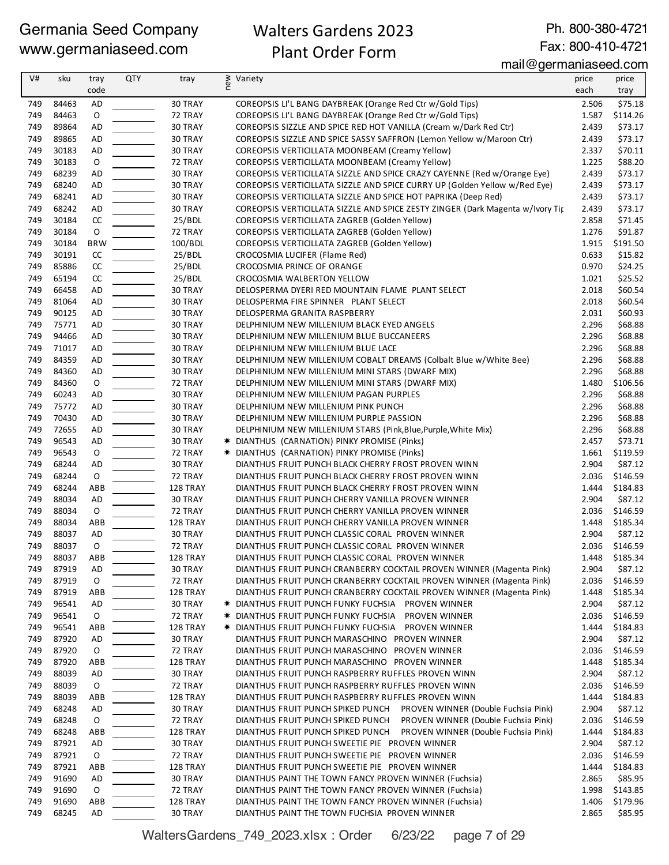## Walters Gardens 2023 Plant Order Form

Ph. 800-380-4721 Fax: 800-410-4721

#### mail@germaniaseed.com

| V#         | sku            | tray        | <b>QTY</b> | tray               | ≥ Variety<br>E                                                                                             | price          | price               |
|------------|----------------|-------------|------------|--------------------|------------------------------------------------------------------------------------------------------------|----------------|---------------------|
|            |                | code        |            |                    |                                                                                                            | each           | tray                |
| 749        | 84463          | AD          |            | 30 TRAY            | COREOPSIS LI'L BANG DAYBREAK (Orange Red Ctr w/Gold Tips)                                                  | 2.506          | \$75.18             |
| 749        | 84463          | $\mathsf O$ |            | 72 TRAY            | COREOPSIS LI'L BANG DAYBREAK (Orange Red Ctr w/Gold Tips)                                                  | 1.587          | \$114.26            |
| 749        | 89864          | AD          |            | 30 TRAY            | COREOPSIS SIZZLE AND SPICE RED HOT VANILLA (Cream w/Dark Red Ctr)                                          | 2.439          | \$73.17             |
| 749        | 89865          | <b>AD</b>   |            | 30 TRAY            | COREOPSIS SIZZLE AND SPICE SASSY SAFFRON (Lemon Yellow w/Maroon Ctr)                                       | 2.439          | \$73.17             |
| 749        | 30183          | AD          |            | 30 TRAY            | COREOPSIS VERTICILLATA MOONBEAM (Creamy Yellow)                                                            | 2.337          | \$70.11             |
| 749        | 30183          | $\mathsf O$ |            | 72 TRAY            | COREOPSIS VERTICILLATA MOONBEAM (Creamy Yellow)                                                            | 1.225          | \$88.20             |
| 749        | 68239          | AD          |            | 30 TRAY            | COREOPSIS VERTICILLATA SIZZLE AND SPICE CRAZY CAYENNE (Red w/Orange Eye)                                   | 2.439          | \$73.17             |
| 749        | 68240          | AD          |            | 30 TRAY            | COREOPSIS VERTICILLATA SIZZLE AND SPICE CURRY UP (Golden Yellow w/Red Eye)                                 | 2.439          | \$73.17             |
| 749        | 68241          | <b>AD</b>   |            | 30 TRAY            | COREOPSIS VERTICILLATA SIZZLE AND SPICE HOT PAPRIKA (Deep Red)                                             | 2.439          | \$73.17             |
| 749        | 68242          | AD          |            | 30 TRAY            | COREOPSIS VERTICILLATA SIZZLE AND SPICE ZESTY ZINGER (Dark Magenta w/Ivory Tip                             | 2.439          | \$73.17             |
| 749        | 30184          | CC          |            | 25/BDL             | COREOPSIS VERTICILLATA ZAGREB (Golden Yellow)                                                              | 2.858          | \$71.45             |
| 749        | 30184          | 0           |            | 72 TRAY            | COREOPSIS VERTICILLATA ZAGREB (Golden Yellow)                                                              | 1.276          | \$91.87             |
| 749        | 30184          | <b>BRW</b>  |            | 100/BDL            | COREOPSIS VERTICILLATA ZAGREB (Golden Yellow)                                                              | 1.915          | \$191.50            |
| 749        | 30191          | CC          |            | 25/BDL             | CROCOSMIA LUCIFER (Flame Red)                                                                              | 0.633          | \$15.82             |
| 749        | 85886          | CC          |            | 25/BDL             | CROCOSMIA PRINCE OF ORANGE                                                                                 | 0.970          | \$24.25             |
| 749        | 65194          | CC          |            | 25/BDL             | CROCOSMIA WALBERTON YELLOW                                                                                 | 1.021          | \$25.52             |
| 749        | 66458          | AD          |            | 30 TRAY            | DELOSPERMA DYERI RED MOUNTAIN FLAME PLANT SELECT                                                           | 2.018          | \$60.54             |
| 749        | 81064          | <b>AD</b>   |            | 30 TRAY            | DELOSPERMA FIRE SPINNER PLANT SELECT                                                                       | 2.018          | \$60.54             |
| 749        | 90125          | <b>AD</b>   |            | 30 TRAY            | DELOSPERMA GRANITA RASPBERRY                                                                               | 2.031          | \$60.93             |
| 749        | 75771          | AD          |            | 30 TRAY            | DELPHINIUM NEW MILLENIUM BLACK EYED ANGELS                                                                 | 2.296          | \$68.88             |
| 749        | 94466          | AD          |            | 30 TRAY            | DELPHINIUM NEW MILLENIUM BLUE BUCCANEERS                                                                   | 2.296          | \$68.88             |
| 749        | 71017          | AD          |            | 30 TRAY            | DELPHINIUM NEW MILLENIUM BLUE LACE                                                                         | 2.296          | \$68.88             |
| 749        | 84359          | AD          |            | 30 TRAY            | DELPHINIUM NEW MILLENIUM COBALT DREAMS (Colbalt Blue w/White Bee)                                          | 2.296          | \$68.88             |
| 749        | 84360          | AD          |            | 30 TRAY            | DELPHINIUM NEW MILLENIUM MINI STARS (DWARF MIX)                                                            | 2.296          | \$68.88             |
| 749        | 84360          | O           |            | 72 TRAY            | DELPHINIUM NEW MILLENIUM MINI STARS (DWARF MIX)                                                            | 1.480          | \$106.56            |
| 749        | 60243          | <b>AD</b>   |            | 30 TRAY            | DELPHINIUM NEW MILLENIUM PAGAN PURPLES                                                                     | 2.296          | \$68.88             |
| 749        | 75772          | <b>AD</b>   |            | 30 TRAY            | DELPHINIUM NEW MILLENIUM PINK PUNCH                                                                        | 2.296          | \$68.88             |
| 749        | 70430          | <b>AD</b>   |            | 30 TRAY            | DELPHINIUM NEW MILLENIUM PURPLE PASSION                                                                    | 2.296          | \$68.88             |
| 749        | 72655          | AD          |            | 30 TRAY            | DELPHINIUM NEW MILLENIUM STARS (Pink, Blue, Purple, White Mix)                                             | 2.296          | \$68.88             |
| 749        | 96543          | AD          |            | 30 TRAY            | * DIANTHUS (CARNATION) PINKY PROMISE (Pinks)                                                               | 2.457          | \$73.71             |
| 749        | 96543          | $\mathsf O$ |            | 72 TRAY            | * DIANTHUS (CARNATION) PINKY PROMISE (Pinks)                                                               | 1.661          | \$119.59            |
| 749        | 68244          | AD          |            | 30 TRAY            | DIANTHUS FRUIT PUNCH BLACK CHERRY FROST PROVEN WINN                                                        | 2.904          | \$87.12             |
| 749        | 68244          | $\mathsf O$ |            | 72 TRAY            | DIANTHUS FRUIT PUNCH BLACK CHERRY FROST PROVEN WINN                                                        | 2.036          | \$146.59            |
| 749        | 68244          | ABB         |            | 128 TRAY           | DIANTHUS FRUIT PUNCH BLACK CHERRY FROST PROVEN WINN                                                        | 1.444          | \$184.83            |
| 749        | 88034          | <b>AD</b>   |            | 30 TRAY            | DIANTHUS FRUIT PUNCH CHERRY VANILLA PROVEN WINNER                                                          | 2.904          | \$87.12             |
| 749        | 88034          | $\mathsf O$ |            | 72 TRAY            | DIANTHUS FRUIT PUNCH CHERRY VANILLA PROVEN WINNER                                                          | 2.036          | \$146.59            |
| 749        | 88034          | ABB         |            | 128 TRAY           | DIANTHUS FRUIT PUNCH CHERRY VANILLA PROVEN WINNER                                                          | 1.448          | \$185.34            |
| 749        | 88037          | AD          |            | 30 TRAY            | DIANTHUS FRUIT PUNCH CLASSIC CORAL PROVEN WINNER                                                           | 2.904          | \$87.12             |
| 749        | 88037          | 0           |            | 72 TRAY            | DIANTHUS FRUIT PUNCH CLASSIC CORAL PROVEN WINNER                                                           | 2.036          | \$146.59            |
| 749        | 88037          | ABB         |            | 128 TRAY           | DIANTHUS FRUIT PUNCH CLASSIC CORAL PROVEN WINNER                                                           | 1.448          | \$185.34            |
| 749        | 87919          | AD          |            | 30 TRAY            | DIANTHUS FRUIT PUNCH CRANBERRY COCKTAIL PROVEN WINNER (Magenta Pink)                                       | 2.904          | \$87.12             |
| 749        | 87919          | O           |            | 72 TRAY            | DIANTHUS FRUIT PUNCH CRANBERRY COCKTAIL PROVEN WINNER (Magenta Pink)                                       | 2.036          | \$146.59            |
| 749        | 87919<br>96541 | ABB         |            | 128 TRAY           | DIANTHUS FRUIT PUNCH CRANBERRY COCKTAIL PROVEN WINNER (Magenta Pink)                                       | 1.448          | \$185.34            |
| 749        | 96541          | AD<br>O     |            | 30 TRAY<br>72 TRAY | <b>★ DIANTHUS FRUIT PUNCH FUNKY FUCHSIA PROVEN WINNER</b>                                                  | 2.904          | \$87.12<br>\$146.59 |
| 749<br>749 | 96541          |             |            |                    | <b>★ DIANTHUS FRUIT PUNCH FUNKY FUCHSIA PROVEN WINNER</b>                                                  | 2.036          |                     |
| 749        |                | ABB         |            | 128 TRAY           | <b>★ DIANTHUS FRUIT PUNCH FUNKY FUCHSIA PROVEN WINNER</b><br>DIANTHUS FRUIT PUNCH MARASCHINO PROVEN WINNER | 1.444          | \$184.83<br>\$87.12 |
| 749        | 87920<br>87920 | AD<br>0     |            | 30 TRAY<br>72 TRAY | DIANTHUS FRUIT PUNCH MARASCHINO PROVEN WINNER                                                              | 2.904<br>2.036 | \$146.59            |
| 749        | 87920          | ABB         |            | 128 TRAY           | DIANTHUS FRUIT PUNCH MARASCHINO PROVEN WINNER                                                              | 1.448          | \$185.34            |
| 749        | 88039          | AD          |            | 30 TRAY            | DIANTHUS FRUIT PUNCH RASPBERRY RUFFLES PROVEN WINN                                                         | 2.904          | \$87.12             |
| 749        | 88039          | 0           |            | 72 TRAY            | DIANTHUS FRUIT PUNCH RASPBERRY RUFFLES PROVEN WINN                                                         | 2.036          | \$146.59            |
| 749        | 88039          | ABB         |            | 128 TRAY           | DIANTHUS FRUIT PUNCH RASPBERRY RUFFLES PROVEN WINN                                                         | 1.444          | \$184.83            |
| 749        | 68248          | AD          |            | 30 TRAY            | DIANTHUS FRUIT PUNCH SPIKED PUNCH PROVEN WINNER (Double Fuchsia Pink)                                      | 2.904          | \$87.12             |
| 749        | 68248          | O           |            | 72 TRAY            | DIANTHUS FRUIT PUNCH SPIKED PUNCH PROVEN WINNER (Double Fuchsia Pink)                                      | 2.036          | \$146.59            |
| 749        | 68248          | ABB         |            | 128 TRAY           |                                                                                                            | 1.444          | \$184.83            |
| 749        | 87921          | AD          |            | 30 TRAY            | DIANTHUS FRUIT PUNCH SWEETIE PIE PROVEN WINNER                                                             | 2.904          | \$87.12             |
| 749        | 87921          | 0           |            | 72 TRAY            | DIANTHUS FRUIT PUNCH SWEETIE PIE PROVEN WINNER                                                             | 2.036          | \$146.59            |
| 749        | 87921          | ABB         |            | 128 TRAY           | DIANTHUS FRUIT PUNCH SWEETIE PIE PROVEN WINNER                                                             | 1.444          | \$184.83            |
| 749        | 91690          | AD          |            | 30 TRAY            | DIANTHUS PAINT THE TOWN FANCY PROVEN WINNER (Fuchsia)                                                      | 2.865          | \$85.95             |
| 749        | 91690          | 0           |            | 72 TRAY            | DIANTHUS PAINT THE TOWN FANCY PROVEN WINNER (Fuchsia)                                                      | 1.998          | \$143.85            |
| 749        | 91690          | ABB         |            | 128 TRAY           | DIANTHUS PAINT THE TOWN FANCY PROVEN WINNER (Fuchsia)                                                      | 1.406          | \$179.96            |
| 749        | 68245          | AD          |            | 30 TRAY            | DIANTHUS PAINT THE TOWN FUCHSIA PROVEN WINNER                                                              | 2.865          | \$85.95             |
|            |                |             |            |                    |                                                                                                            |                |                     |

WaltersGardens\_749\_2023.xlsx : Order 6/23/22 page 7 of 29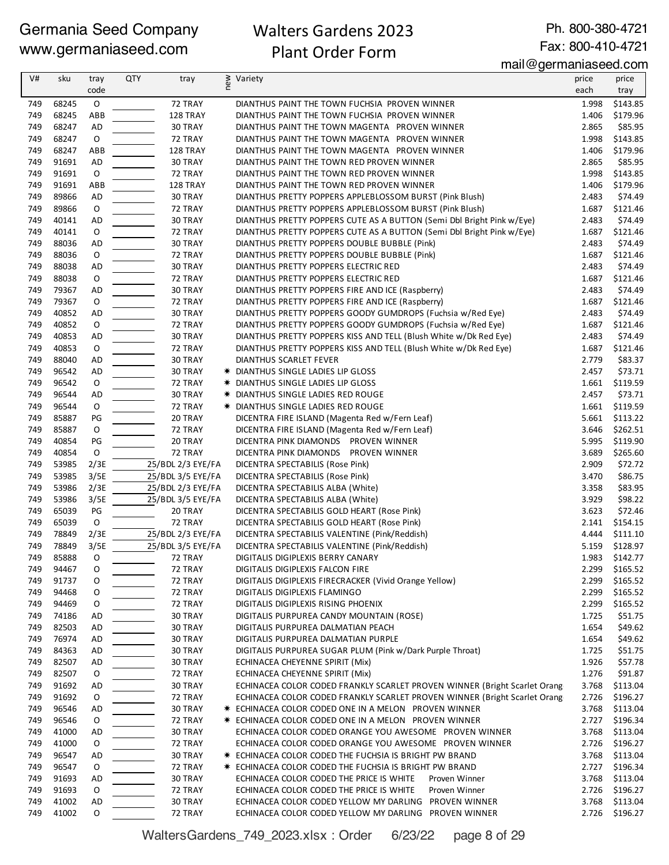## Walters Gardens 2023 Plant Order Form

Ph. 800-380-4721 Fax: 800-410-4721

mail@germaniaseed.com

| V#         | sku            | tray          | <b>QTY</b> | tray                                   | new | Variety                                                                   | price          | price              |
|------------|----------------|---------------|------------|----------------------------------------|-----|---------------------------------------------------------------------------|----------------|--------------------|
|            |                | code          |            |                                        |     |                                                                           | each           | tray               |
| 749        | 68245          | $\mathsf O$   |            | 72 TRAY                                |     | DIANTHUS PAINT THE TOWN FUCHSIA PROVEN WINNER                             | 1.998          | \$143.85           |
| 749        | 68245          | ABB           |            | 128 TRAY                               |     | DIANTHUS PAINT THE TOWN FUCHSIA PROVEN WINNER                             | 1.406          | \$179.96           |
| 749        | 68247          | <b>AD</b>     |            | 30 TRAY                                |     | DIANTHUS PAINT THE TOWN MAGENTA PROVEN WINNER                             | 2.865          | \$85.95            |
| 749        | 68247          | O             |            | 72 TRAY                                |     | DIANTHUS PAINT THE TOWN MAGENTA PROVEN WINNER                             | 1.998          | \$143.85           |
| 749        | 68247          | ABB           |            | 128 TRAY                               |     | DIANTHUS PAINT THE TOWN MAGENTA PROVEN WINNER                             | 1.406          | \$179.96           |
| 749        | 91691          | <b>AD</b>     |            | 30 TRAY                                |     | DIANTHUS PAINT THE TOWN RED PROVEN WINNER                                 | 2.865          | \$85.95            |
| 749        | 91691          | $\mathsf O$   |            | 72 TRAY                                |     | DIANTHUS PAINT THE TOWN RED PROVEN WINNER                                 | 1.998          | \$143.85           |
| 749        | 91691          | ABB           |            | 128 TRAY                               |     | DIANTHUS PAINT THE TOWN RED PROVEN WINNER                                 | 1.406          | \$179.96           |
| 749        | 89866          | AD            |            | 30 TRAY                                |     | DIANTHUS PRETTY POPPERS APPLEBLOSSOM BURST (Pink Blush)                   | 2.483          | \$74.49            |
| 749        | 89866          | $\mathsf O$   |            | 72 TRAY                                |     | DIANTHUS PRETTY POPPERS APPLEBLOSSOM BURST (Pink Blush)                   | 1.687          | \$121.46           |
| 749        | 40141          | AD            |            | 30 TRAY                                |     | DIANTHUS PRETTY POPPERS CUTE AS A BUTTON (Semi Dbl Bright Pink w/Eye)     | 2.483          | \$74.49            |
| 749        | 40141          | $\mathsf O$   |            | 72 TRAY                                |     | DIANTHUS PRETTY POPPERS CUTE AS A BUTTON (Semi Dbl Bright Pink w/Eye)     | 1.687          | \$121.46           |
| 749        | 88036          | AD            |            | 30 TRAY                                |     | DIANTHUS PRETTY POPPERS DOUBLE BUBBLE (Pink)                              | 2.483          | \$74.49            |
| 749        | 88036          | $\mathsf O$   |            | 72 TRAY                                |     | DIANTHUS PRETTY POPPERS DOUBLE BUBBLE (Pink)                              | 1.687          | \$121.46           |
| 749        | 88038          | AD            |            | 30 TRAY                                |     | DIANTHUS PRETTY POPPERS ELECTRIC RED                                      | 2.483          | \$74.49            |
| 749        | 88038          | $\mathsf O$   |            | 72 TRAY                                |     | DIANTHUS PRETTY POPPERS ELECTRIC RED                                      | 1.687          | \$121.46           |
| 749        | 79367          | AD            |            | 30 TRAY                                |     | DIANTHUS PRETTY POPPERS FIRE AND ICE (Raspberry)                          | 2.483          | \$74.49            |
| 749        | 79367          | 0             |            | 72 TRAY                                |     | DIANTHUS PRETTY POPPERS FIRE AND ICE (Raspberry)                          | 1.687          | \$121.46           |
| 749        | 40852          | AD            |            | 30 TRAY                                |     | DIANTHUS PRETTY POPPERS GOODY GUMDROPS (Fuchsia w/Red Eye)                | 2.483          | \$74.49            |
| 749        | 40852          | $\mathsf O$   |            | 72 TRAY                                |     | DIANTHUS PRETTY POPPERS GOODY GUMDROPS (Fuchsia w/Red Eye)                | 1.687          | \$121.46           |
| 749        | 40853          | AD            |            | 30 TRAY                                |     | DIANTHUS PRETTY POPPERS KISS AND TELL (Blush White w/Dk Red Eye)          | 2.483          | \$74.49            |
| 749        | 40853          | O             |            | 72 TRAY                                |     | DIANTHUS PRETTY POPPERS KISS AND TELL (Blush White w/Dk Red Eye)          | 1.687          | \$121.46           |
| 749        | 88040          | AD            |            | 30 TRAY                                |     | DIANTHUS SCARLET FEVER                                                    | 2.779          | \$83.37            |
| 749        | 96542          | <b>AD</b>     |            | 30 TRAY                                |     | * DIANTHUS SINGLE LADIES LIP GLOSS                                        | 2.457          | \$73.71            |
| 749        | 96542          | $\mathsf O$   |            | 72 TRAY                                |     | * DIANTHUS SINGLE LADIES LIP GLOSS                                        | 1.661          | \$119.59           |
| 749        | 96544          | AD            |            | 30 TRAY                                |     | * DIANTHUS SINGLE LADIES RED ROUGE                                        | 2.457          | \$73.71            |
| 749        | 96544          | $\mathsf O$   |            | 72 TRAY                                |     | <b>★ DIANTHUS SINGLE LADIES RED ROUGE</b>                                 | 1.661          | \$119.59           |
| 749        | 85887          | PG            |            | 20 TRAY                                |     | DICENTRA FIRE ISLAND (Magenta Red w/Fern Leaf)                            | 5.661          | \$113.22           |
| 749        | 85887          | 0             |            | 72 TRAY                                |     | DICENTRA FIRE ISLAND (Magenta Red w/Fern Leaf)                            | 3.646          | \$262.51           |
| 749        | 40854          | $\mathsf{PG}$ |            | 20 TRAY                                |     | DICENTRA PINK DIAMONDS PROVEN WINNER                                      | 5.995          | \$119.90           |
| 749        | 40854          | 0             |            | 72 TRAY                                |     | DICENTRA PINK DIAMONDS PROVEN WINNER                                      | 3.689          | \$265.60           |
| 749<br>749 | 53985<br>53985 | 2/3E<br>3/5E  |            | 25/BDL 2/3 EYE/FA<br>25/BDL 3/5 EYE/FA |     | DICENTRA SPECTABILIS (Rose Pink)                                          | 2.909          | \$72.72<br>\$86.75 |
| 749        | 53986          |               |            | 25/BDL 2/3 EYE/FA                      |     | DICENTRA SPECTABILIS (Rose Pink)                                          | 3.470          |                    |
| 749        | 53986          | 2/3E<br>3/5E  |            | 25/BDL 3/5 EYE/FA                      |     | DICENTRA SPECTABILIS ALBA (White)<br>DICENTRA SPECTABILIS ALBA (White)    | 3.358<br>3.929 | \$83.95<br>\$98.22 |
| 749        | 65039          | PG            |            | 20 TRAY                                |     | DICENTRA SPECTABILIS GOLD HEART (Rose Pink)                               | 3.623          | \$72.46            |
| 749        | 65039          | $\mathsf O$   |            | 72 TRAY                                |     | DICENTRA SPECTABILIS GOLD HEART (Rose Pink)                               | 2.141          | \$154.15           |
| 749        | 78849          | 2/3E          |            | 25/BDL 2/3 EYE/FA                      |     | DICENTRA SPECTABILIS VALENTINE (Pink/Reddish)                             | 4.444          | \$111.10           |
| 749        | 78849          | 3/5E          |            | 25/BDL 3/5 EYE/FA                      |     | DICENTRA SPECTABILIS VALENTINE (Pink/Reddish)                             | 5.159          | \$128.97           |
| 749        | 85888          | O             |            | 72 TRAY                                |     | DIGITALIS DIGIPLEXIS BERRY CANARY                                         | 1.983          | \$142.77           |
| 749        | 94467          | 0             |            | 72 TRAY                                |     | DIGITALIS DIGIPLEXIS FALCON FIRE                                          | 2.299          | \$165.52           |
| 749        | 91737          | 0             |            | 72 TRAY                                |     | DIGITALIS DIGIPLEXIS FIRECRACKER (Vivid Orange Yellow)                    | 2.299          | \$165.52           |
| 749        | 94468          | 0             |            | 72 TRAY                                |     | DIGITALIS DIGIPLEXIS FLAMINGO                                             | 2.299          | \$165.52           |
| 749        | 94469          | 0             |            | 72 TRAY                                |     | DIGITALIS DIGIPLEXIS RISING PHOENIX                                       | 2.299          | \$165.52           |
| 749        | 74186          | AD            |            | 30 TRAY                                |     | DIGITALIS PURPUREA CANDY MOUNTAIN (ROSE)                                  | 1.725          | \$51.75            |
| 749        | 82503          | AD            |            | 30 TRAY                                |     | DIGITALIS PURPUREA DALMATIAN PEACH                                        | 1.654          | \$49.62            |
| 749        | 76974          | AD            |            | 30 TRAY                                |     | DIGITALIS PURPUREA DALMATIAN PURPLE                                       | 1.654          | \$49.62            |
| 749        | 84363          | AD            |            | 30 TRAY                                |     | DIGITALIS PURPUREA SUGAR PLUM (Pink w/Dark Purple Throat)                 | 1.725          | \$51.75            |
| 749        | 82507          | AD            |            | 30 TRAY                                |     | ECHINACEA CHEYENNE SPIRIT (Mix)                                           | 1.926          | \$57.78            |
| 749        | 82507          | 0             |            | 72 TRAY                                |     | ECHINACEA CHEYENNE SPIRIT (Mix)                                           | 1.276          | \$91.87            |
| 749        | 91692          | AD            |            | 30 TRAY                                |     | ECHINACEA COLOR CODED FRANKLY SCARLET PROVEN WINNER (Bright Scarlet Orang | 3.768          | \$113.04           |
| 749        | 91692          | O             |            | 72 TRAY                                |     | ECHINACEA COLOR CODED FRANKLY SCARLET PROVEN WINNER (Bright Scarlet Orang | 2.726          | \$196.27           |
| 749        | 96546          | AD            |            | 30 TRAY                                |     | * ECHINACEA COLOR CODED ONE IN A MELON PROVEN WINNER                      | 3.768          | \$113.04           |
| 749        | 96546          | 0             |            | 72 TRAY                                |     | <b>* ECHINACEA COLOR CODED ONE IN A MELON PROVEN WINNER</b>               | 2.727          | \$196.34           |
| 749        | 41000          | AD            |            | 30 TRAY                                |     | ECHINACEA COLOR CODED ORANGE YOU AWESOME PROVEN WINNER                    | 3.768          | \$113.04           |
| 749        | 41000          | 0             |            | 72 TRAY                                |     | ECHINACEA COLOR CODED ORANGE YOU AWESOME PROVEN WINNER                    | 2.726          | \$196.27           |
| 749        | 96547          | AD            |            | 30 TRAY                                |     | <b>*</b> ECHINACEA COLOR CODED THE FUCHSIA IS BRIGHT PW BRAND             | 3.768          | \$113.04           |
| 749        | 96547          | O             |            | 72 TRAY                                |     | <b>*</b> ECHINACEA COLOR CODED THE FUCHSIA IS BRIGHT PW BRAND             | 2.727          | \$196.34           |
| 749        | 91693          | AD            |            | 30 TRAY                                |     | ECHINACEA COLOR CODED THE PRICE IS WHITE<br>Proven Winner                 | 3.768          | \$113.04           |
| 749        | 91693          | 0             |            | 72 TRAY                                |     | ECHINACEA COLOR CODED THE PRICE IS WHITE<br>Proven Winner                 | 2.726          | \$196.27           |
| 749        | 41002          | AD            |            | 30 TRAY                                |     | ECHINACEA COLOR CODED YELLOW MY DARLING PROVEN WINNER                     | 3.768          | \$113.04           |
| 749        | 41002          | 0             |            | 72 TRAY                                |     | ECHINACEA COLOR CODED YELLOW MY DARLING PROVEN WINNER                     | 2.726          | \$196.27           |

WaltersGardens\_749\_2023.xlsx : Order 6/23/22 page 8 of 29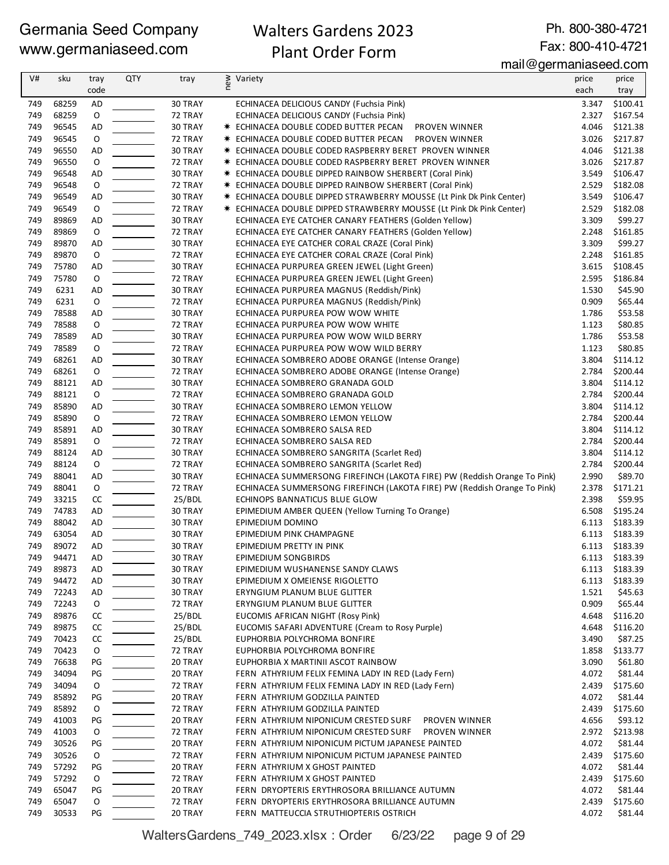## Walters Gardens 2023 Plant Order Form

Ph. 800-380-4721 Fax: 800-410-4721

mail@germaniaseed.com

| V#         | sku            | tray           | <b>QTY</b> | tray               | ≷ Variety<br>E                                                              | price          | price               |
|------------|----------------|----------------|------------|--------------------|-----------------------------------------------------------------------------|----------------|---------------------|
|            |                | code           |            |                    |                                                                             | each           | tray                |
| 749        | 68259          | <b>AD</b>      |            | 30 TRAY            | ECHINACEA DELICIOUS CANDY (Fuchsia Pink)                                    | 3.347          | \$100.41            |
| 749        | 68259          | $\mathsf O$    |            | 72 TRAY            | ECHINACEA DELICIOUS CANDY (Fuchsia Pink)                                    | 2.327          | \$167.54            |
| 749        | 96545          | AD             |            | 30 TRAY            | * ECHINACEA DOUBLE CODED BUTTER PECAN<br><b>PROVEN WINNER</b>               | 4.046          | \$121.38            |
| 749        | 96545          | O              |            | 72 TRAY            | <b>* ECHINACEA DOUBLE CODED BUTTER PECAN</b><br><b>PROVEN WINNER</b>        | 3.026          | \$217.87            |
| 749        | 96550          | AD             |            | 30 TRAY            | * ECHINACEA DOUBLE CODED RASPBERRY BERET PROVEN WINNER                      | 4.046          | \$121.38            |
| 749        | 96550          | $\mathsf O$    |            | 72 TRAY            | <b>★ ECHINACEA DOUBLE CODED RASPBERRY BERET PROVEN WINNER</b>               | 3.026          | \$217.87            |
| 749        | 96548          | AD             |            | 30 TRAY            | <b>*</b> ECHINACEA DOUBLE DIPPED RAINBOW SHERBERT (Coral Pink)              | 3.549          | \$106.47            |
| 749        | 96548          | 0              |            | 72 TRAY            | <b>*</b> ECHINACEA DOUBLE DIPPED RAINBOW SHERBERT (Coral Pink)              | 2.529          | \$182.08            |
| 749        | 96549          | AD             |            | 30 TRAY            | * ECHINACEA DOUBLE DIPPED STRAWBERRY MOUSSE (Lt Pink Dk Pink Center)        | 3.549          | \$106.47            |
| 749        | 96549          | $\mathsf O$    |            | 72 TRAY            | <b>★ ECHINACEA DOUBLE DIPPED STRAWBERRY MOUSSE (Lt Pink Dk Pink Center)</b> | 2.529          | \$182.08            |
| 749        | 89869          | AD             |            | 30 TRAY            | ECHINACEA EYE CATCHER CANARY FEATHERS (Golden Yellow)                       | 3.309          | \$99.27             |
| 749        | 89869          | 0              |            | 72 TRAY            | ECHINACEA EYE CATCHER CANARY FEATHERS (Golden Yellow)                       | 2.248          | \$161.85            |
| 749        | 89870          | AD             |            | 30 TRAY            | ECHINACEA EYE CATCHER CORAL CRAZE (Coral Pink)                              | 3.309          | \$99.27             |
| 749        | 89870          | $\mathsf O$    |            | 72 TRAY            | ECHINACEA EYE CATCHER CORAL CRAZE (Coral Pink)                              | 2.248          | \$161.85            |
| 749        | 75780          | <b>AD</b>      |            | 30 TRAY            | ECHINACEA PURPUREA GREEN JEWEL (Light Green)                                | 3.615          | \$108.45            |
| 749        | 75780          | O              |            | 72 TRAY            | ECHINACEA PURPUREA GREEN JEWEL (Light Green)                                | 2.595          | \$186.84            |
| 749        | 6231           | AD             |            | 30 TRAY            | ECHINACEA PURPUREA MAGNUS (Reddish/Pink)                                    | 1.530          | \$45.90             |
| 749        | 6231           | O              |            | 72 TRAY            | ECHINACEA PURPUREA MAGNUS (Reddish/Pink)                                    | 0.909          | \$65.44             |
| 749        | 78588          | <b>AD</b>      |            | 30 TRAY            | ECHINACEA PURPUREA POW WOW WHITE                                            | 1.786          | \$53.58             |
| 749        | 78588          | $\mathsf O$    |            | 72 TRAY            | ECHINACEA PURPUREA POW WOW WHITE                                            | 1.123          | \$80.85             |
| 749        | 78589          | AD             |            | 30 TRAY            | ECHINACEA PURPUREA POW WOW WILD BERRY                                       | 1.786          | \$53.58             |
| 749<br>749 | 78589<br>68261 | 0<br><b>AD</b> |            | 72 TRAY<br>30 TRAY | ECHINACEA PURPUREA POW WOW WILD BERRY                                       | 1.123<br>3.804 | \$80.85<br>\$114.12 |
| 749        | 68261          | $\mathsf O$    |            |                    | ECHINACEA SOMBRERO ADOBE ORANGE (Intense Orange)                            | 2.784          | \$200.44            |
| 749        | 88121          | AD             |            | 72 TRAY<br>30 TRAY | ECHINACEA SOMBRERO ADOBE ORANGE (Intense Orange)                            | 3.804          | \$114.12            |
| 749        | 88121          | 0              |            | 72 TRAY            | ECHINACEA SOMBRERO GRANADA GOLD<br>ECHINACEA SOMBRERO GRANADA GOLD          | 2.784          | \$200.44            |
| 749        | 85890          | AD             |            | 30 TRAY            | ECHINACEA SOMBRERO LEMON YELLOW                                             | 3.804          | \$114.12            |
| 749        | 85890          | 0              |            | 72 TRAY            | ECHINACEA SOMBRERO LEMON YELLOW                                             | 2.784          | \$200.44            |
| 749        | 85891          | AD             |            | 30 TRAY            | ECHINACEA SOMBRERO SALSA RED                                                | 3.804          | \$114.12            |
| 749        | 85891          | 0              |            | 72 TRAY            | ECHINACEA SOMBRERO SALSA RED                                                | 2.784          | \$200.44            |
| 749        | 88124          | AD             |            | 30 TRAY            | ECHINACEA SOMBRERO SANGRITA (Scarlet Red)                                   | 3.804          | \$114.12            |
| 749        | 88124          | $\mathsf O$    |            | 72 TRAY            | ECHINACEA SOMBRERO SANGRITA (Scarlet Red)                                   | 2.784          | \$200.44            |
| 749        | 88041          | AD             |            | 30 TRAY            | ECHINACEA SUMMERSONG FIREFINCH (LAKOTA FIRE) PW (Reddish Orange To Pink)    | 2.990          | \$89.70             |
| 749        | 88041          | $\mathsf O$    |            | 72 TRAY            | ECHINACEA SUMMERSONG FIREFINCH (LAKOTA FIRE) PW (Reddish Orange To Pink)    | 2.378          | \$171.21            |
| 749        | 33215          | CC             |            | 25/BDL             | ECHINOPS BANNATICUS BLUE GLOW                                               | 2.398          | \$59.95             |
| 749        | 74783          | <b>AD</b>      |            | 30 TRAY            | EPIMEDIUM AMBER QUEEN (Yellow Turning To Orange)                            | 6.508          | \$195.24            |
| 749        | 88042          | <b>AD</b>      |            | 30 TRAY            | EPIMEDIUM DOMINO                                                            | 6.113          | \$183.39            |
| 749        | 63054          | AD             |            | 30 TRAY            | EPIMEDIUM PINK CHAMPAGNE                                                    | 6.113          | \$183.39            |
| 749        | 89072          | <b>AD</b>      |            | 30 TRAY            | EPIMEDIUM PRETTY IN PINK                                                    | 6.113          | \$183.39            |
| 749        | 94471          | AD             |            | 30 TRAY            | EPIMEDIUM SONGBIRDS                                                         | 6.113          | \$183.39            |
| 749        | 89873          | AD             |            | 30 TRAY            | EPIMEDIUM WUSHANENSE SANDY CLAWS                                            | 6.113          | \$183.39            |
| 749        | 94472          | AD             |            | 30 TRAY            | EPIMEDIUM X OMEIENSE RIGOLETTO                                              | 6.113          | \$183.39            |
| 749        | 72243          | AD             |            | 30 TRAY            | ERYNGIUM PLANUM BLUE GLITTER                                                | 1.521          | \$45.63             |
| 749        | 72243          | 0              |            | 72 TRAY            | ERYNGIUM PLANUM BLUE GLITTER                                                | 0.909          | \$65.44             |
| 749        | 89876          | CC             |            | 25/BDL             | EUCOMIS AFRICAN NIGHT (Rosy Pink)                                           | 4.648          | \$116.20            |
| 749        | 89875          | CC             |            | 25/BDL             | EUCOMIS SAFARI ADVENTURE (Cream to Rosy Purple)                             | 4.648          | \$116.20            |
| 749        | 70423          | CC             |            | 25/BDL             | EUPHORBIA POLYCHROMA BONFIRE                                                | 3.490          | \$87.25             |
| 749        | 70423          | 0              |            | 72 TRAY            | EUPHORBIA POLYCHROMA BONFIRE                                                | 1.858          | \$133.77            |
| 749        | 76638          | PG             |            | 20 TRAY            | EUPHORBIA X MARTINII ASCOT RAINBOW                                          | 3.090          | \$61.80             |
| 749        | 34094          | PG             |            | 20 TRAY            | FERN ATHYRIUM FELIX FEMINA LADY IN RED (Lady Fern)                          | 4.072          | \$81.44             |
| 749        | 34094          | 0              |            | 72 TRAY            | FERN ATHYRIUM FELIX FEMINA LADY IN RED (Lady Fern)                          | 2.439          | \$175.60            |
| 749        | 85892          | PG             |            | 20 TRAY            | FERN ATHYRIUM GODZILLA PAINTED                                              | 4.072          | \$81.44             |
| 749        | 85892          | O              |            | 72 TRAY            | FERN ATHYRIUM GODZILLA PAINTED                                              | 2.439          | \$175.60            |
| 749        | 41003          | PG             |            | 20 TRAY            | FERN ATHYRIUM NIPONICUM CRESTED SURF<br>PROVEN WINNER                       | 4.656          | \$93.12             |
| 749        | 41003          | 0              |            | 72 TRAY            | FERN ATHYRIUM NIPONICUM CRESTED SURF<br>PROVEN WINNER                       | 2.972          | \$213.98            |
| 749        | 30526          | PG             |            | 20 TRAY            | FERN ATHYRIUM NIPONICUM PICTUM JAPANESE PAINTED                             | 4.072          | \$81.44             |
| 749        | 30526          | 0              |            | 72 TRAY            | FERN ATHYRIUM NIPONICUM PICTUM JAPANESE PAINTED                             | 2.439          | \$175.60            |
| 749        | 57292          | PG             |            | 20 TRAY            | FERN ATHYRIUM X GHOST PAINTED                                               | 4.072          | \$81.44             |
| 749        | 57292          | 0              |            | 72 TRAY            | FERN ATHYRIUM X GHOST PAINTED                                               | 2.439          | \$175.60            |
| 749        | 65047          | PG             |            | 20 TRAY            | FERN DRYOPTERIS ERYTHROSORA BRILLIANCE AUTUMN                               | 4.072          | \$81.44             |
| 749        | 65047          | O              |            | 72 TRAY            | FERN DRYOPTERIS ERYTHROSORA BRILLIANCE AUTUMN                               | 2.439          | \$175.60            |
| 749        | 30533          | PG             |            | 20 TRAY            | FERN MATTEUCCIA STRUTHIOPTERIS OSTRICH                                      | 4.072          | \$81.44             |

WaltersGardens\_749\_2023.xlsx : Order 6/23/22 page 9 of 29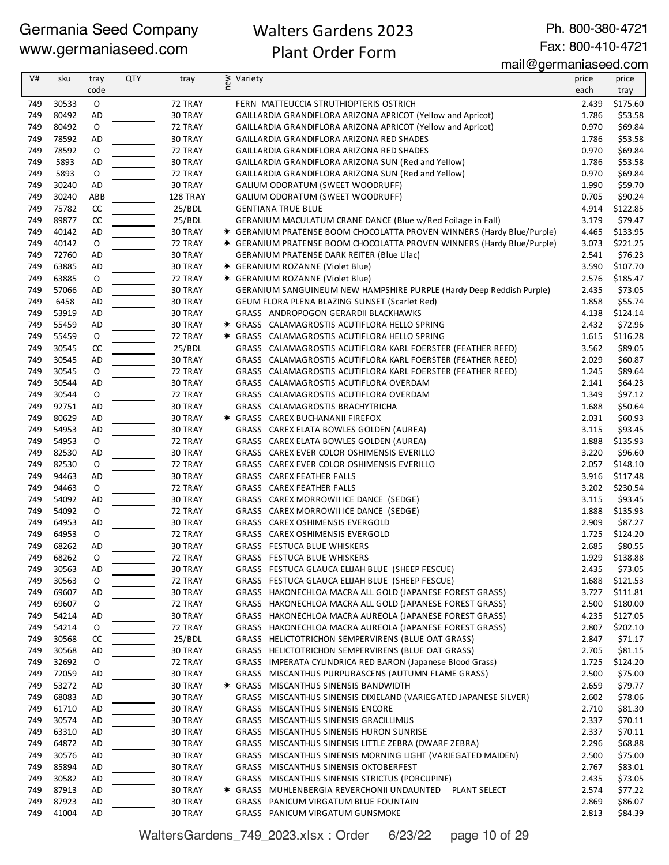## Walters Gardens 2023 Plant Order Form

Ph. 800-380-4721 Fax: 800-410-4721

mail@germaniaseed.com

| V#         | sku            | tray              | QTY | tray               | new<br>Variety |                                                                                                                            | price          | price               |
|------------|----------------|-------------------|-----|--------------------|----------------|----------------------------------------------------------------------------------------------------------------------------|----------------|---------------------|
|            |                | code              |     |                    |                |                                                                                                                            | each           | tray                |
| 749        | 30533          | 0                 |     | 72 TRAY            |                | FERN MATTEUCCIA STRUTHIOPTERIS OSTRICH                                                                                     | 2.439          | \$175.60            |
| 749        | 80492          | <b>AD</b>         |     | 30 TRAY            |                | GAILLARDIA GRANDIFLORA ARIZONA APRICOT (Yellow and Apricot)                                                                | 1.786          | \$53.58             |
| 749        | 80492          | O                 |     | 72 TRAY            |                | GAILLARDIA GRANDIFLORA ARIZONA APRICOT (Yellow and Apricot)                                                                | 0.970          | \$69.84             |
| 749        | 78592          | <b>AD</b>         |     | 30 TRAY            |                | GAILLARDIA GRANDIFLORA ARIZONA RED SHADES                                                                                  | 1.786          | \$53.58             |
| 749<br>749 | 78592<br>5893  | O<br>AD           |     | 72 TRAY<br>30 TRAY |                | GAILLARDIA GRANDIFLORA ARIZONA RED SHADES<br>GAILLARDIA GRANDIFLORA ARIZONA SUN (Red and Yellow)                           | 0.970<br>1.786 | \$69.84<br>\$53.58  |
| 749        | 5893           | O                 |     | 72 TRAY            |                | GAILLARDIA GRANDIFLORA ARIZONA SUN (Red and Yellow)                                                                        | 0.970          | \$69.84             |
| 749        | 30240          | AD                |     | 30 TRAY            |                | GALIUM ODORATUM (SWEET WOODRUFF)                                                                                           | 1.990          | \$59.70             |
| 749        | 30240          | ABB               |     | 128 TRAY           |                | GALIUM ODORATUM (SWEET WOODRUFF)                                                                                           | 0.705          | \$90.24             |
| 749        | 75782          | CC                |     | 25/BDL             |                | <b>GENTIANA TRUE BLUE</b>                                                                                                  | 4.914          | \$122.85            |
| 749        | 89877          | CC                |     | 25/BDL             |                | GERANIUM MACULATUM CRANE DANCE (Blue w/Red Foilage in Fall)                                                                | 3.179          | \$79.47             |
| 749        | 40142          | <b>AD</b>         |     | 30 TRAY            |                | * GERANIUM PRATENSE BOOM CHOCOLATTA PROVEN WINNERS (Hardy Blue/Purple)                                                     | 4.465          | \$133.95            |
| 749        | 40142          | O                 |     | 72 TRAY            |                | * GERANIUM PRATENSE BOOM CHOCOLATTA PROVEN WINNERS (Hardy Blue/Purple)                                                     | 3.073          | \$221.25            |
| 749        | 72760          | AD                |     | 30 TRAY            |                | <b>GERANIUM PRATENSE DARK REITER (Blue Lilac)</b>                                                                          | 2.541          | \$76.23             |
| 749        | 63885          | AD                |     | 30 TRAY            |                | <b>*</b> GERANIUM ROZANNE (Violet Blue)                                                                                    | 3.590          | \$107.70            |
| 749        | 63885          | $\mathsf O$       |     | 72 TRAY            |                | <b>★ GERANIUM ROZANNE (Violet Blue)</b>                                                                                    | 2.576          | \$185.47            |
| 749        | 57066          | AD                |     | 30 TRAY            |                | GERANIUM SANGUINEUM NEW HAMPSHIRE PURPLE (Hardy Deep Reddish Purple)                                                       | 2.435          | \$73.05             |
| 749        | 6458           | AD                |     | 30 TRAY            |                | <b>GEUM FLORA PLENA BLAZING SUNSET (Scarlet Red)</b>                                                                       | 1.858          | \$55.74             |
| 749        | 53919          | AD                |     | 30 TRAY            |                | GRASS ANDROPOGON GERARDII BLACKHAWKS                                                                                       | 4.138          | \$124.14            |
| 749        | 55459          | AD                |     | 30 TRAY            |                | * GRASS CALAMAGROSTIS ACUTIFLORA HELLO SPRING                                                                              | 2.432          | \$72.96             |
| 749        | 55459          | $\mathsf O$       |     | 72 TRAY            |                | * GRASS CALAMAGROSTIS ACUTIFLORA HELLO SPRING                                                                              | 1.615          | \$116.28            |
| 749        | 30545          | CC                |     | 25/BDL             |                | GRASS CALAMAGROSTIS ACUTIFLORA KARL FOERSTER (FEATHER REED)                                                                | 3.562          | \$89.05             |
| 749<br>749 | 30545<br>30545 | AD<br>O           |     | 30 TRAY<br>72 TRAY |                | GRASS CALAMAGROSTIS ACUTIFLORA KARL FOERSTER (FEATHER REED)<br>GRASS CALAMAGROSTIS ACUTIFLORA KARL FOERSTER (FEATHER REED) | 2.029          | \$60.87             |
| 749        | 30544          |                   |     |                    |                | GRASS CALAMAGROSTIS ACUTIFLORA OVERDAM                                                                                     | 1.245          | \$89.64<br>\$64.23  |
| 749        | 30544          | AD<br>$\mathsf O$ |     | 30 TRAY<br>72 TRAY |                | GRASS CALAMAGROSTIS ACUTIFLORA OVERDAM                                                                                     | 2.141<br>1.349 | \$97.12             |
| 749        | 92751          | AD                |     | 30 TRAY            |                | GRASS CALAMAGROSTIS BRACHYTRICHA                                                                                           | 1.688          | \$50.64             |
| 749        | 80629          | AD                |     | 30 TRAY            |                | <b>★ GRASS CAREX BUCHANANII FIREFOX</b>                                                                                    | 2.031          | \$60.93             |
| 749        | 54953          | AD                |     | 30 TRAY            |                | GRASS CAREX ELATA BOWLES GOLDEN (AUREA)                                                                                    | 3.115          | \$93.45             |
| 749        | 54953          | O                 |     | 72 TRAY            |                | GRASS CAREX ELATA BOWLES GOLDEN (AUREA)                                                                                    | 1.888          | \$135.93            |
| 749        | 82530          | AD                |     | 30 TRAY            |                | GRASS CAREX EVER COLOR OSHIMENSIS EVERILLO                                                                                 | 3.220          | \$96.60             |
| 749        | 82530          | O                 |     | 72 TRAY            |                | GRASS CAREX EVER COLOR OSHIMENSIS EVERILLO                                                                                 | 2.057          | \$148.10            |
| 749        | 94463          | AD                |     | 30 TRAY            |                | GRASS CAREX FEATHER FALLS                                                                                                  | 3.916          | \$117.48            |
| 749        | 94463          | O                 |     | 72 TRAY            |                | GRASS CAREX FEATHER FALLS                                                                                                  | 3.202          | \$230.54            |
| 749        | 54092          | AD                |     | 30 TRAY            |                | GRASS CAREX MORROWII ICE DANCE (SEDGE)                                                                                     | 3.115          | \$93.45             |
| 749        | 54092          | 0                 |     | 72 TRAY            |                | GRASS CAREX MORROWII ICE DANCE (SEDGE)                                                                                     | 1.888          | \$135.93            |
| 749        | 64953          | AD                |     | 30 TRAY            |                | GRASS CAREX OSHIMENSIS EVERGOLD                                                                                            | 2.909          | \$87.27             |
| 749        | 64953          | $\mathsf O$       |     | 72 TRAY            |                | GRASS CAREX OSHIMENSIS EVERGOLD                                                                                            | 1.725          | \$124.20            |
| 749        | 68262          | <b>AD</b>         |     | 30 TRAY            |                | GRASS FESTUCA BLUE WHISKERS                                                                                                | 2.685          | \$80.55             |
| 749        | 68262          | $\Omega$          |     | 72 TRAY            |                | GRASS FESTUCA BLUE WHISKERS                                                                                                | 1.929          | \$138.88            |
| 749        | 30563          | AD                |     | 30 TRAY            |                | GRASS FESTUCA GLAUCA ELIJAH BLUE (SHEEP FESCUE)                                                                            | 2.435          | \$73.05             |
| 749        | 30563          | 0                 |     | 72 TRAY            |                | GRASS FESTUCA GLAUCA ELIJAH BLUE (SHEEP FESCUE)                                                                            | 1.688          | \$121.53            |
| 749        | 69607          | AD                |     | 30 TRAY            |                | GRASS HAKONECHLOA MACRA ALL GOLD (JAPANESE FOREST GRASS)                                                                   | 3.727          | \$111.81            |
| 749        | 69607          | O                 |     | 72 TRAY            |                | GRASS HAKONECHLOA MACRA ALL GOLD (JAPANESE FOREST GRASS)                                                                   | 2.500          | \$180.00            |
| 749        | 54214          | AD                |     | 30 TRAY            |                | GRASS HAKONECHLOA MACRA AUREOLA (JAPANESE FOREST GRASS)                                                                    | 4.235          | \$127.05            |
| 749        | 54214<br>30568 | 0                 |     | 72 TRAY            |                | GRASS HAKONECHLOA MACRA AUREOLA (JAPANESE FOREST GRASS)<br>GRASS HELICTOTRICHON SEMPERVIRENS (BLUE OAT GRASS)              | 2.807          | \$202.10<br>\$71.17 |
| 749<br>749 | 30568          | CC<br>AD          |     | 25/BDL<br>30 TRAY  |                | GRASS HELICTOTRICHON SEMPERVIRENS (BLUE OAT GRASS)                                                                         | 2.847<br>2.705 | \$81.15             |
| 749        | 32692          | 0                 |     | 72 TRAY            |                | GRASS IMPERATA CYLINDRICA RED BARON (Japanese Blood Grass)                                                                 | 1.725          | \$124.20            |
| 749        | 72059          | AD                |     | 30 TRAY            |                | GRASS MISCANTHUS PURPURASCENS (AUTUMN FLAME GRASS)                                                                         | 2.500          | \$75.00             |
| 749        | 53272          | AD                |     | 30 TRAY            |                | * GRASS MISCANTHUS SINENSIS BANDWIDTH                                                                                      | 2.659          | \$79.77             |
| 749        | 68083          | AD                |     | 30 TRAY            |                | GRASS MISCANTHUS SINENSIS DIXIELAND (VARIEGATED JAPANESE SILVER)                                                           | 2.602          | \$78.06             |
| 749        | 61710          | AD                |     | 30 TRAY            |                | GRASS MISCANTHUS SINENSIS ENCORE                                                                                           | 2.710          | \$81.30             |
| 749        | 30574          | AD                |     | 30 TRAY            |                | GRASS MISCANTHUS SINENSIS GRACILLIMUS                                                                                      | 2.337          | \$70.11             |
| 749        | 63310          | AD                |     | 30 TRAY            |                | GRASS MISCANTHUS SINENSIS HURON SUNRISE                                                                                    | 2.337          | \$70.11             |
| 749        | 64872          | AD                |     | 30 TRAY            |                | GRASS MISCANTHUS SINENSIS LITTLE ZEBRA (DWARF ZEBRA)                                                                       | 2.296          | \$68.88             |
| 749        | 30576          | AD                |     | 30 TRAY            |                | GRASS MISCANTHUS SINENSIS MORNING LIGHT (VARIEGATED MAIDEN)                                                                | 2.500          | \$75.00             |
| 749        | 85894          | AD                |     | 30 TRAY            |                | GRASS MISCANTHUS SINENSIS OKTOBERFEST                                                                                      | 2.767          | \$83.01             |
| 749        | 30582          | AD                |     | 30 TRAY            |                | GRASS MISCANTHUS SINENSIS STRICTUS (PORCUPINE)                                                                             | 2.435          | \$73.05             |
| 749        | 87913          | AD                |     | 30 TRAY            |                | * GRASS MUHLENBERGIA REVERCHONII UNDAUNTED PLANT SELECT                                                                    | 2.574          | \$77.22             |
| 749        | 87923          | AD                |     | 30 TRAY            |                | GRASS PANICUM VIRGATUM BLUE FOUNTAIN                                                                                       | 2.869          | \$86.07             |
| 749        | 41004          | AD                |     | 30 TRAY            |                | GRASS PANICUM VIRGATUM GUNSMOKE                                                                                            | 2.813          | \$84.39             |

WaltersGardens\_749\_2023.xlsx : Order 6/23/22 page 10 of 29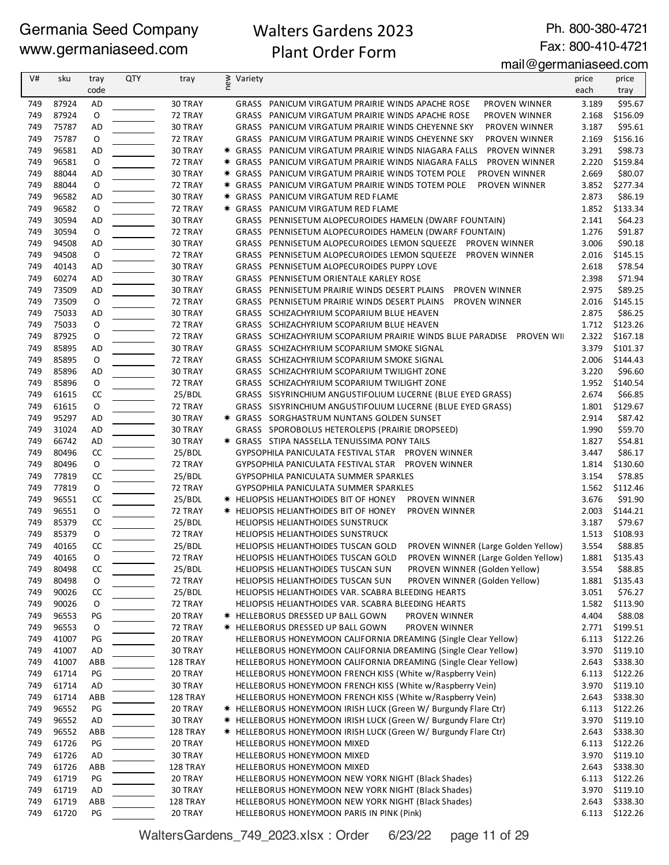## Walters Gardens 2023 Plant Order Form

Ph. 800-380-4721 Fax: 800-410-4721

## mail@germaniaseed.com

| V#  | sku   | tray        | QTY | tray     | new | Variety                                                                      | price | price    |
|-----|-------|-------------|-----|----------|-----|------------------------------------------------------------------------------|-------|----------|
|     |       | code        |     |          |     |                                                                              | each  | tray     |
| 749 | 87924 | AD          |     | 30 TRAY  |     | GRASS PANICUM VIRGATUM PRAIRIE WINDS APACHE ROSE<br>PROVEN WINNER            | 3.189 | \$95.67  |
| 749 | 87924 | 0           |     | 72 TRAY  |     | GRASS PANICUM VIRGATUM PRAIRIE WINDS APACHE ROSE<br>PROVEN WINNER            | 2.168 | \$156.09 |
| 749 | 75787 | AD          |     | 30 TRAY  |     | GRASS PANICUM VIRGATUM PRAIRIE WINDS CHEYENNE SKY<br>PROVEN WINNER           | 3.187 | \$95.61  |
| 749 | 75787 | 0           |     | 72 TRAY  |     | GRASS PANICUM VIRGATUM PRAIRIE WINDS CHEYENNE SKY<br>PROVEN WINNER           | 2.169 | \$156.16 |
| 749 | 96581 | AD          |     | 30 TRAY  |     | * GRASS PANICUM VIRGATUM PRAIRIE WINDS NIAGARA FALLS<br>PROVEN WINNER        | 3.291 | \$98.73  |
| 749 | 96581 | 0           |     | 72 TRAY  |     | <b>* GRASS PANICUM VIRGATUM PRAIRIE WINDS NIAGARA FALLS</b><br>PROVEN WINNER | 2.220 | \$159.84 |
| 749 | 88044 | AD          |     | 30 TRAY  |     | * GRASS PANICUM VIRGATUM PRAIRIE WINDS TOTEM POLE<br>PROVEN WINNER           | 2.669 | \$80.07  |
| 749 | 88044 | 0           |     | 72 TRAY  |     | <b>* GRASS PANICUM VIRGATUM PRAIRIE WINDS TOTEM POLE</b><br>PROVEN WINNER    | 3.852 | \$277.34 |
| 749 | 96582 | AD          |     | 30 TRAY  |     | <b>★ GRASS PANICUM VIRGATUM RED FLAME</b>                                    | 2.873 | \$86.19  |
| 749 | 96582 | O           |     | 72 TRAY  |     | * GRASS PANICUM VIRGATUM RED FLAME                                           | 1.852 | \$133.34 |
| 749 | 30594 | AD          |     | 30 TRAY  |     | GRASS PENNISETUM ALOPECUROIDES HAMELN (DWARF FOUNTAIN)                       | 2.141 | \$64.23  |
| 749 | 30594 | 0           |     | 72 TRAY  |     | GRASS PENNISETUM ALOPECUROIDES HAMELN (DWARF FOUNTAIN)                       | 1.276 | \$91.87  |
| 749 | 94508 | AD          |     | 30 TRAY  |     | GRASS PENNISETUM ALOPECUROIDES LEMON SQUEEZE PROVEN WINNER                   | 3.006 | \$90.18  |
| 749 | 94508 | 0           |     | 72 TRAY  |     | GRASS PENNISETUM ALOPECUROIDES LEMON SQUEEZE PROVEN WINNER                   | 2.016 | \$145.15 |
| 749 | 40143 | AD          |     | 30 TRAY  |     | GRASS PENNISETUM ALOPECUROIDES PUPPY LOVE                                    | 2.618 | \$78.54  |
| 749 | 60274 | AD          |     | 30 TRAY  |     | GRASS PENNISETUM ORIENTALE KARLEY ROSE                                       | 2.398 | \$71.94  |
| 749 | 73509 | AD          |     | 30 TRAY  |     | GRASS PENNISETUM PRAIRIE WINDS DESERT PLAINS<br><b>PROVEN WINNER</b>         | 2.975 | \$89.25  |
| 749 | 73509 | O           |     | 72 TRAY  |     | GRASS PENNISETUM PRAIRIE WINDS DESERT PLAINS<br><b>PROVEN WINNER</b>         | 2.016 | \$145.15 |
| 749 | 75033 | AD          |     | 30 TRAY  |     | GRASS SCHIZACHYRIUM SCOPARIUM BLUE HEAVEN                                    | 2.875 | \$86.25  |
| 749 | 75033 | 0           |     | 72 TRAY  |     | GRASS SCHIZACHYRIUM SCOPARIUM BLUE HEAVEN                                    | 1.712 | \$123.26 |
| 749 | 87925 | 0           |     | 72 TRAY  |     | GRASS SCHIZACHYRIUM SCOPARIUM PRAIRIE WINDS BLUE PARADISE PROVEN WII         | 2.322 | \$167.18 |
| 749 | 85895 | AD          |     | 30 TRAY  |     | GRASS SCHIZACHYRIUM SCOPARIUM SMOKE SIGNAL                                   | 3.379 | \$101.37 |
| 749 | 85895 | 0           |     | 72 TRAY  |     | GRASS SCHIZACHYRIUM SCOPARIUM SMOKE SIGNAL                                   | 2.006 | \$144.43 |
| 749 | 85896 | AD          |     | 30 TRAY  |     | GRASS SCHIZACHYRIUM SCOPARIUM TWILIGHT ZONE                                  | 3.220 | \$96.60  |
| 749 | 85896 | 0           |     | 72 TRAY  |     | GRASS SCHIZACHYRIUM SCOPARIUM TWILIGHT ZONE                                  | 1.952 | \$140.54 |
| 749 | 61615 | CC          |     | 25/BDL   |     | GRASS SISYRINCHIUM ANGUSTIFOLIUM LUCERNE (BLUE EYED GRASS)                   | 2.674 | \$66.85  |
| 749 | 61615 | $\mathsf O$ |     | 72 TRAY  |     | GRASS SISYRINCHIUM ANGUSTIFOLIUM LUCERNE (BLUE EYED GRASS)                   | 1.801 | \$129.67 |
| 749 | 95297 | AD          |     | 30 TRAY  |     | <b>* GRASS SORGHASTRUM NUNTANS GOLDEN SUNSET</b>                             | 2.914 | \$87.42  |
| 749 | 31024 | AD          |     | 30 TRAY  |     | GRASS SPOROBOLUS HETEROLEPIS (PRAIRIE DROPSEED)                              | 1.990 | \$59.70  |
| 749 | 66742 | AD          |     | 30 TRAY  |     | * GRASS STIPA NASSELLA TENUISSIMA PONY TAILS                                 | 1.827 | \$54.81  |
| 749 | 80496 | CC          |     | 25/BDL   |     | GYPSOPHILA PANICULATA FESTIVAL STAR PROVEN WINNER                            | 3.447 | \$86.17  |
| 749 | 80496 | O           |     | 72 TRAY  |     | GYPSOPHILA PANICULATA FESTIVAL STAR PROVEN WINNER                            | 1.814 | \$130.60 |
| 749 | 77819 | CC          |     | 25/BDL   |     | GYPSOPHILA PANICULATA SUMMER SPARKLES                                        | 3.154 | \$78.85  |
| 749 | 77819 | O           |     | 72 TRAY  |     | GYPSOPHILA PANICULATA SUMMER SPARKLES                                        | 1.562 | \$112.46 |
| 749 | 96551 | CC          |     | 25/BDL   |     | * HELIOPSIS HELIANTHOIDES BIT OF HONEY<br>PROVEN WINNER                      | 3.676 | \$91.90  |
| 749 | 96551 | O           |     | 72 TRAY  |     | * HELIOPSIS HELIANTHOIDES BIT OF HONEY<br><b>PROVEN WINNER</b>               | 2.003 | \$144.21 |
| 749 | 85379 | CC          |     | 25/BDL   |     | HELIOPSIS HELIANTHOIDES SUNSTRUCK                                            | 3.187 | \$79.67  |
| 749 | 85379 | O           |     | 72 TRAY  |     | HELIOPSIS HELIANTHOIDES SUNSTRUCK                                            | 1.513 | \$108.93 |
| 749 | 40165 | CC          |     | 25/BDL   |     | HELIOPSIS HELIANTHOIDES TUSCAN GOLD<br>PROVEN WINNER (Large Golden Yellow)   | 3.554 | \$88.85  |
| 749 | 40165 | O           |     | 72 TRAY  |     | HELIOPSIS HELIANTHOIDES TUSCAN GOLD<br>PROVEN WINNER (Large Golden Yellow)   | 1.881 | \$135.43 |
| 749 | 80498 | CC          |     | 25/BDL   |     | PROVEN WINNER (Golden Yellow)<br>HELIOPSIS HELIANTHOIDES TUSCAN SUN          | 3.554 | \$88.85  |
| 749 | 80498 | 0           |     | 72 TRAY  |     | PROVEN WINNER (Golden Yellow)<br>HELIOPSIS HELIANTHOIDES TUSCAN SUN          | 1.881 | \$135.43 |
| 749 | 90026 | CC          |     | 25/BDL   |     | HELIOPSIS HELIANTHOIDES VAR. SCABRA BLEEDING HEARTS                          | 3.051 | \$76.27  |
| 749 | 90026 | 0           |     | 72 TRAY  |     | HELIOPSIS HELIANTHOIDES VAR. SCABRA BLEEDING HEARTS                          | 1.582 | \$113.90 |
| 749 | 96553 | PG          |     | 20 TRAY  |     | <b>* HELLEBORUS DRESSED UP BALL GOWN</b><br>PROVEN WINNER                    | 4.404 | \$88.08  |
| 749 | 96553 | 0           |     | 72 TRAY  |     | <b>* HELLEBORUS DRESSED UP BALL GOWN</b><br>PROVEN WINNER                    | 2.771 | \$199.51 |
| 749 | 41007 | PG          |     | 20 TRAY  |     | HELLEBORUS HONEYMOON CALIFORNIA DREAMING (Single Clear Yellow)               | 6.113 | \$122.26 |
| 749 | 41007 | AD          |     | 30 TRAY  |     | HELLEBORUS HONEYMOON CALIFORNIA DREAMING (Single Clear Yellow)               | 3.970 | \$119.10 |
| 749 | 41007 | ABB         |     | 128 TRAY |     | HELLEBORUS HONEYMOON CALIFORNIA DREAMING (Single Clear Yellow)               | 2.643 | \$338.30 |
| 749 | 61714 | PG          |     | 20 TRAY  |     | HELLEBORUS HONEYMOON FRENCH KISS (White w/Raspberry Vein)                    | 6.113 | \$122.26 |
| 749 | 61714 | AD          |     | 30 TRAY  |     | HELLEBORUS HONEYMOON FRENCH KISS (White w/Raspberry Vein)                    | 3.970 | \$119.10 |
| 749 | 61714 | ABB         |     | 128 TRAY |     | HELLEBORUS HONEYMOON FRENCH KISS (White w/Raspberry Vein)                    | 2.643 | \$338.30 |
| 749 | 96552 | PG          |     | 20 TRAY  |     | * HELLEBORUS HONEYMOON IRISH LUCK (Green W/ Burgundy Flare Ctr)              | 6.113 | \$122.26 |
| 749 | 96552 | AD          |     | 30 TRAY  |     | * HELLEBORUS HONEYMOON IRISH LUCK (Green W/ Burgundy Flare Ctr)              | 3.970 | \$119.10 |
| 749 | 96552 | ABB         |     | 128 TRAY |     | * HELLEBORUS HONEYMOON IRISH LUCK (Green W/ Burgundy Flare Ctr)              | 2.643 | \$338.30 |
| 749 | 61726 | PG          |     | 20 TRAY  |     | HELLEBORUS HONEYMOON MIXED                                                   | 6.113 | \$122.26 |
| 749 | 61726 | AD          |     | 30 TRAY  |     | HELLEBORUS HONEYMOON MIXED                                                   | 3.970 | \$119.10 |
| 749 | 61726 | ABB         |     | 128 TRAY |     | HELLEBORUS HONEYMOON MIXED                                                   | 2.643 | \$338.30 |
| 749 | 61719 | PG          |     | 20 TRAY  |     | HELLEBORUS HONEYMOON NEW YORK NIGHT (Black Shades)                           | 6.113 | \$122.26 |
| 749 | 61719 | AD          |     | 30 TRAY  |     | HELLEBORUS HONEYMOON NEW YORK NIGHT (Black Shades)                           | 3.970 | \$119.10 |
| 749 | 61719 | ABB         |     | 128 TRAY |     | HELLEBORUS HONEYMOON NEW YORK NIGHT (Black Shades)                           | 2.643 | \$338.30 |
| 749 | 61720 | PG          |     | 20 TRAY  |     | HELLEBORUS HONEYMOON PARIS IN PINK (Pink)                                    | 6.113 | \$122.26 |

WaltersGardens\_749\_2023.xlsx : Order 6/23/22 page 11 of 29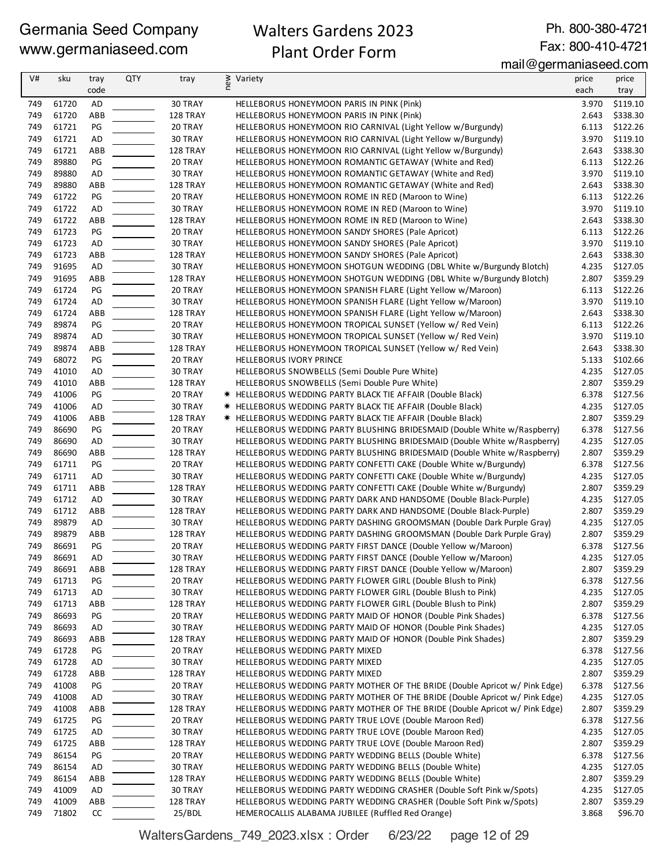## Walters Gardens 2023 Plant Order Form

Ph. 800-380-4721 Fax: 800-410-4721

#### mail@germaniaseed.com

| V#         | sku            | tray                | <b>QTY</b> | tray                | ≥ Variety<br>E                                                                                                                        | price          | price                |
|------------|----------------|---------------------|------------|---------------------|---------------------------------------------------------------------------------------------------------------------------------------|----------------|----------------------|
|            |                | code                |            |                     |                                                                                                                                       | each           | tray                 |
| 749        | 61720          | AD                  |            | 30 TRAY             | HELLEBORUS HONEYMOON PARIS IN PINK (Pink)                                                                                             | 3.970          | \$119.10             |
| 749        | 61720          | ABB                 |            | 128 TRAY            | HELLEBORUS HONEYMOON PARIS IN PINK (Pink)                                                                                             | 2.643          | \$338.30             |
| 749        | 61721          | PG                  |            | 20 TRAY             | HELLEBORUS HONEYMOON RIO CARNIVAL (Light Yellow w/Burgundy)                                                                           | 6.113          | \$122.26             |
| 749        | 61721          | AD                  |            | 30 TRAY             | HELLEBORUS HONEYMOON RIO CARNIVAL (Light Yellow w/Burgundy)                                                                           | 3.970          | \$119.10             |
| 749        | 61721          | ABB                 |            | 128 TRAY            | HELLEBORUS HONEYMOON RIO CARNIVAL (Light Yellow w/Burgundy)                                                                           | 2.643          | \$338.30             |
| 749        | 89880          | PG                  |            | 20 TRAY             | HELLEBORUS HONEYMOON ROMANTIC GETAWAY (White and Red)                                                                                 | 6.113          | \$122.26             |
| 749        | 89880          | <b>AD</b>           |            | 30 TRAY             | HELLEBORUS HONEYMOON ROMANTIC GETAWAY (White and Red)                                                                                 | 3.970          | \$119.10             |
| 749        | 89880          | ABB                 |            | 128 TRAY            | HELLEBORUS HONEYMOON ROMANTIC GETAWAY (White and Red)                                                                                 | 2.643          | \$338.30             |
| 749        | 61722          | PG                  |            | 20 TRAY             | HELLEBORUS HONEYMOON ROME IN RED (Maroon to Wine)                                                                                     | 6.113          | \$122.26             |
| 749        | 61722          | <b>AD</b>           |            | 30 TRAY             | HELLEBORUS HONEYMOON ROME IN RED (Maroon to Wine)                                                                                     | 3.970          | \$119.10             |
| 749        | 61722          | ABB                 |            | 128 TRAY            | HELLEBORUS HONEYMOON ROME IN RED (Maroon to Wine)                                                                                     | 2.643          | \$338.30             |
| 749        | 61723          | PG                  |            | 20 TRAY             | HELLEBORUS HONEYMOON SANDY SHORES (Pale Apricot)                                                                                      | 6.113          | \$122.26             |
| 749<br>749 | 61723<br>61723 | AD<br>ABB           |            | 30 TRAY<br>128 TRAY | HELLEBORUS HONEYMOON SANDY SHORES (Pale Apricot)                                                                                      | 3.970<br>2.643 | \$119.10<br>\$338.30 |
| 749        | 91695          | AD                  |            | 30 TRAY             | HELLEBORUS HONEYMOON SANDY SHORES (Pale Apricot)<br>HELLEBORUS HONEYMOON SHOTGUN WEDDING (DBL White w/Burgundy Blotch)                | 4.235          | \$127.05             |
| 749        | 91695          | ABB                 |            | 128 TRAY            | HELLEBORUS HONEYMOON SHOTGUN WEDDING (DBL White w/Burgundy Blotch)                                                                    | 2.807          | \$359.29             |
| 749        | 61724          | PG                  |            | 20 TRAY             | HELLEBORUS HONEYMOON SPANISH FLARE (Light Yellow w/Maroon)                                                                            | 6.113          | \$122.26             |
| 749        | 61724          | <b>AD</b>           |            | 30 TRAY             | HELLEBORUS HONEYMOON SPANISH FLARE (Light Yellow w/Maroon)                                                                            | 3.970          | \$119.10             |
| 749        | 61724          | ABB                 |            | 128 TRAY            | HELLEBORUS HONEYMOON SPANISH FLARE (Light Yellow w/Maroon)                                                                            | 2.643          | \$338.30             |
| 749        | 89874          | PG                  |            | 20 TRAY             | HELLEBORUS HONEYMOON TROPICAL SUNSET (Yellow w/ Red Vein)                                                                             | 6.113          | \$122.26             |
| 749        | 89874          | AD                  |            | 30 TRAY             | HELLEBORUS HONEYMOON TROPICAL SUNSET (Yellow w/ Red Vein)                                                                             | 3.970          | \$119.10             |
| 749        | 89874          | ABB                 |            | 128 TRAY            | HELLEBORUS HONEYMOON TROPICAL SUNSET (Yellow w/ Red Vein)                                                                             | 2.643          | \$338.30             |
| 749        | 68072          | PG                  |            | 20 TRAY             | HELLEBORUS IVORY PRINCE                                                                                                               | 5.133          | \$102.66             |
| 749        | 41010          | <b>AD</b>           |            | 30 TRAY             | HELLEBORUS SNOWBELLS (Semi Double Pure White)                                                                                         | 4.235          | \$127.05             |
| 749        | 41010          | ABB                 |            | 128 TRAY            | HELLEBORUS SNOWBELLS (Semi Double Pure White)                                                                                         | 2.807          | \$359.29             |
| 749        | 41006          | PG                  |            | 20 TRAY             | * HELLEBORUS WEDDING PARTY BLACK TIE AFFAIR (Double Black)                                                                            | 6.378          | \$127.56             |
| 749        | 41006          | AD                  |            | 30 TRAY             | * HELLEBORUS WEDDING PARTY BLACK TIE AFFAIR (Double Black)                                                                            | 4.235          | \$127.05             |
| 749        | 41006          | ABB                 |            | 128 TRAY            | * HELLEBORUS WEDDING PARTY BLACK TIE AFFAIR (Double Black)                                                                            | 2.807          | \$359.29             |
| 749        | 86690          | PG                  |            | 20 TRAY             | HELLEBORUS WEDDING PARTY BLUSHING BRIDESMAID (Double White w/Raspberry)                                                               | 6.378          | \$127.56             |
| 749        | 86690          | AD                  |            | 30 TRAY             | HELLEBORUS WEDDING PARTY BLUSHING BRIDESMAID (Double White w/Raspberry)                                                               | 4.235          | \$127.05             |
| 749        | 86690          | ABB                 |            | 128 TRAY            | HELLEBORUS WEDDING PARTY BLUSHING BRIDESMAID (Double White w/Raspberry)                                                               | 2.807          | \$359.29             |
| 749        | 61711          | PG                  |            | 20 TRAY             | HELLEBORUS WEDDING PARTY CONFETTI CAKE (Double White w/Burgundy)                                                                      | 6.378          | \$127.56             |
| 749        | 61711          | <b>AD</b>           |            | 30 TRAY             | HELLEBORUS WEDDING PARTY CONFETTI CAKE (Double White w/Burgundy)                                                                      | 4.235          | \$127.05             |
| 749        | 61711          | ABB                 |            | 128 TRAY            | HELLEBORUS WEDDING PARTY CONFETTI CAKE (Double White w/Burgundy)                                                                      | 2.807          | \$359.29             |
| 749        | 61712          | AD                  |            | 30 TRAY             | HELLEBORUS WEDDING PARTY DARK AND HANDSOME (Double Black-Purple)                                                                      | 4.235          | \$127.05             |
| 749        | 61712          | ABB                 |            | 128 TRAY            | HELLEBORUS WEDDING PARTY DARK AND HANDSOME (Double Black-Purple)                                                                      | 2.807          | \$359.29             |
| 749        | 89879          | AD                  |            | 30 TRAY             | HELLEBORUS WEDDING PARTY DASHING GROOMSMAN (Double Dark Purple Gray)                                                                  | 4.235          | \$127.05             |
| 749<br>749 | 89879          | ABB                 |            | 128 TRAY            | HELLEBORUS WEDDING PARTY DASHING GROOMSMAN (Double Dark Purple Gray)<br>HELLEBORUS WEDDING PARTY FIRST DANCE (Double Yellow w/Maroon) | 2.807          | \$359.29             |
| 749        | 86691<br>86691 | $\mathsf{PG}$<br>AD |            | 20 TRAY<br>30 TRAY  | HELLEBORUS WEDDING PARTY FIRST DANCE (Double Yellow w/Maroon)                                                                         | 6.378<br>4.235 | \$127.56<br>\$127.05 |
| 749        | 86691          | ABB                 |            | 128 TRAY            | HELLEBORUS WEDDING PARTY FIRST DANCE (Double Yellow w/Maroon)                                                                         | 2.807          | \$359.29             |
| 749        | 61713          | PG                  |            | 20 TRAY             | HELLEBORUS WEDDING PARTY FLOWER GIRL (Double Blush to Pink)                                                                           | 6.378          | \$127.56             |
| 749        | 61713          | AD                  |            | 30 TRAY             | HELLEBORUS WEDDING PARTY FLOWER GIRL (Double Blush to Pink)                                                                           | 4.235          | \$127.05             |
| 749        | 61713          | ABB                 |            | 128 TRAY            | HELLEBORUS WEDDING PARTY FLOWER GIRL (Double Blush to Pink)                                                                           | 2.807          | \$359.29             |
| 749        | 86693          | PG                  |            | 20 TRAY             | HELLEBORUS WEDDING PARTY MAID OF HONOR (Double Pink Shades)                                                                           | 6.378          | \$127.56             |
| 749        | 86693          | AD                  |            | 30 TRAY             | HELLEBORUS WEDDING PARTY MAID OF HONOR (Double Pink Shades)                                                                           | 4.235          | \$127.05             |
| 749        | 86693          | ABB                 |            | 128 TRAY            | HELLEBORUS WEDDING PARTY MAID OF HONOR (Double Pink Shades)                                                                           | 2.807          | \$359.29             |
| 749        | 61728          | PG                  |            | 20 TRAY             | HELLEBORUS WEDDING PARTY MIXED                                                                                                        | 6.378          | \$127.56             |
| 749        | 61728          | AD                  |            | 30 TRAY             | HELLEBORUS WEDDING PARTY MIXED                                                                                                        | 4.235          | \$127.05             |
| 749        | 61728          | ABB                 |            | 128 TRAY            | HELLEBORUS WEDDING PARTY MIXED                                                                                                        | 2.807          | \$359.29             |
| 749        | 41008          | PG                  |            | 20 TRAY             | HELLEBORUS WEDDING PARTY MOTHER OF THE BRIDE (Double Apricot w/ Pink Edge)                                                            | 6.378          | \$127.56             |
| 749        | 41008          | AD                  |            | 30 TRAY             | HELLEBORUS WEDDING PARTY MOTHER OF THE BRIDE (Double Apricot w/ Pink Edge)                                                            | 4.235          | \$127.05             |
| 749        | 41008          | ABB                 |            | 128 TRAY            | HELLEBORUS WEDDING PARTY MOTHER OF THE BRIDE (Double Apricot w/ Pink Edge)                                                            | 2.807          | \$359.29             |
| 749        | 61725          | PG                  |            | 20 TRAY             | HELLEBORUS WEDDING PARTY TRUE LOVE (Double Maroon Red)                                                                                | 6.378          | \$127.56             |
| 749        | 61725          | AD                  |            | 30 TRAY             | HELLEBORUS WEDDING PARTY TRUE LOVE (Double Maroon Red)                                                                                | 4.235          | \$127.05             |
| 749        | 61725          | ABB                 |            | 128 TRAY            | HELLEBORUS WEDDING PARTY TRUE LOVE (Double Maroon Red)                                                                                | 2.807          | \$359.29             |
| 749        | 86154          | PG                  |            | 20 TRAY             | HELLEBORUS WEDDING PARTY WEDDING BELLS (Double White)                                                                                 | 6.378          | \$127.56             |
| 749        | 86154          | AD                  |            | 30 TRAY             | HELLEBORUS WEDDING PARTY WEDDING BELLS (Double White)                                                                                 | 4.235          | \$127.05             |
| 749        | 86154          | ABB                 |            | 128 TRAY            | HELLEBORUS WEDDING PARTY WEDDING BELLS (Double White)                                                                                 | 2.807          | \$359.29             |
| 749        | 41009          | AD                  |            | 30 TRAY             | HELLEBORUS WEDDING PARTY WEDDING CRASHER (Double Soft Pink w/Spots)                                                                   | 4.235          | \$127.05             |
| 749        | 41009          | ABB                 |            | 128 TRAY            | HELLEBORUS WEDDING PARTY WEDDING CRASHER (Double Soft Pink w/Spots)                                                                   | 2.807          | \$359.29             |
| 749        | 71802          | CC                  |            | 25/BDL              | HEMEROCALLIS ALABAMA JUBILEE (Ruffled Red Orange)                                                                                     | 3.868          | \$96.70              |

WaltersGardens\_749\_2023.xlsx : Order 6/23/22 page 12 of 29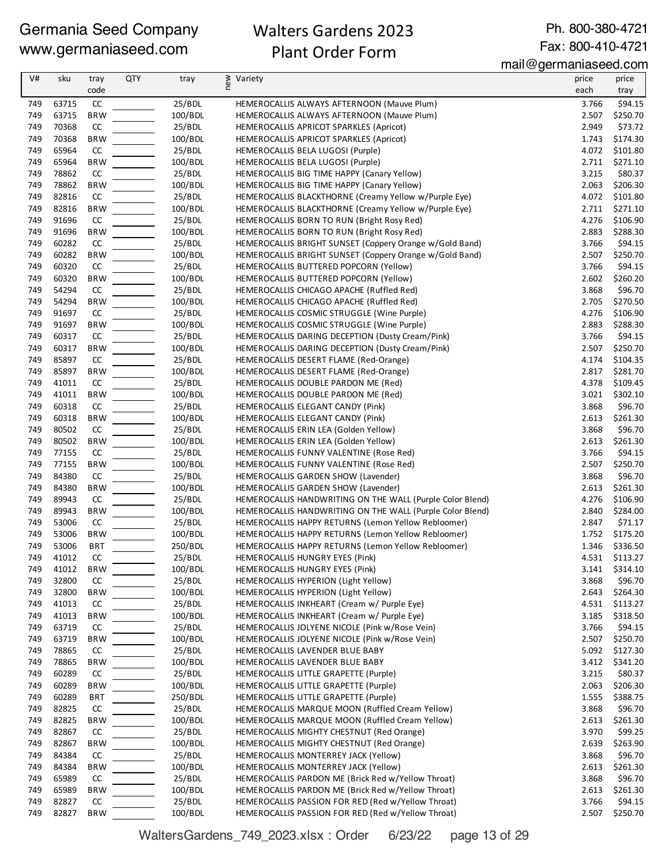## Walters Gardens 2023 Plant Order Form

Ph. 800-380-4721 Fax: 800-410-4721

mail@germaniaseed.com

| V#         | sku            | tray             | <b>QTY</b> | tray              | new<br>Variety                                                                                             | price          | price                |
|------------|----------------|------------------|------------|-------------------|------------------------------------------------------------------------------------------------------------|----------------|----------------------|
|            |                | code             |            |                   |                                                                                                            | each           | tray                 |
| 749        | 63715          | CC               |            | 25/BDL            | HEMEROCALLIS ALWAYS AFTERNOON (Mauve Plum)                                                                 | 3.766          | \$94.15              |
| 749        | 63715          | <b>BRW</b>       |            | 100/BDL           | HEMEROCALLIS ALWAYS AFTERNOON (Mauve Plum)                                                                 | 2.507          | \$250.70             |
| 749        | 70368          | CC               |            | 25/BDL            | HEMEROCALLIS APRICOT SPARKLES (Apricot)                                                                    | 2.949          | \$73.72              |
| 749        | 70368          | <b>BRW</b>       |            | 100/BDL           | HEMEROCALLIS APRICOT SPARKLES (Apricot)                                                                    | 1.743          | \$174.30             |
| 749        | 65964          | CC               |            | 25/BDL            | HEMEROCALLIS BELA LUGOSI (Purple)                                                                          | 4.072          | \$101.80             |
| 749        | 65964          | <b>BRW</b>       |            | 100/BDL           | HEMEROCALLIS BELA LUGOSI (Purple)                                                                          | 2.711          | \$271.10             |
| 749        | 78862          | CC               |            | 25/BDL            | HEMEROCALLIS BIG TIME HAPPY (Canary Yellow)                                                                | 3.215          | \$80.37              |
| 749        | 78862          | <b>BRW</b>       |            | 100/BDL           | HEMEROCALLIS BIG TIME HAPPY (Canary Yellow)                                                                | 2.063          | \$206.30             |
| 749<br>749 | 82816          | CC               |            | 25/BDL            | HEMEROCALLIS BLACKTHORNE (Creamy Yellow w/Purple Eye)                                                      | 4.072          | \$101.80             |
| 749        | 82816<br>91696 | <b>BRW</b><br>CC |            | 100/BDL<br>25/BDL | HEMEROCALLIS BLACKTHORNE (Creamy Yellow w/Purple Eye)<br>HEMEROCALLIS BORN TO RUN (Bright Rosy Red)        | 2.711<br>4.276 | \$271.10<br>\$106.90 |
| 749        | 91696          | <b>BRW</b>       |            | 100/BDL           | HEMEROCALLIS BORN TO RUN (Bright Rosy Red)                                                                 | 2.883          | \$288.30             |
| 749        | 60282          | CC               |            | 25/BDL            | HEMEROCALLIS BRIGHT SUNSET (Coppery Orange w/Gold Band)                                                    | 3.766          | \$94.15              |
| 749        | 60282          | <b>BRW</b>       |            | 100/BDL           | HEMEROCALLIS BRIGHT SUNSET (Coppery Orange w/Gold Band)                                                    | 2.507          | \$250.70             |
| 749        | 60320          | CC               |            | 25/BDL            | HEMEROCALLIS BUTTERED POPCORN (Yellow)                                                                     | 3.766          | \$94.15              |
| 749        | 60320          | <b>BRW</b>       |            | 100/BDL           | HEMEROCALLIS BUTTERED POPCORN (Yellow)                                                                     | 2.602          | \$260.20             |
| 749        | 54294          | CC               |            | 25/BDL            | HEMEROCALLIS CHICAGO APACHE (Ruffled Red)                                                                  | 3.868          | \$96.70              |
| 749        | 54294          | <b>BRW</b>       |            | 100/BDL           | HEMEROCALLIS CHICAGO APACHE (Ruffled Red)                                                                  | 2.705          | \$270.50             |
| 749        | 91697          | CC               |            | 25/BDL            | HEMEROCALLIS COSMIC STRUGGLE (Wine Purple)                                                                 | 4.276          | \$106.90             |
| 749        | 91697          | <b>BRW</b>       |            | 100/BDL           | HEMEROCALLIS COSMIC STRUGGLE (Wine Purple)                                                                 | 2.883          | \$288.30             |
| 749        | 60317          | CC               |            | 25/BDL            | HEMEROCALLIS DARING DECEPTION (Dusty Cream/Pink)                                                           | 3.766          | \$94.15              |
| 749        | 60317          | <b>BRW</b>       |            | 100/BDL           | HEMEROCALLIS DARING DECEPTION (Dusty Cream/Pink)                                                           | 2.507          | \$250.70             |
| 749        | 85897          | CC               |            | 25/BDL            | HEMEROCALLIS DESERT FLAME (Red-Orange)                                                                     | 4.174          | \$104.35             |
| 749        | 85897          | <b>BRW</b>       |            | 100/BDL           | HEMEROCALLIS DESERT FLAME (Red-Orange)                                                                     | 2.817          | \$281.70             |
| 749        | 41011          | CC               |            | 25/BDL            | HEMEROCALLIS DOUBLE PARDON ME (Red)                                                                        | 4.378          | \$109.45             |
| 749        | 41011          | <b>BRW</b>       |            | 100/BDL           | HEMEROCALLIS DOUBLE PARDON ME (Red)                                                                        | 3.021          | \$302.10             |
| 749        | 60318          | CC               |            | 25/BDL            | HEMEROCALLIS ELEGANT CANDY (Pink)                                                                          | 3.868          | \$96.70              |
| 749        | 60318          | <b>BRW</b>       |            | 100/BDL           | HEMEROCALLIS ELEGANT CANDY (Pink)                                                                          | 2.613          | \$261.30             |
| 749        | 80502          | CC               |            | 25/BDL            | HEMEROCALLIS ERIN LEA (Golden Yellow)                                                                      | 3.868          | \$96.70              |
| 749        | 80502          | <b>BRW</b>       |            | 100/BDL           | HEMEROCALLIS ERIN LEA (Golden Yellow)                                                                      | 2.613          | \$261.30             |
| 749        | 77155          | CC               |            | 25/BDL            | HEMEROCALLIS FUNNY VALENTINE (Rose Red)                                                                    | 3.766          | \$94.15              |
| 749        | 77155          | <b>BRW</b>       |            | 100/BDL           | HEMEROCALLIS FUNNY VALENTINE (Rose Red)                                                                    | 2.507          | \$250.70             |
| 749        | 84380          | CC               |            | 25/BDL            | HEMEROCALLIS GARDEN SHOW (Lavender)                                                                        | 3.868          | \$96.70              |
| 749        | 84380          | <b>BRW</b>       |            | 100/BDL           | HEMEROCALLIS GARDEN SHOW (Lavender)                                                                        | 2.613          | \$261.30             |
| 749        | 89943          | CC               |            | 25/BDL            | HEMEROCALLIS HANDWRITING ON THE WALL (Purple Color Blend)                                                  | 4.276          | \$106.90             |
| 749        | 89943          | <b>BRW</b>       |            | 100/BDL           | HEMEROCALLIS HANDWRITING ON THE WALL (Purple Color Blend)                                                  | 2.840          | \$284.00             |
| 749<br>749 | 53006<br>53006 | CC<br><b>BRW</b> |            | 25/BDL<br>100/BDL | HEMEROCALLIS HAPPY RETURNS (Lemon Yellow Rebloomer)<br>HEMEROCALLIS HAPPY RETURNS (Lemon Yellow Rebloomer) | 2.847<br>1.752 | \$71.17<br>\$175.20  |
| 749        | 53006          | <b>BRT</b>       |            | 250/BDL           | HEMEROCALLIS HAPPY RETURNS (Lemon Yellow Rebloomer)                                                        | 1.346          | \$336.50             |
| 749        | 41012          | CC               |            | 25/BDL            | HEMEROCALLIS HUNGRY EYES (Pink)                                                                            | 4.531          | \$113.27             |
| 749        | 41012          | <b>BRW</b>       |            | 100/BDL           | HEMEROCALLIS HUNGRY EYES (Pink)                                                                            | 3.141          | \$314.10             |
| 749        | 32800          | CC               |            | 25/BDL            | HEMEROCALLIS HYPERION (Light Yellow)                                                                       | 3.868          | \$96.70              |
| 749        | 32800          | <b>BRW</b>       |            | 100/BDL           | HEMEROCALLIS HYPERION (Light Yellow)                                                                       | 2.643          | \$264.30             |
| 749        | 41013          | CC               |            | 25/BDL            | HEMEROCALLIS INKHEART (Cream w/ Purple Eye)                                                                | 4.531          | \$113.27             |
| 749        | 41013          | <b>BRW</b>       |            | 100/BDL           | HEMEROCALLIS INKHEART (Cream w/ Purple Eye)                                                                | 3.185          | \$318.50             |
| 749        | 63719          | CC               |            | 25/BDL            | HEMEROCALLIS JOLYENE NICOLE (Pink w/Rose Vein)                                                             | 3.766          | \$94.15              |
| 749        | 63719          | <b>BRW</b>       |            | 100/BDL           | HEMEROCALLIS JOLYENE NICOLE (Pink w/Rose Vein)                                                             | 2.507          | \$250.70             |
| 749        | 78865          | CC               |            | 25/BDL            | HEMEROCALLIS LAVENDER BLUE BABY                                                                            | 5.092          | \$127.30             |
| 749        | 78865          | <b>BRW</b>       |            | 100/BDL           | HEMEROCALLIS LAVENDER BLUE BABY                                                                            | 3.412          | \$341.20             |
| 749        | 60289          | CC               |            | 25/BDL            | HEMEROCALLIS LITTLE GRAPETTE (Purple)                                                                      | 3.215          | \$80.37              |
| 749        | 60289          | <b>BRW</b>       |            | 100/BDL           | HEMEROCALLIS LITTLE GRAPETTE (Purple)                                                                      | 2.063          | \$206.30             |
| 749        | 60289          | <b>BRT</b>       |            | 250/BDL           | HEMEROCALLIS LITTLE GRAPETTE (Purple)                                                                      | 1.555          | \$388.75             |
| 749        | 82825          | CC               |            | 25/BDL            | HEMEROCALLIS MARQUE MOON (Ruffled Cream Yellow)                                                            | 3.868          | \$96.70              |
| 749        | 82825          | <b>BRW</b>       |            | 100/BDL           | HEMEROCALLIS MARQUE MOON (Ruffled Cream Yellow)                                                            | 2.613          | \$261.30             |
| 749        | 82867          | CC               |            | 25/BDL            | HEMEROCALLIS MIGHTY CHESTNUT (Red Orange)                                                                  | 3.970          | \$99.25              |
| 749        | 82867          | <b>BRW</b>       |            | 100/BDL           | HEMEROCALLIS MIGHTY CHESTNUT (Red Orange)                                                                  | 2.639          | \$263.90             |
| 749        | 84384          | CC               |            | 25/BDL            | HEMEROCALLIS MONTERREY JACK (Yellow)                                                                       | 3.868          | \$96.70              |
| 749        | 84384          | <b>BRW</b>       |            | 100/BDL           | HEMEROCALLIS MONTERREY JACK (Yellow)                                                                       | 2.613          | \$261.30             |
| 749        | 65989          | CC               |            | 25/BDL            | HEMEROCALLIS PARDON ME (Brick Red w/Yellow Throat)                                                         | 3.868          | \$96.70              |
| 749        | 65989          | <b>BRW</b>       |            | 100/BDL           | HEMEROCALLIS PARDON ME (Brick Red w/Yellow Throat)                                                         | 2.613          | \$261.30             |
| 749        | 82827          | CC               |            | 25/BDL            | HEMEROCALLIS PASSION FOR RED (Red w/Yellow Throat)                                                         | 3.766          | \$94.15              |
| 749        | 82827          | <b>BRW</b>       |            | 100/BDL           | HEMEROCALLIS PASSION FOR RED (Red w/Yellow Throat)                                                         | 2.507          | \$250.70             |

WaltersGardens\_749\_2023.xlsx : Order 6/23/22 page 13 of 29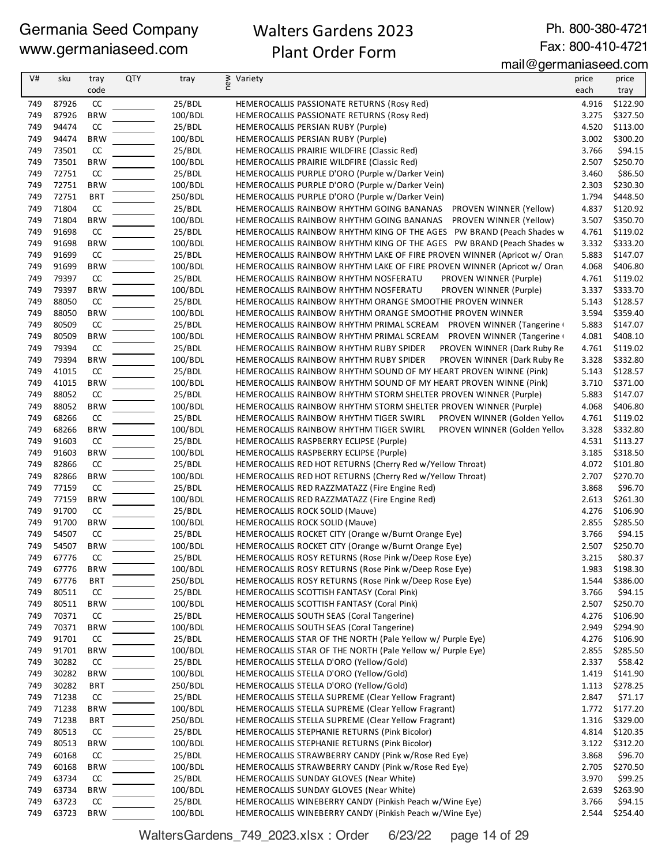## Walters Gardens 2023 Plant Order Form

Ph. 800-380-4721 Fax: 800-410-4721

mail@germaniaseed.com

| V#  | sku   | tray       | QTY | tray    | ≥ Variety<br>E                                                          | price | price    |
|-----|-------|------------|-----|---------|-------------------------------------------------------------------------|-------|----------|
|     |       | code       |     |         |                                                                         | each  | tray     |
| 749 | 87926 | CC         |     | 25/BDL  | HEMEROCALLIS PASSIONATE RETURNS (Rosy Red)                              | 4.916 | \$122.90 |
| 749 | 87926 | <b>BRW</b> |     | 100/BDL | HEMEROCALLIS PASSIONATE RETURNS (Rosy Red)                              | 3.275 | \$327.50 |
| 749 | 94474 | CC         |     | 25/BDL  | HEMEROCALLIS PERSIAN RUBY (Purple)                                      | 4.520 | \$113.00 |
| 749 | 94474 | <b>BRW</b> |     | 100/BDL | HEMEROCALLIS PERSIAN RUBY (Purple)                                      | 3.002 | \$300.20 |
| 749 | 73501 | CC         |     | 25/BDL  | HEMEROCALLIS PRAIRIE WILDFIRE (Classic Red)                             | 3.766 | \$94.15  |
| 749 | 73501 | <b>BRW</b> |     | 100/BDL | HEMEROCALLIS PRAIRIE WILDFIRE (Classic Red)                             | 2.507 | \$250.70 |
| 749 | 72751 | CC         |     | 25/BDL  | HEMEROCALLIS PURPLE D'ORO (Purple w/Darker Vein)                        | 3.460 | \$86.50  |
| 749 | 72751 | <b>BRW</b> |     | 100/BDL | HEMEROCALLIS PURPLE D'ORO (Purple w/Darker Vein)                        | 2.303 | \$230.30 |
| 749 | 72751 | <b>BRT</b> |     | 250/BDL | HEMEROCALLIS PURPLE D'ORO (Purple w/Darker Vein)                        | 1.794 | \$448.50 |
| 749 | 71804 | CC         |     | 25/BDL  | HEMEROCALLIS RAINBOW RHYTHM GOING BANANAS  PROVEN WINNER (Yellow)       | 4.837 | \$120.92 |
| 749 | 71804 | <b>BRW</b> |     | 100/BDL | HEMEROCALLIS RAINBOW RHYTHM GOING BANANAS<br>PROVEN WINNER (Yellow)     | 3.507 | \$350.70 |
| 749 | 91698 | CC         |     | 25/BDL  | HEMEROCALLIS RAINBOW RHYTHM KING OF THE AGES PW BRAND (Peach Shades w   | 4.761 | \$119.02 |
| 749 | 91698 | <b>BRW</b> |     | 100/BDL | HEMEROCALLIS RAINBOW RHYTHM KING OF THE AGES PW BRAND (Peach Shades w   | 3.332 | \$333.20 |
| 749 | 91699 | CC         |     | 25/BDL  | HEMEROCALLIS RAINBOW RHYTHM LAKE OF FIRE PROVEN WINNER (Apricot w/ Oran | 5.883 | \$147.07 |
| 749 | 91699 | <b>BRW</b> |     | 100/BDL | HEMEROCALLIS RAINBOW RHYTHM LAKE OF FIRE PROVEN WINNER (Apricot w/ Oran | 4.068 | \$406.80 |
| 749 | 79397 | CC         |     | 25/BDL  | PROVEN WINNER (Purple)<br>HEMEROCALLIS RAINBOW RHYTHM NOSFERATU         | 4.761 | \$119.02 |
| 749 | 79397 | <b>BRW</b> |     | 100/BDL | HEMEROCALLIS RAINBOW RHYTHM NOSFERATU<br>PROVEN WINNER (Purple)         | 3.337 | \$333.70 |
| 749 | 88050 | CC         |     | 25/BDL  | HEMEROCALLIS RAINBOW RHYTHM ORANGE SMOOTHIE PROVEN WINNER               | 5.143 | \$128.57 |
| 749 | 88050 | <b>BRW</b> |     | 100/BDL | HEMEROCALLIS RAINBOW RHYTHM ORANGE SMOOTHIE PROVEN WINNER               | 3.594 | \$359.40 |
| 749 | 80509 | CC         |     | 25/BDL  | HEMEROCALLIS RAINBOW RHYTHM PRIMAL SCREAM PROVEN WINNER (Tangerine +    | 5.883 | \$147.07 |
| 749 | 80509 | <b>BRW</b> |     | 100/BDL | HEMEROCALLIS RAINBOW RHYTHM PRIMAL SCREAM PROVEN WINNER (Tangerine      | 4.081 | \$408.10 |
| 749 | 79394 | CC         |     | 25/BDL  | HEMEROCALLIS RAINBOW RHYTHM RUBY SPIDER<br>PROVEN WINNER (Dark Ruby Re  | 4.761 | \$119.02 |
| 749 | 79394 | <b>BRW</b> |     | 100/BDL | HEMEROCALLIS RAINBOW RHYTHM RUBY SPIDER<br>PROVEN WINNER (Dark Ruby Re  | 3.328 | \$332.80 |
| 749 | 41015 | CC         |     | 25/BDL  | HEMEROCALLIS RAINBOW RHYTHM SOUND OF MY HEART PROVEN WINNE (Pink)       | 5.143 | \$128.57 |
| 749 | 41015 | <b>BRW</b> |     | 100/BDL | HEMEROCALLIS RAINBOW RHYTHM SOUND OF MY HEART PROVEN WINNE (Pink)       | 3.710 | \$371.00 |
| 749 | 88052 | CC         |     | 25/BDL  | HEMEROCALLIS RAINBOW RHYTHM STORM SHELTER PROVEN WINNER (Purple)        | 5.883 | \$147.07 |
| 749 | 88052 | <b>BRW</b> |     | 100/BDL | HEMEROCALLIS RAINBOW RHYTHM STORM SHELTER PROVEN WINNER (Purple)        | 4.068 | \$406.80 |
| 749 | 68266 | CC         |     | 25/BDL  | PROVEN WINNER (Golden Yellov<br>HEMEROCALLIS RAINBOW RHYTHM TIGER SWIRL | 4.761 | \$119.02 |
| 749 | 68266 | <b>BRW</b> |     | 100/BDL | HEMEROCALLIS RAINBOW RHYTHM TIGER SWIRL<br>PROVEN WINNER (Golden Yellov | 3.328 | \$332.80 |
| 749 | 91603 | CC         |     | 25/BDL  | HEMEROCALLIS RASPBERRY ECLIPSE (Purple)                                 | 4.531 | \$113.27 |
| 749 | 91603 | <b>BRW</b> |     | 100/BDL | HEMEROCALLIS RASPBERRY ECLIPSE (Purple)                                 | 3.185 | \$318.50 |
| 749 | 82866 | CC         |     | 25/BDL  | HEMEROCALLIS RED HOT RETURNS (Cherry Red w/Yellow Throat)               | 4.072 | \$101.80 |
| 749 | 82866 | <b>BRW</b> |     | 100/BDL | HEMEROCALLIS RED HOT RETURNS (Cherry Red w/Yellow Throat)               | 2.707 | \$270.70 |
| 749 | 77159 | CC         |     | 25/BDL  | HEMEROCALLIS RED RAZZMATAZZ (Fire Engine Red)                           | 3.868 | \$96.70  |
| 749 | 77159 | <b>BRW</b> |     | 100/BDL | HEMEROCALLIS RED RAZZMATAZZ (Fire Engine Red)                           | 2.613 | \$261.30 |
| 749 | 91700 | CC         |     | 25/BDL  | HEMEROCALLIS ROCK SOLID (Mauve)                                         | 4.276 | \$106.90 |
| 749 | 91700 | <b>BRW</b> |     | 100/BDL | <b>HEMEROCALLIS ROCK SOLID (Mauve)</b>                                  | 2.855 | \$285.50 |
| 749 | 54507 | CC         |     | 25/BDL  | HEMEROCALLIS ROCKET CITY (Orange w/Burnt Orange Eye)                    | 3.766 | \$94.15  |
| 749 | 54507 | <b>BRW</b> |     | 100/BDL | HEMEROCALLIS ROCKET CITY (Orange w/Burnt Orange Eye)                    | 2.507 | \$250.70 |
| 749 | 67776 | CC         |     | 25/BDL  | HEMEROCALLIS ROSY RETURNS (Rose Pink w/Deep Rose Eye)                   | 3.215 | \$80.37  |
| 749 | 67776 | <b>BRW</b> |     | 100/BDL | HEMEROCALLIS ROSY RETURNS (Rose Pink w/Deep Rose Eye)                   | 1.983 | \$198.30 |
| 749 | 67776 | <b>BRT</b> |     | 250/BDL | HEMEROCALLIS ROSY RETURNS (Rose Pink w/Deep Rose Eye)                   | 1.544 | \$386.00 |
| 749 | 80511 | CC         |     | 25/BDL  | HEMEROCALLIS SCOTTISH FANTASY (Coral Pink)                              | 3.766 | \$94.15  |
| 749 | 80511 | <b>BRW</b> |     | 100/BDL | HEMEROCALLIS SCOTTISH FANTASY (Coral Pink)                              | 2.507 | \$250.70 |
| 749 | 70371 | CC         |     | 25/BDL  | HEMEROCALLIS SOUTH SEAS (Coral Tangerine)                               | 4.276 | \$106.90 |
| 749 | 70371 | <b>BRW</b> |     | 100/BDL | HEMEROCALLIS SOUTH SEAS (Coral Tangerine)                               | 2.949 | \$294.90 |
| 749 | 91701 | CC         |     | 25/BDL  | HEMEROCALLIS STAR OF THE NORTH (Pale Yellow w/ Purple Eye)              | 4.276 | \$106.90 |
| 749 | 91701 | <b>BRW</b> |     | 100/BDL | HEMEROCALLIS STAR OF THE NORTH (Pale Yellow w/ Purple Eye)              | 2.855 | \$285.50 |
| 749 | 30282 | CC         |     | 25/BDL  | HEMEROCALLIS STELLA D'ORO (Yellow/Gold)                                 | 2.337 | \$58.42  |
| 749 | 30282 | <b>BRW</b> |     | 100/BDL | HEMEROCALLIS STELLA D'ORO (Yellow/Gold)                                 | 1.419 | \$141.90 |
| 749 | 30282 | <b>BRT</b> |     | 250/BDL | HEMEROCALLIS STELLA D'ORO (Yellow/Gold)                                 | 1.113 | \$278.25 |
| 749 | 71238 | CC         |     | 25/BDL  | HEMEROCALLIS STELLA SUPREME (Clear Yellow Fragrant)                     | 2.847 | \$71.17  |
| 749 | 71238 | <b>BRW</b> |     | 100/BDL | HEMEROCALLIS STELLA SUPREME (Clear Yellow Fragrant)                     | 1.772 | \$177.20 |
| 749 | 71238 | <b>BRT</b> |     | 250/BDL | HEMEROCALLIS STELLA SUPREME (Clear Yellow Fragrant)                     | 1.316 | \$329.00 |
| 749 | 80513 | CC         |     | 25/BDL  | HEMEROCALLIS STEPHANIE RETURNS (Pink Bicolor)                           | 4.814 | \$120.35 |
| 749 | 80513 | <b>BRW</b> |     | 100/BDL | HEMEROCALLIS STEPHANIE RETURNS (Pink Bicolor)                           | 3.122 | \$312.20 |
| 749 | 60168 | CC         |     | 25/BDL  | HEMEROCALLIS STRAWBERRY CANDY (Pink w/Rose Red Eye)                     | 3.868 | \$96.70  |
| 749 | 60168 | <b>BRW</b> |     | 100/BDL | HEMEROCALLIS STRAWBERRY CANDY (Pink w/Rose Red Eye)                     | 2.705 | \$270.50 |
| 749 | 63734 | CC         |     | 25/BDL  | HEMEROCALLIS SUNDAY GLOVES (Near White)                                 | 3.970 | \$99.25  |
| 749 | 63734 | <b>BRW</b> |     | 100/BDL | HEMEROCALLIS SUNDAY GLOVES (Near White)                                 | 2.639 | \$263.90 |
| 749 | 63723 | CC         |     | 25/BDL  | HEMEROCALLIS WINEBERRY CANDY (Pinkish Peach w/Wine Eye)                 | 3.766 | \$94.15  |
| 749 | 63723 | <b>BRW</b> |     | 100/BDL | HEMEROCALLIS WINEBERRY CANDY (Pinkish Peach w/Wine Eye)                 | 2.544 | \$254.40 |

WaltersGardens\_749\_2023.xlsx : Order 6/23/22 page 14 of 29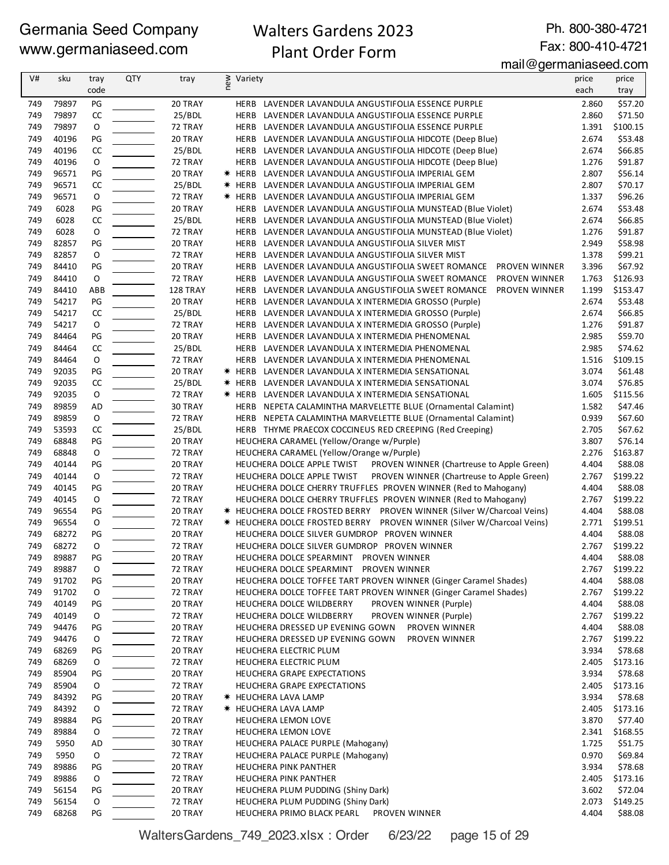## Walters Gardens 2023 Plant Order Form

Ph. 800-380-4721 Fax: 800-410-4721

## mail@germaniaseed.com

| V#         | sku            | tray | QTY | tray     | ≥ Variety<br>E |                                                                                               | price | price    |
|------------|----------------|------|-----|----------|----------------|-----------------------------------------------------------------------------------------------|-------|----------|
|            |                | code |     |          |                |                                                                                               | each  | tray     |
| 749        | 79897          | PG   |     | 20 TRAY  | HERB           | LAVENDER LAVANDULA ANGUSTIFOLIA ESSENCE PURPLE                                                | 2.860 | \$57.20  |
| 749        | 79897          | CC   |     | 25/BDL   | HERB           | LAVENDER LAVANDULA ANGUSTIFOLIA ESSENCE PURPLE                                                | 2.860 | \$71.50  |
| 749        | 79897          | O    |     | 72 TRAY  | HERB           | LAVENDER LAVANDULA ANGUSTIFOLIA ESSENCE PURPLE                                                | 1.391 | \$100.15 |
| 749        | 40196          | PG   |     | 20 TRAY  |                | HERB LAVENDER LAVANDULA ANGUSTIFOLIA HIDCOTE (Deep Blue)                                      | 2.674 | \$53.48  |
| 749        | 40196          | CC   |     | 25/BDL   |                | HERB LAVENDER LAVANDULA ANGUSTIFOLIA HIDCOTE (Deep Blue)                                      | 2.674 | \$66.85  |
| 749        | 40196          | O    |     | 72 TRAY  |                | HERB LAVENDER LAVANDULA ANGUSTIFOLIA HIDCOTE (Deep Blue)                                      | 1.276 | \$91.87  |
| 749        | 96571          | PG   |     | 20 TRAY  |                | * HERB LAVENDER LAVANDULA ANGUSTIFOLIA IMPERIAL GEM                                           | 2.807 | \$56.14  |
| 749        | 96571          | CC   |     | 25/BDL   | * HERB         | LAVENDER LAVANDULA ANGUSTIFOLIA IMPERIAL GEM                                                  | 2.807 | \$70.17  |
| 749        | 96571          | O    |     | 72 TRAY  |                | * HERB LAVENDER LAVANDULA ANGUSTIFOLIA IMPERIAL GEM                                           | 1.337 | \$96.26  |
| 749        | 6028           | PG   |     | 20 TRAY  | HERB           | LAVENDER LAVANDULA ANGUSTIFOLIA MUNSTEAD (Blue Violet)                                        | 2.674 | \$53.48  |
| 749        | 6028           | CC   |     | 25/BDL   | HERB           | LAVENDER LAVANDULA ANGUSTIFOLIA MUNSTEAD (Blue Violet)                                        | 2.674 | \$66.85  |
| 749        | 6028           | O    |     | 72 TRAY  | HERB           | LAVENDER LAVANDULA ANGUSTIFOLIA MUNSTEAD (Blue Violet)                                        | 1.276 | \$91.87  |
| 749        | 82857          | PG   |     | 20 TRAY  | HERB           | LAVENDER LAVANDULA ANGUSTIFOLIA SILVER MIST                                                   | 2.949 | \$58.98  |
| 749        | 82857          | O    |     | 72 TRAY  | HERB           | LAVENDER LAVANDULA ANGUSTIFOLIA SILVER MIST                                                   | 1.378 | \$99.21  |
| 749        | 84410          | PG   |     | 20 TRAY  | HERB           | LAVENDER LAVANDULA ANGUSTIFOLIA SWEET ROMANCE<br>PROVEN WINNER                                | 3.396 | \$67.92  |
| 749        | 84410          | O    |     | 72 TRAY  | HERB           | PROVEN WINNER<br>LAVENDER LAVANDULA ANGUSTIFOLIA SWEET ROMANCE                                | 1.763 | \$126.93 |
| 749        | 84410          | ABB  |     | 128 TRAY | HERB           | LAVENDER LAVANDULA ANGUSTIFOLIA SWEET ROMANCE<br>PROVEN WINNER                                | 1.199 | \$153.47 |
| 749        | 54217          | PG   |     | 20 TRAY  |                | HERB LAVENDER LAVANDULA X INTERMEDIA GROSSO (Purple)                                          | 2.674 | \$53.48  |
| 749        | 54217          | CC   |     | 25/BDL   | HERB           | LAVENDER LAVANDULA X INTERMEDIA GROSSO (Purple)                                               | 2.674 | \$66.85  |
| 749        | 54217          | O    |     | 72 TRAY  | HERB           | LAVENDER LAVANDULA X INTERMEDIA GROSSO (Purple)                                               | 1.276 | \$91.87  |
| 749        | 84464          | PG   |     | 20 TRAY  | HERB           | LAVENDER LAVANDULA X INTERMEDIA PHENOMENAL                                                    | 2.985 | \$59.70  |
| 749        | 84464          | CC   |     | 25/BDL   |                |                                                                                               | 2.985 | \$74.62  |
| 749        | 84464          | O    |     | 72 TRAY  |                | HERB LAVENDER LAVANDULA X INTERMEDIA PHENOMENAL<br>LAVENDER LAVANDULA X INTERMEDIA PHENOMENAL | 1.516 | \$109.15 |
| 749        | 92035          | PG   |     | 20 TRAY  | HERB           |                                                                                               | 3.074 | \$61.48  |
|            |                |      |     |          |                | <b>* HERB LAVENDER LAVANDULA X INTERMEDIA SENSATIONAL</b>                                     |       |          |
| 749<br>749 | 92035          | CC   |     | 25/BDL   |                | <b>* HERB LAVENDER LAVANDULA X INTERMEDIA SENSATIONAL</b>                                     | 3.074 | \$76.85  |
| 749        | 92035<br>89859 | O    |     | 72 TRAY  |                | <b>* HERB LAVENDER LAVANDULA X INTERMEDIA SENSATIONAL</b>                                     | 1.605 | \$115.56 |
|            | 89859          | AD   |     | 30 TRAY  |                | HERB NEPETA CALAMINTHA MARVELETTE BLUE (Ornamental Calamint)                                  | 1.582 | \$47.46  |
| 749        |                | O    |     | 72 TRAY  |                | HERB NEPETA CALAMINTHA MARVELETTE BLUE (Ornamental Calamint)                                  | 0.939 | \$67.60  |
| 749        | 53593          | CC   |     | 25/BDL   |                | HERB THYME PRAECOX COCCINEUS RED CREEPING (Red Creeping)                                      | 2.705 | \$67.62  |
| 749        | 68848          | PG   |     | 20 TRAY  |                | HEUCHERA CARAMEL (Yellow/Orange w/Purple)                                                     | 3.807 | \$76.14  |
| 749        | 68848          | O    |     | 72 TRAY  |                | HEUCHERA CARAMEL (Yellow/Orange w/Purple)                                                     | 2.276 | \$163.87 |
| 749        | 40144          | PG   |     | 20 TRAY  |                | HEUCHERA DOLCE APPLE TWIST<br>PROVEN WINNER (Chartreuse to Apple Green)                       | 4.404 | \$88.08  |
| 749        | 40144          | O    |     | 72 TRAY  |                | PROVEN WINNER (Chartreuse to Apple Green)<br>HEUCHERA DOLCE APPLE TWIST                       | 2.767 | \$199.22 |
| 749        | 40145          | PG   |     | 20 TRAY  |                | HEUCHERA DOLCE CHERRY TRUFFLES PROVEN WINNER (Red to Mahogany)                                | 4.404 | \$88.08  |
| 749        | 40145          | O    |     | 72 TRAY  |                | HEUCHERA DOLCE CHERRY TRUFFLES PROVEN WINNER (Red to Mahogany)                                | 2.767 | \$199.22 |
| 749        | 96554          | PG   |     | 20 TRAY  |                | * HEUCHERA DOLCE FROSTED BERRY    PROVEN WINNER (Silver W/Charcoal Veins)                     | 4.404 | \$88.08  |
| 749        | 96554          | O    |     | 72 TRAY  |                | * HEUCHERA DOLCE FROSTED BERRY PROVEN WINNER (Silver W/Charcoal Veins)                        | 2.771 | \$199.51 |
| 749        | 68272          | PG   |     | 20 TRAY  |                | HEUCHERA DOLCE SILVER GUMDROP PROVEN WINNER                                                   | 4.404 | \$88.08  |
| 749        | 68272          | O    |     | 72 TRAY  |                | HEUCHERA DOLCE SILVER GUMDROP PROVEN WINNER                                                   | 2.767 | \$199.22 |
| 749        | 89887          | PG   |     | 20 TRAY  |                | HEUCHERA DOLCE SPEARMINT PROVEN WINNER                                                        | 4.404 | \$88.08  |
| 749        | 89887          | 0    |     | 72 TRAY  |                | HEUCHERA DOLCE SPEARMINT PROVEN WINNER                                                        | 2.767 | \$199.22 |
| 749        | 91702          | PG   |     | 20 TRAY  |                | HEUCHERA DOLCE TOFFEE TART PROVEN WINNER (Ginger Caramel Shades)                              | 4.404 | \$88.08  |
| 749        | 91702          | 0    |     | 72 TRAY  |                | HEUCHERA DOLCE TOFFEE TART PROVEN WINNER (Ginger Caramel Shades)                              | 2.767 | \$199.22 |
| 749        | 40149          | PG   |     | 20 TRAY  |                | PROVEN WINNER (Purple)<br>HEUCHERA DOLCE WILDBERRY                                            | 4.404 | \$88.08  |
| 749        | 40149          | 0    |     | 72 TRAY  |                | PROVEN WINNER (Purple)<br>HEUCHERA DOLCE WILDBERRY                                            | 2.767 | \$199.22 |
| 749        | 94476          | PG   |     | 20 TRAY  |                | HEUCHERA DRESSED UP EVENING GOWN<br>PROVEN WINNER                                             | 4.404 | \$88.08  |
| 749        | 94476          | 0    |     | 72 TRAY  |                | HEUCHERA DRESSED UP EVENING GOWN<br>PROVEN WINNER                                             | 2.767 | \$199.22 |
| 749        | 68269          | PG   |     | 20 TRAY  |                | HEUCHERA ELECTRIC PLUM                                                                        | 3.934 | \$78.68  |
| 749        | 68269          | 0    |     | 72 TRAY  |                | HEUCHERA ELECTRIC PLUM                                                                        | 2.405 | \$173.16 |
| 749        | 85904          | PG   |     | 20 TRAY  |                | HEUCHERA GRAPE EXPECTATIONS                                                                   | 3.934 | \$78.68  |
| 749        | 85904          | 0    |     | 72 TRAY  |                | HEUCHERA GRAPE EXPECTATIONS                                                                   | 2.405 | \$173.16 |
| 749        | 84392          | PG   |     | 20 TRAY  |                | * HEUCHERA LAVA LAMP                                                                          | 3.934 | \$78.68  |
| 749        | 84392          | 0    |     | 72 TRAY  |                | <b>* HEUCHERA LAVA LAMP</b>                                                                   | 2.405 | \$173.16 |
| 749        | 89884          | PG   |     | 20 TRAY  |                | HEUCHERA LEMON LOVE                                                                           | 3.870 | \$77.40  |
| 749        | 89884          | 0    |     | 72 TRAY  |                | HEUCHERA LEMON LOVE                                                                           | 2.341 | \$168.55 |
| 749        | 5950           | AD   |     | 30 TRAY  |                | HEUCHERA PALACE PURPLE (Mahogany)                                                             | 1.725 | \$51.75  |
| 749        | 5950           | 0    |     | 72 TRAY  |                | HEUCHERA PALACE PURPLE (Mahogany)                                                             | 0.970 | \$69.84  |
| 749        | 89886          | PG   |     | 20 TRAY  |                | HEUCHERA PINK PANTHER                                                                         | 3.934 | \$78.68  |
| 749        | 89886          | 0    |     | 72 TRAY  |                | HEUCHERA PINK PANTHER                                                                         | 2.405 | \$173.16 |
| 749        | 56154          | PG   |     | 20 TRAY  |                | HEUCHERA PLUM PUDDING (Shiny Dark)                                                            | 3.602 | \$72.04  |
| 749        | 56154          | 0    |     | 72 TRAY  |                | HEUCHERA PLUM PUDDING (Shiny Dark)                                                            | 2.073 | \$149.25 |
| 749        | 68268          | PG   |     | 20 TRAY  |                | HEUCHERA PRIMO BLACK PEARL<br>PROVEN WINNER                                                   | 4.404 | \$88.08  |

WaltersGardens\_749\_2023.xlsx : Order 6/23/22 page 15 of 29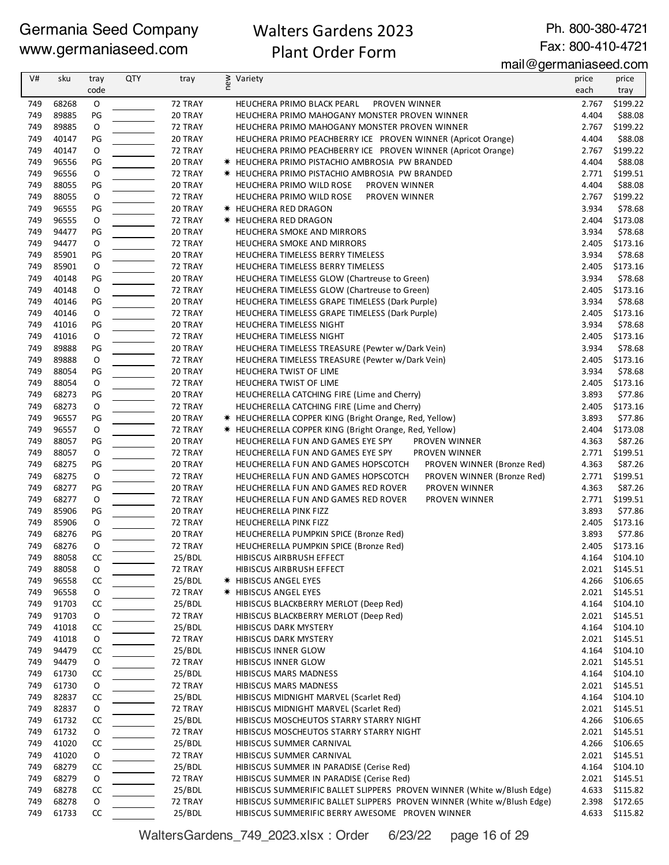## Walters Gardens 2023 Plant Order Form

Ph. 800-380-4721 Fax: 800-410-4721

| V#  | sku   | tray        | QTY | tray    | new | Variety                                                                | price | price    |
|-----|-------|-------------|-----|---------|-----|------------------------------------------------------------------------|-------|----------|
|     |       | code        |     |         |     |                                                                        | each  | tray     |
| 749 | 68268 | O           |     | 72 TRAY |     | PROVEN WINNER<br>HEUCHERA PRIMO BLACK PEARL                            | 2.767 | \$199.22 |
| 749 | 89885 | PG          |     | 20 TRAY |     | HEUCHERA PRIMO MAHOGANY MONSTER PROVEN WINNER                          | 4.404 | \$88.08  |
| 749 | 89885 | O           |     | 72 TRAY |     | HEUCHERA PRIMO MAHOGANY MONSTER PROVEN WINNER                          | 2.767 | \$199.22 |
| 749 | 40147 | PG          |     | 20 TRAY |     | HEUCHERA PRIMO PEACHBERRY ICE PROVEN WINNER (Apricot Orange)           | 4.404 | \$88.08  |
| 749 | 40147 | O           |     | 72 TRAY |     | HEUCHERA PRIMO PEACHBERRY ICE PROVEN WINNER (Apricot Orange)           | 2.767 | \$199.22 |
| 749 | 96556 | PG          |     | 20 TRAY |     | <b>* HEUCHERA PRIMO PISTACHIO AMBROSIA PW BRANDED</b>                  | 4.404 | \$88.08  |
| 749 | 96556 | 0           |     | 72 TRAY |     | <b>* HEUCHERA PRIMO PISTACHIO AMBROSIA PW BRANDED</b>                  | 2.771 | \$199.51 |
| 749 | 88055 | PG          |     | 20 TRAY |     | HEUCHERA PRIMO WILD ROSE<br><b>PROVEN WINNER</b>                       | 4.404 | \$88.08  |
| 749 | 88055 | $\mathsf O$ |     | 72 TRAY |     | HEUCHERA PRIMO WILD ROSE<br>PROVEN WINNER                              | 2.767 | \$199.22 |
| 749 | 96555 | PG          |     | 20 TRAY |     | <b>* HEUCHERA RED DRAGON</b>                                           | 3.934 | \$78.68  |
| 749 | 96555 | O           |     | 72 TRAY |     | * HEUCHERA RED DRAGON                                                  | 2.404 | \$173.08 |
| 749 | 94477 | PG          |     | 20 TRAY |     | HEUCHERA SMOKE AND MIRRORS                                             | 3.934 | \$78.68  |
| 749 | 94477 | O           |     | 72 TRAY |     | HEUCHERA SMOKE AND MIRRORS                                             | 2.405 | \$173.16 |
| 749 | 85901 | PG          |     | 20 TRAY |     | HEUCHERA TIMELESS BERRY TIMELESS                                       | 3.934 | \$78.68  |
| 749 | 85901 | O           |     | 72 TRAY |     | HEUCHERA TIMELESS BERRY TIMELESS                                       | 2.405 | \$173.16 |
| 749 | 40148 | PG          |     | 20 TRAY |     | HEUCHERA TIMELESS GLOW (Chartreuse to Green)                           | 3.934 | \$78.68  |
| 749 | 40148 | O           |     | 72 TRAY |     | HEUCHERA TIMELESS GLOW (Chartreuse to Green)                           | 2.405 | \$173.16 |
| 749 | 40146 | PG          |     | 20 TRAY |     | HEUCHERA TIMELESS GRAPE TIMELESS (Dark Purple)                         | 3.934 | \$78.68  |
| 749 | 40146 | O           |     | 72 TRAY |     | HEUCHERA TIMELESS GRAPE TIMELESS (Dark Purple)                         | 2.405 | \$173.16 |
| 749 | 41016 | PG          |     | 20 TRAY |     | HEUCHERA TIMELESS NIGHT                                                | 3.934 | \$78.68  |
| 749 | 41016 | 0           |     | 72 TRAY |     | HEUCHERA TIMELESS NIGHT                                                | 2.405 | \$173.16 |
| 749 | 89888 | PG          |     | 20 TRAY |     | HEUCHERA TIMELESS TREASURE (Pewter w/Dark Vein)                        | 3.934 | \$78.68  |
| 749 | 89888 | $\mathsf O$ |     | 72 TRAY |     | HEUCHERA TIMELESS TREASURE (Pewter w/Dark Vein)                        | 2.405 | \$173.16 |
| 749 | 88054 | PG          |     | 20 TRAY |     | HEUCHERA TWIST OF LIME                                                 | 3.934 | \$78.68  |
| 749 | 88054 | O           |     | 72 TRAY |     | HEUCHERA TWIST OF LIME                                                 | 2.405 | \$173.16 |
| 749 | 68273 | PG          |     | 20 TRAY |     | HEUCHERELLA CATCHING FIRE (Lime and Cherry)                            | 3.893 | \$77.86  |
| 749 | 68273 | $\mathsf O$ |     | 72 TRAY |     | HEUCHERELLA CATCHING FIRE (Lime and Cherry)                            | 2.405 | \$173.16 |
| 749 | 96557 | PG          |     | 20 TRAY |     | * HEUCHERELLA COPPER KING (Bright Orange, Red, Yellow)                 | 3.893 | \$77.86  |
| 749 | 96557 | O           |     | 72 TRAY |     | * HEUCHERELLA COPPER KING (Bright Orange, Red, Yellow)                 | 2.404 | \$173.08 |
| 749 | 88057 | PG          |     | 20 TRAY |     | HEUCHERELLA FUN AND GAMES EYE SPY<br>PROVEN WINNER                     | 4.363 | \$87.26  |
| 749 | 88057 | O           |     | 72 TRAY |     | HEUCHERELLA FUN AND GAMES EYE SPY<br>PROVEN WINNER                     | 2.771 | \$199.51 |
| 749 | 68275 | PG          |     | 20 TRAY |     | HEUCHERELLA FUN AND GAMES HOPSCOTCH<br>PROVEN WINNER (Bronze Red)      | 4.363 | \$87.26  |
| 749 | 68275 | O           |     | 72 TRAY |     | HEUCHERELLA FUN AND GAMES HOPSCOTCH<br>PROVEN WINNER (Bronze Red)      | 2.771 | \$199.51 |
| 749 | 68277 | PG          |     | 20 TRAY |     | HEUCHERELLA FUN AND GAMES RED ROVER<br>PROVEN WINNER                   | 4.363 | \$87.26  |
| 749 | 68277 | O           |     | 72 TRAY |     | HEUCHERELLA FUN AND GAMES RED ROVER<br>PROVEN WINNER                   | 2.771 | \$199.51 |
| 749 | 85906 | PG          |     | 20 TRAY |     | HEUCHERELLA PINK FIZZ                                                  | 3.893 | \$77.86  |
| 749 | 85906 | $\mathsf O$ |     | 72 TRAY |     | HEUCHERELLA PINK FIZZ                                                  | 2.405 | \$173.16 |
| 749 | 68276 | PG          |     | 20 TRAY |     | HEUCHERELLA PUMPKIN SPICE (Bronze Red)                                 | 3.893 | \$77.86  |
| 749 | 68276 | O           |     | 72 TRAY |     | HEUCHERELLA PUMPKIN SPICE (Bronze Red)                                 | 2.405 | \$173.16 |
| 749 | 88058 | CC          |     | 25/BDL  |     | HIBISCUS AIRBRUSH EFFECT                                               | 4.164 | \$104.10 |
| 749 | 88058 | O           |     | 72 TRAY |     | HIBISCUS AIRBRUSH EFFECT                                               | 2.021 | \$145.51 |
| 749 | 96558 | CC          |     | 25/BDL  |     | <b>* HIBISCUS ANGEL EYES</b>                                           | 4.266 | \$106.65 |
| 749 | 96558 | 0           |     | 72 TRAY |     | * HIBISCUS ANGEL EYES                                                  | 2.021 | \$145.51 |
| 749 | 91703 | CC          |     | 25/BDL  |     | HIBISCUS BLACKBERRY MERLOT (Deep Red)                                  | 4.164 | \$104.10 |
| 749 | 91703 | 0           |     | 72 TRAY |     | HIBISCUS BLACKBERRY MERLOT (Deep Red)                                  | 2.021 | \$145.51 |
| 749 | 41018 | CC          |     | 25/BDL  |     | HIBISCUS DARK MYSTERY                                                  | 4.164 | \$104.10 |
| 749 | 41018 | 0           |     | 72 TRAY |     | HIBISCUS DARK MYSTERY                                                  | 2.021 | \$145.51 |
| 749 | 94479 | CC          |     | 25/BDL  |     | HIBISCUS INNER GLOW                                                    | 4.164 | \$104.10 |
| 749 | 94479 | 0           |     | 72 TRAY |     | HIBISCUS INNER GLOW                                                    | 2.021 | \$145.51 |
| 749 | 61730 | CC          |     | 25/BDL  |     | HIBISCUS MARS MADNESS                                                  | 4.164 | \$104.10 |
| 749 | 61730 | 0           |     | 72 TRAY |     | HIBISCUS MARS MADNESS                                                  | 2.021 | \$145.51 |
| 749 | 82837 | CC          |     | 25/BDL  |     | HIBISCUS MIDNIGHT MARVEL (Scarlet Red)                                 | 4.164 | \$104.10 |
| 749 | 82837 | 0           |     | 72 TRAY |     | HIBISCUS MIDNIGHT MARVEL (Scarlet Red)                                 | 2.021 | \$145.51 |
| 749 | 61732 | CC          |     | 25/BDL  |     | HIBISCUS MOSCHEUTOS STARRY STARRY NIGHT                                | 4.266 | \$106.65 |
| 749 | 61732 | 0           |     | 72 TRAY |     | HIBISCUS MOSCHEUTOS STARRY STARRY NIGHT                                | 2.021 | \$145.51 |
| 749 | 41020 | CC          |     | 25/BDL  |     | HIBISCUS SUMMER CARNIVAL                                               | 4.266 | \$106.65 |
| 749 | 41020 | 0           |     | 72 TRAY |     | HIBISCUS SUMMER CARNIVAL                                               | 2.021 | \$145.51 |
| 749 | 68279 | CC          |     | 25/BDL  |     | HIBISCUS SUMMER IN PARADISE (Cerise Red)                               | 4.164 | \$104.10 |
| 749 | 68279 | 0           |     | 72 TRAY |     | HIBISCUS SUMMER IN PARADISE (Cerise Red)                               | 2.021 | \$145.51 |
| 749 | 68278 | CC          |     | 25/BDL  |     | HIBISCUS SUMMERIFIC BALLET SLIPPERS PROVEN WINNER (White w/Blush Edge) | 4.633 | \$115.82 |
| 749 | 68278 | 0           |     | 72 TRAY |     | HIBISCUS SUMMERIFIC BALLET SLIPPERS PROVEN WINNER (White w/Blush Edge) | 2.398 | \$172.65 |
| 749 | 61733 | CC          |     | 25/BDL  |     | HIBISCUS SUMMERIFIC BERRY AWESOME PROVEN WINNER                        | 4.633 | \$115.82 |

WaltersGardens\_749\_2023.xlsx : Order 6/23/22 page 16 of 29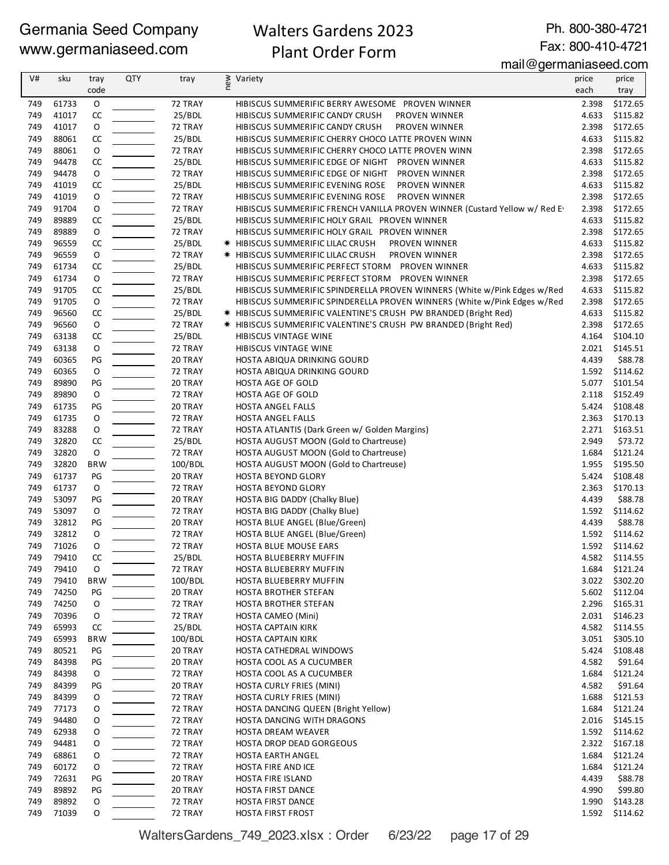## Walters Gardens 2023 Plant Order Form

Ph. 800-380-4721

Fax: 800-410-4721

mail@germaniaseed.com

| V#         | sku            | tray        | <b>QTY</b> | tray               | new<br>Variety                                                                                         | price          | price                |
|------------|----------------|-------------|------------|--------------------|--------------------------------------------------------------------------------------------------------|----------------|----------------------|
|            |                | code        |            |                    |                                                                                                        | each           | tray                 |
| 749        | 61733          | O           |            | 72 TRAY            | HIBISCUS SUMMERIFIC BERRY AWESOME PROVEN WINNER                                                        | 2.398          | \$172.65             |
| 749        | 41017          | CC          |            | 25/BDL             | HIBISCUS SUMMERIFIC CANDY CRUSH<br>PROVEN WINNER                                                       | 4.633          | \$115.82             |
| 749        | 41017          | O           |            | 72 TRAY            | HIBISCUS SUMMERIFIC CANDY CRUSH<br>PROVEN WINNER                                                       | 2.398          | \$172.65             |
| 749        | 88061          | CC          |            | 25/BDL             | HIBISCUS SUMMERIFIC CHERRY CHOCO LATTE PROVEN WINN                                                     | 4.633          | \$115.82             |
| 749        | 88061          | O           |            | 72 TRAY            | HIBISCUS SUMMERIFIC CHERRY CHOCO LATTE PROVEN WINN                                                     | 2.398          | \$172.65             |
| 749        | 94478          | CC          |            | 25/BDL             | HIBISCUS SUMMERIFIC EDGE OF NIGHT PROVEN WINNER                                                        | 4.633          | \$115.82             |
| 749        | 94478          | O           |            | 72 TRAY            | HIBISCUS SUMMERIFIC EDGE OF NIGHT<br>PROVEN WINNER                                                     | 2.398          | \$172.65             |
| 749<br>749 | 41019<br>41019 | CC<br>O     |            | 25/BDL<br>72 TRAY  | HIBISCUS SUMMERIFIC EVENING ROSE<br>PROVEN WINNER<br>HIBISCUS SUMMERIFIC EVENING ROSE<br>PROVEN WINNER | 4.633<br>2.398 | \$115.82<br>\$172.65 |
| 749        | 91704          | O           |            | 72 TRAY            | HIBISCUS SUMMERIFIC FRENCH VANILLA PROVEN WINNER (Custard Yellow w/ Red E)                             | 2.398          | \$172.65             |
| 749        | 89889          | CC          |            | 25/BDL             | HIBISCUS SUMMERIFIC HOLY GRAIL PROVEN WINNER                                                           | 4.633          | \$115.82             |
| 749        | 89889          | O           |            | 72 TRAY            | HIBISCUS SUMMERIFIC HOLY GRAIL PROVEN WINNER                                                           | 2.398          | \$172.65             |
| 749        | 96559          | CC          |            | 25/BDL             | <b>★ HIBISCUS SUMMERIFIC LILAC CRUSH</b><br>PROVEN WINNER                                              | 4.633          | \$115.82             |
| 749        | 96559          | O           |            | 72 TRAY            | <b>★ HIBISCUS SUMMERIFIC LILAC CRUSH</b><br>PROVEN WINNER                                              | 2.398          | \$172.65             |
| 749        | 61734          | CC          |            | 25/BDL             | HIBISCUS SUMMERIFIC PERFECT STORM PROVEN WINNER                                                        | 4.633          | \$115.82             |
| 749        | 61734          | O           |            | 72 TRAY            | HIBISCUS SUMMERIFIC PERFECT STORM PROVEN WINNER                                                        |                | 2.398 \$172.65       |
| 749        | 91705          | CC          |            | 25/BDL             | HIBISCUS SUMMERIFIC SPINDERELLA PROVEN WINNERS (White w/Pink Edges w/Red                               |                | 4.633 \$115.82       |
| 749        | 91705          | 0           |            | 72 TRAY            | HIBISCUS SUMMERIFIC SPINDERELLA PROVEN WINNERS (White w/Pink Edges w/Red                               | 2.398          | \$172.65             |
| 749        | 96560          | CC          |            | 25/BDL             | * HIBISCUS SUMMERIFIC VALENTINE'S CRUSH PW BRANDED (Bright Red)                                        | 4.633          | \$115.82             |
| 749        | 96560          | $\mathsf O$ |            | 72 TRAY            | * HIBISCUS SUMMERIFIC VALENTINE'S CRUSH PW BRANDED (Bright Red)                                        | 2.398          | \$172.65             |
| 749        | 63138          | CC          |            | 25/BDL             | HIBISCUS VINTAGE WINE                                                                                  | 4.164          | \$104.10             |
| 749        | 63138          | O           |            | 72 TRAY            | HIBISCUS VINTAGE WINE                                                                                  | 2.021          | \$145.51             |
| 749        | 60365          | PG          |            | 20 TRAY            | HOSTA ABIQUA DRINKING GOURD                                                                            | 4.439          | \$88.78              |
| 749        | 60365          | O           |            | 72 TRAY            | HOSTA ABIQUA DRINKING GOURD                                                                            |                | 1.592 \$114.62       |
| 749        | 89890          | PG          |            | 20 TRAY            | HOSTA AGE OF GOLD                                                                                      | 5.077          | \$101.54             |
| 749        | 89890          | 0           |            | 72 TRAY            | HOSTA AGE OF GOLD                                                                                      | 2.118          | \$152.49             |
| 749        | 61735          | PG          |            | 20 TRAY            | HOSTA ANGEL FALLS                                                                                      | 5.424          | \$108.48             |
| 749        | 61735          | O           |            | 72 TRAY            | HOSTA ANGEL FALLS                                                                                      | 2.363          | \$170.13             |
| 749        | 83288          | O           |            | 72 TRAY            | HOSTA ATLANTIS (Dark Green w/ Golden Margins)                                                          |                | 2.271 \$163.51       |
| 749        | 32820          | CC          |            | 25/BDL             | HOSTA AUGUST MOON (Gold to Chartreuse)                                                                 | 2.949          | \$73.72              |
| 749        | 32820          | O           |            | 72 TRAY            | HOSTA AUGUST MOON (Gold to Chartreuse)                                                                 | 1.684          | \$121.24             |
| 749        | 32820          | <b>BRW</b>  |            | 100/BDL            | HOSTA AUGUST MOON (Gold to Chartreuse)                                                                 | 1.955          | \$195.50             |
| 749<br>749 | 61737<br>61737 | PG<br>O     |            | 20 TRAY<br>72 TRAY | HOSTA BEYOND GLORY                                                                                     | 5.424          | \$108.48             |
| 749        | 53097          | PG          |            | 20 TRAY            | HOSTA BEYOND GLORY<br>HOSTA BIG DADDY (Chalky Blue)                                                    | 2.363<br>4.439 | \$170.13<br>\$88.78  |
| 749        | 53097          | 0           |            | 72 TRAY            | HOSTA BIG DADDY (Chalky Blue)                                                                          | 1.592          | \$114.62             |
| 749        | 32812          | PG          |            | 20 TRAY            | HOSTA BLUE ANGEL (Blue/Green)                                                                          | 4.439          | \$88.78              |
| 749        | 32812          | O           |            | 72 TRAY            | HOSTA BLUE ANGEL (Blue/Green)                                                                          |                | 1.592 \$114.62       |
| 749        | 71026          | O           |            | 72 TRAY            | HOSTA BLUE MOUSE EARS                                                                                  | 1.592          | \$114.62             |
| 749        | 79410          | CC          |            | 25/BDL             | HOSTA BLUEBERRY MUFFIN                                                                                 |                | 4.582 \$114.55       |
| 749        | 79410          | O           |            | 72 TRAY            | HOSTA BLUEBERRY MUFFIN                                                                                 | 1.684          | \$121.24             |
| 749        | 79410          | <b>BRW</b>  |            | 100/BDL            | HOSTA BLUEBERRY MUFFIN                                                                                 | 3.022          | \$302.20             |
| 749        | 74250          | PG          |            | 20 TRAY            | HOSTA BROTHER STEFAN                                                                                   | 5.602          | \$112.04             |
| 749        | 74250          | 0           |            | 72 TRAY            | HOSTA BROTHER STEFAN                                                                                   | 2.296          | \$165.31             |
| 749        | 70396          | 0           |            | 72 TRAY            | HOSTA CAMEO (Mini)                                                                                     | 2.031          | \$146.23             |
| 749        | 65993          | CC          |            | 25/BDL             | <b>HOSTA CAPTAIN KIRK</b>                                                                              | 4.582          | \$114.55             |
| 749        | 65993          | <b>BRW</b>  |            | 100/BDL            | <b>HOSTA CAPTAIN KIRK</b>                                                                              | 3.051          | \$305.10             |
| 749        | 80521          | PG          |            | 20 TRAY            | HOSTA CATHEDRAL WINDOWS                                                                                | 5.424          | \$108.48             |
| 749        | 84398          | PG          |            | 20 TRAY            | HOSTA COOL AS A CUCUMBER                                                                               | 4.582          | \$91.64              |
| 749        | 84398          | 0           |            | 72 TRAY            | HOSTA COOL AS A CUCUMBER                                                                               | 1.684          | \$121.24             |
| 749        | 84399          | PG          |            | 20 TRAY            | HOSTA CURLY FRIES (MINI)                                                                               | 4.582          | \$91.64              |
| 749        | 84399          | 0           |            | 72 TRAY            | HOSTA CURLY FRIES (MINI)                                                                               | 1.688          | \$121.53             |
| 749        | 77173          | O           |            | 72 TRAY            | HOSTA DANCING QUEEN (Bright Yellow)                                                                    | 1.684          | \$121.24             |
| 749        | 94480          | O           |            | 72 TRAY            | HOSTA DANCING WITH DRAGONS                                                                             | 2.016          | \$145.15             |
| 749        | 62938          | 0           |            | 72 TRAY            | HOSTA DREAM WEAVER                                                                                     | 1.592          | \$114.62             |
| 749<br>749 | 94481<br>68861 | 0<br>0      |            | 72 TRAY<br>72 TRAY | HOSTA DROP DEAD GORGEOUS                                                                               | 2.322<br>1.684 | \$167.18<br>\$121.24 |
| 749        | 60172          | 0           |            | 72 TRAY            | HOSTA EARTH ANGEL<br>HOSTA FIRE AND ICE                                                                | 1.684          | \$121.24             |
| 749        | 72631          | PG          |            | 20 TRAY            | HOSTA FIRE ISLAND                                                                                      | 4.439          | \$88.78              |
| 749        | 89892          | PG          |            | 20 TRAY            | HOSTA FIRST DANCE                                                                                      | 4.990          | \$99.80              |
| 749        | 89892          | 0           |            | 72 TRAY            | HOSTA FIRST DANCE                                                                                      | 1.990          | \$143.28             |
| 749        | 71039          | 0           |            | 72 TRAY            | HOSTA FIRST FROST                                                                                      | 1.592          | \$114.62             |

WaltersGardens\_749\_2023.xlsx : Order 6/23/22 page 17 of 29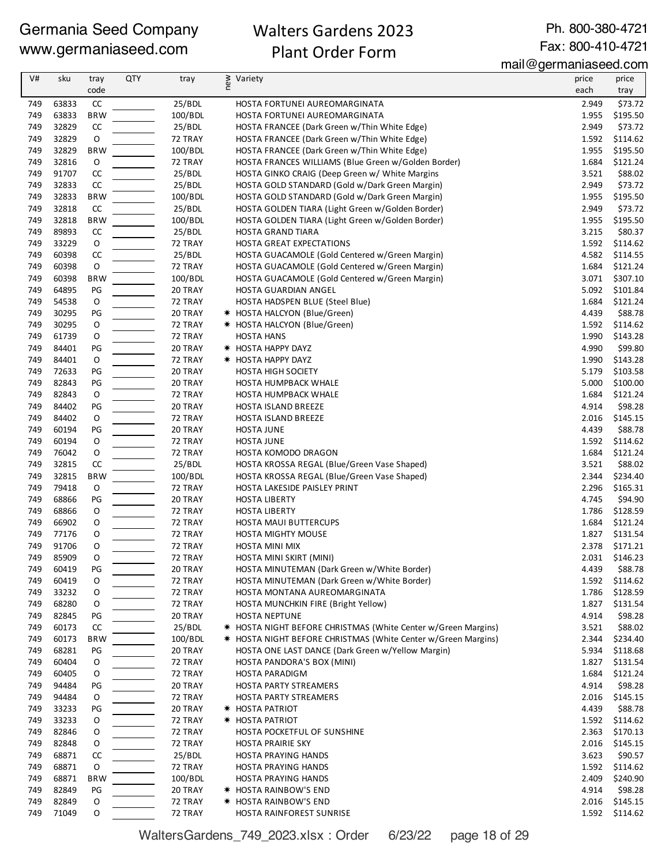## Walters Gardens 2023 Plant Order Form

Ph. 800-380-4721 Fax: 800-410-4721

mail@germaniaseed.com

|            |                |               |            |                    |                                                               | $m$ an $\approx$ yomnama $\sim$ oomn |                     |
|------------|----------------|---------------|------------|--------------------|---------------------------------------------------------------|--------------------------------------|---------------------|
| V#         | sku            | tray<br>code  | <b>QTY</b> | tray               | new<br>Variety                                                | price<br>each                        | price               |
| 749        | 63833          | CC            |            | 25/BDL             | HOSTA FORTUNEI AUREOMARGINATA                                 | 2.949                                | tray<br>\$73.72     |
| 749        | 63833          | <b>BRW</b>    |            | 100/BDL            | HOSTA FORTUNEI AUREOMARGINATA                                 | 1.955                                | \$195.50            |
| 749        | 32829          | CC            |            | 25/BDL             | HOSTA FRANCEE (Dark Green w/Thin White Edge)                  | 2.949                                | \$73.72             |
| 749        | 32829          | $\mathsf O$   |            | 72 TRAY            | HOSTA FRANCEE (Dark Green w/Thin White Edge)                  | 1.592                                | \$114.62            |
| 749        | 32829          | <b>BRW</b>    |            | 100/BDL            | HOSTA FRANCEE (Dark Green w/Thin White Edge)                  | 1.955                                | \$195.50            |
| 749        | 32816          | O             |            | 72 TRAY            | HOSTA FRANCES WILLIAMS (Blue Green w/Golden Border)           | 1.684                                | \$121.24            |
| 749        | 91707          | CC            |            | 25/BDL             | HOSTA GINKO CRAIG (Deep Green w/ White Margins                | 3.521                                | \$88.02             |
| 749        | 32833          | CC            |            | 25/BDL             | HOSTA GOLD STANDARD (Gold w/Dark Green Margin)                | 2.949                                | \$73.72             |
| 749        | 32833          | <b>BRW</b>    |            | 100/BDL            | HOSTA GOLD STANDARD (Gold w/Dark Green Margin)                | 1.955                                | \$195.50            |
| 749        | 32818          | CC            |            | 25/BDL             | HOSTA GOLDEN TIARA (Light Green w/Golden Border)              | 2.949                                | \$73.72             |
| 749        | 32818          | <b>BRW</b>    |            | 100/BDL            | HOSTA GOLDEN TIARA (Light Green w/Golden Border)              | 1.955                                | \$195.50            |
| 749        | 89893          | CC            |            | 25/BDL             | HOSTA GRAND TIARA                                             | 3.215                                | \$80.37             |
| 749        | 33229          | $\mathsf O$   |            | 72 TRAY            | HOSTA GREAT EXPECTATIONS                                      | 1.592                                | \$114.62            |
| 749        | 60398          | $\mathsf{CC}$ |            | 25/BDL             | HOSTA GUACAMOLE (Gold Centered w/Green Margin)                | 4.582                                | \$114.55            |
| 749        | 60398          | $\circ$       |            | 72 TRAY            | HOSTA GUACAMOLE (Gold Centered w/Green Margin)                | 1.684                                | \$121.24            |
| 749        | 60398          | <b>BRW</b>    |            | 100/BDL            | HOSTA GUACAMOLE (Gold Centered w/Green Margin)                | 3.071                                | \$307.10            |
| 749        | 64895          | PG            |            | 20 TRAY            | HOSTA GUARDIAN ANGEL                                          | 5.092                                | \$101.84            |
| 749        | 54538          | O             |            | 72 TRAY            | HOSTA HADSPEN BLUE (Steel Blue)                               | 1.684                                | \$121.24            |
| 749        | 30295          | PG            |            | 20 TRAY            | <b>*</b> HOSTA HALCYON (Blue/Green)                           | 4.439                                | \$88.78             |
| 749        | 30295          | 0             |            | 72 TRAY            | * HOSTA HALCYON (Blue/Green)                                  | 1.592                                | \$114.62            |
| 749        | 61739          | 0             |            | 72 TRAY            | HOSTA HANS                                                    | 1.990                                | \$143.28            |
| 749        | 84401          | PG            |            | 20 TRAY            | <b>* HOSTA HAPPY DAYZ</b>                                     | 4.990                                | \$99.80<br>\$143.28 |
| 749<br>749 | 84401<br>72633 | O<br>PG       |            | 72 TRAY<br>20 TRAY | <b>* HOSTA HAPPY DAYZ</b><br><b>HOSTA HIGH SOCIETY</b>        | 1.990<br>5.179                       | \$103.58            |
| 749        | 82843          | PG            |            | 20 TRAY            | HOSTA HUMPBACK WHALE                                          | 5.000                                | \$100.00            |
| 749        | 82843          | ${\mathsf o}$ |            | 72 TRAY            | HOSTA HUMPBACK WHALE                                          | 1.684                                | \$121.24            |
| 749        | 84402          | PG            |            | 20 TRAY            | HOSTA ISLAND BREEZE                                           | 4.914                                | \$98.28             |
| 749        | 84402          | O             |            | 72 TRAY            | HOSTA ISLAND BREEZE                                           | 2.016                                | \$145.15            |
| 749        | 60194          | PG            |            | 20 TRAY            | <b>HOSTA JUNE</b>                                             | 4.439                                | \$88.78             |
| 749        | 60194          | O             |            | 72 TRAY            | <b>HOSTA JUNE</b>                                             | 1.592                                | \$114.62            |
| 749        | 76042          | $\mathsf O$   |            | 72 TRAY            | HOSTA KOMODO DRAGON                                           | 1.684                                | \$121.24            |
| 749        | 32815          | CC            |            | 25/BDL             | HOSTA KROSSA REGAL (Blue/Green Vase Shaped)                   | 3.521                                | \$88.02             |
| 749        | 32815          | <b>BRW</b>    |            | 100/BDL            | HOSTA KROSSA REGAL (Blue/Green Vase Shaped)                   | 2.344                                | \$234.40            |
| 749        | 79418          | 0             |            | 72 TRAY            | HOSTA LAKESIDE PAISLEY PRINT                                  | 2.296                                | \$165.31            |
| 749        | 68866          | PG            |            | 20 TRAY            | <b>HOSTA LIBERTY</b>                                          | 4.745                                | \$94.90             |
| 749        | 68866          | 0             |            | 72 TRAY            | <b>HOSTA LIBERTY</b>                                          | 1.786                                | \$128.59            |
| 749        | 66902          | 0             |            | 72 TRAY            | HOSTA MAUI BUTTERCUPS                                         | 1.684                                | \$121.24            |
| 749        | 77176          | 0             |            | 72 TRAY            | <b>HOSTA MIGHTY MOUSE</b>                                     |                                      | 1.827 \$131.54      |
| 749        | 91706          | 0             |            | 72 TRAY            | HOSTA MINI MIX                                                |                                      | 2.378 \$171.21      |
| 749        | 85909          | O             |            | 72 TRAY            | HOSTA MINI SKIRT (MINI)                                       |                                      | 2.031 \$146.23      |
| 749        | 60419          | PG            |            | 20 TRAY            | HOSTA MINUTEMAN (Dark Green w/White Border)                   | 4.439                                | \$88.78             |
| 749        | 60419          | O             |            | 72 TRAY            | HOSTA MINUTEMAN (Dark Green w/White Border)                   | 1.592                                | \$114.62            |
| 749        | 33232          | 0             |            | 72 TRAY            | HOSTA MONTANA AUREOMARGINATA                                  | 1.786                                | \$128.59            |
| 749<br>749 | 68280<br>82845 | O<br>PG       |            | 72 TRAY<br>20 TRAY | HOSTA MUNCHKIN FIRE (Bright Yellow)<br><b>HOSTA NEPTUNE</b>   | 1.827<br>4.914                       | \$131.54<br>\$98.28 |
| 749        | 60173          | CC            |            | 25/BDL             | * HOSTA NIGHT BEFORE CHRISTMAS (White Center w/Green Margins) | 3.521                                | \$88.02             |
| 749        | 60173          | <b>BRW</b>    |            | 100/BDL            | * HOSTA NIGHT BEFORE CHRISTMAS (White Center w/Green Margins) | 2.344                                | \$234.40            |
| 749        | 68281          | PG            |            | 20 TRAY            | HOSTA ONE LAST DANCE (Dark Green w/Yellow Margin)             | 5.934                                | \$118.68            |
| 749        | 60404          | 0             |            | 72 TRAY            | HOSTA PANDORA'S BOX (MINI)                                    | 1.827                                | \$131.54            |
| 749        | 60405          | 0             |            | 72 TRAY            | <b>HOSTA PARADIGM</b>                                         | 1.684                                | \$121.24            |
| 749        | 94484          | PG            |            | 20 TRAY            | <b>HOSTA PARTY STREAMERS</b>                                  | 4.914                                | \$98.28             |
| 749        | 94484          | 0             |            | 72 TRAY            | <b>HOSTA PARTY STREAMERS</b>                                  | 2.016                                | \$145.15            |
| 749        | 33233          | PG            |            | 20 TRAY            | * HOSTA PATRIOT                                               | 4.439                                | \$88.78             |
| 749        | 33233          | 0             |            | 72 TRAY            | * HOSTA PATRIOT                                               | 1.592                                | \$114.62            |
| 749        | 82846          | 0             |            | 72 TRAY            | HOSTA POCKETFUL OF SUNSHINE                                   | 2.363                                | \$170.13            |
| 749        | 82848          | 0             |            | 72 TRAY            | <b>HOSTA PRAIRIE SKY</b>                                      | 2.016                                | \$145.15            |
| 749        | 68871          | CC            |            | 25/BDL             | HOSTA PRAYING HANDS                                           | 3.623                                | \$90.57             |
| 749        | 68871          | O             |            | 72 TRAY            | HOSTA PRAYING HANDS                                           | 1.592                                | \$114.62            |
| 749        | 68871          | <b>BRW</b>    |            | 100/BDL            | HOSTA PRAYING HANDS                                           | 2.409                                | \$240.90            |
| 749        | 82849          | PG            |            | 20 TRAY            | <b>* HOSTA RAINBOW'S END</b>                                  | 4.914                                | \$98.28             |
| 749        | 82849          | 0             |            | 72 TRAY            | <b>* HOSTA RAINBOW'S END</b>                                  | 2.016                                | \$145.15            |
| 749        | 71049          | 0             |            | 72 TRAY            | HOSTA RAINFOREST SUNRISE                                      |                                      | 1.592 \$114.62      |

WaltersGardens\_749\_2023.xlsx : Order 6/23/22 page 18 of 29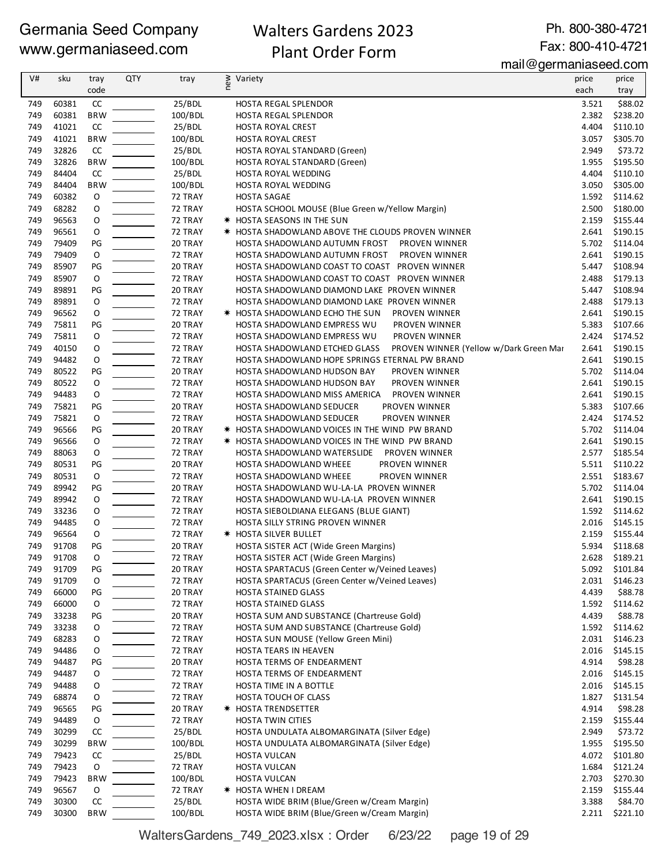## Walters Gardens 2023 Plant Order Form

Ph. 800-380-4721 Fax: 800-410-4721

mail@germaniaseed.com

| V#  | sku   | tray          | <b>QTY</b> | tray    | new | Variety                                                                 | price | price    |
|-----|-------|---------------|------------|---------|-----|-------------------------------------------------------------------------|-------|----------|
|     |       | code          |            |         |     |                                                                         | each  | tray     |
| 749 | 60381 | $\mathsf{CC}$ |            | 25/BDL  |     | HOSTA REGAL SPLENDOR                                                    | 3.521 | \$88.02  |
|     |       | <b>BRW</b>    |            |         |     |                                                                         | 2.382 |          |
| 749 | 60381 |               |            | 100/BDL |     | <b>HOSTA REGAL SPLENDOR</b>                                             |       | \$238.20 |
| 749 | 41021 | CC            |            | 25/BDL  |     | <b>HOSTA ROYAL CREST</b>                                                | 4.404 | \$110.10 |
| 749 | 41021 | <b>BRW</b>    |            | 100/BDL |     | HOSTA ROYAL CREST                                                       | 3.057 | \$305.70 |
| 749 | 32826 | CC            |            | 25/BDL  |     | HOSTA ROYAL STANDARD (Green)                                            | 2.949 | \$73.72  |
| 749 | 32826 | <b>BRW</b>    |            | 100/BDL |     | HOSTA ROYAL STANDARD (Green)                                            | 1.955 | \$195.50 |
| 749 | 84404 | CC            |            | 25/BDL  |     | HOSTA ROYAL WEDDING                                                     | 4.404 | \$110.10 |
| 749 | 84404 | <b>BRW</b>    |            | 100/BDL |     | HOSTA ROYAL WEDDING                                                     | 3.050 | \$305.00 |
| 749 | 60382 | O             |            | 72 TRAY |     | <b>HOSTA SAGAE</b>                                                      | 1.592 | \$114.62 |
| 749 | 68282 | O             |            | 72 TRAY |     | HOSTA SCHOOL MOUSE (Blue Green w/Yellow Margin)                         | 2.500 | \$180.00 |
| 749 | 96563 | O             |            | 72 TRAY |     | * HOSTA SEASONS IN THE SUN                                              | 2.159 | \$155.44 |
| 749 | 96561 | O             |            | 72 TRAY |     | * HOSTA SHADOWLAND ABOVE THE CLOUDS PROVEN WINNER                       | 2.641 | \$190.15 |
| 749 | 79409 | PG            |            | 20 TRAY |     | HOSTA SHADOWLAND AUTUMN FROST PROVEN WINNER                             | 5.702 | \$114.04 |
| 749 | 79409 | $\mathsf O$   |            | 72 TRAY |     | HOSTA SHADOWLAND AUTUMN FROST<br>PROVEN WINNER                          | 2.641 | \$190.15 |
| 749 | 85907 | PG            |            | 20 TRAY |     | HOSTA SHADOWLAND COAST TO COAST PROVEN WINNER                           | 5.447 | \$108.94 |
| 749 | 85907 | O             |            | 72 TRAY |     | HOSTA SHADOWLAND COAST TO COAST PROVEN WINNER                           | 2.488 | \$179.13 |
| 749 | 89891 | PG            |            | 20 TRAY |     | HOSTA SHADOWLAND DIAMOND LAKE PROVEN WINNER                             | 5.447 | \$108.94 |
| 749 | 89891 | O             |            | 72 TRAY |     | HOSTA SHADOWLAND DIAMOND LAKE PROVEN WINNER                             | 2.488 | \$179.13 |
| 749 | 96562 | O             |            | 72 TRAY |     | <b>* HOSTA SHADOWLAND ECHO THE SUN</b><br>PROVEN WINNER                 | 2.641 | \$190.15 |
|     | 75811 | PG            |            | 20 TRAY |     |                                                                         | 5.383 | \$107.66 |
| 749 |       |               |            |         |     | HOSTA SHADOWLAND EMPRESS WU<br>PROVEN WINNER                            |       |          |
| 749 | 75811 | O             |            | 72 TRAY |     | HOSTA SHADOWLAND EMPRESS WU<br><b>PROVEN WINNER</b>                     | 2.424 | \$174.52 |
| 749 | 40150 | O             |            | 72 TRAY |     | HOSTA SHADOWLAND ETCHED GLASS<br>PROVEN WINNER (Yellow w/Dark Green Mar | 2.641 | \$190.15 |
| 749 | 94482 | O             |            | 72 TRAY |     | HOSTA SHADOWLAND HOPE SPRINGS ETERNAL PW BRAND                          | 2.641 | \$190.15 |
| 749 | 80522 | PG            |            | 20 TRAY |     | HOSTA SHADOWLAND HUDSON BAY<br>PROVEN WINNER                            | 5.702 | \$114.04 |
| 749 | 80522 | O             |            | 72 TRAY |     | HOSTA SHADOWLAND HUDSON BAY<br>PROVEN WINNER                            | 2.641 | \$190.15 |
| 749 | 94483 | O             |            | 72 TRAY |     | PROVEN WINNER<br>HOSTA SHADOWLAND MISS AMERICA                          | 2.641 | \$190.15 |
| 749 | 75821 | PG            |            | 20 TRAY |     | HOSTA SHADOWLAND SEDUCER<br>PROVEN WINNER                               | 5.383 | \$107.66 |
| 749 | 75821 | $\circ$       |            | 72 TRAY |     | HOSTA SHADOWLAND SEDUCER<br>PROVEN WINNER                               | 2.424 | \$174.52 |
| 749 | 96566 | PG            |            | 20 TRAY |     | * HOSTA SHADOWLAND VOICES IN THE WIND PW BRAND                          | 5.702 | \$114.04 |
| 749 | 96566 | 0             |            | 72 TRAY |     | * HOSTA SHADOWLAND VOICES IN THE WIND PW BRAND                          | 2.641 | \$190.15 |
| 749 | 88063 | 0             |            | 72 TRAY |     | HOSTA SHADOWLAND WATERSLIDE  PROVEN WINNER                              | 2.577 | \$185.54 |
| 749 | 80531 | PG            |            | 20 TRAY |     | HOSTA SHADOWLAND WHEEE<br>PROVEN WINNER                                 | 5.511 | \$110.22 |
| 749 | 80531 | $\mathsf O$   |            | 72 TRAY |     | HOSTA SHADOWLAND WHEEE<br>PROVEN WINNER                                 | 2.551 | \$183.67 |
| 749 | 89942 | PG            |            | 20 TRAY |     | HOSTA SHADOWLAND WU-LA-LA PROVEN WINNER                                 | 5.702 | \$114.04 |
| 749 | 89942 | O             |            | 72 TRAY |     | HOSTA SHADOWLAND WU-LA-LA PROVEN WINNER                                 | 2.641 | \$190.15 |
| 749 | 33236 | 0             |            | 72 TRAY |     | HOSTA SIEBOLDIANA ELEGANS (BLUE GIANT)                                  | 1.592 | \$114.62 |
| 749 | 94485 |               |            |         |     | HOSTA SILLY STRING PROVEN WINNER                                        | 2.016 | \$145.15 |
|     |       | O             |            | 72 TRAY |     |                                                                         |       |          |
| 749 | 96564 | O             |            | 72 TRAY |     | * HOSTA SILVER BULLET                                                   | 2.159 | \$155.44 |
| 749 | 91708 | PG            |            | 20 TRAY |     | HOSTA SISTER ACT (Wide Green Margins)                                   | 5.934 | \$118.68 |
| 749 | 91708 | O             |            | 72 TRAY |     | HOSTA SISTER ACT (Wide Green Margins)                                   | 2.628 | \$189.21 |
| 749 | 91709 | PG            |            | 20 TRAY |     | HOSTA SPARTACUS (Green Center w/Veined Leaves)                          | 5.092 | \$101.84 |
| 749 | 91709 | O             |            | 72 TRAY |     | HOSTA SPARTACUS (Green Center w/Veined Leaves)                          | 2.031 | \$146.23 |
| 749 | 66000 | PG            |            | 20 TRAY |     | <b>HOSTA STAINED GLASS</b>                                              | 4.439 | \$88.78  |
| 749 | 66000 | 0             |            | 72 TRAY |     | <b>HOSTA STAINED GLASS</b>                                              | 1.592 | \$114.62 |
| 749 | 33238 | PG            |            | 20 TRAY |     | HOSTA SUM AND SUBSTANCE (Chartreuse Gold)                               | 4.439 | \$88.78  |
| 749 | 33238 | 0             |            | 72 TRAY |     | HOSTA SUM AND SUBSTANCE (Chartreuse Gold)                               | 1.592 | \$114.62 |
| 749 | 68283 | 0             |            | 72 TRAY |     | HOSTA SUN MOUSE (Yellow Green Mini)                                     | 2.031 | \$146.23 |
| 749 | 94486 | 0             |            | 72 TRAY |     | HOSTA TEARS IN HEAVEN                                                   | 2.016 | \$145.15 |
| 749 | 94487 | PG            |            | 20 TRAY |     | HOSTA TERMS OF ENDEARMENT                                               | 4.914 | \$98.28  |
| 749 | 94487 | 0             |            | 72 TRAY |     | HOSTA TERMS OF ENDEARMENT                                               | 2.016 | \$145.15 |
| 749 | 94488 | 0             |            | 72 TRAY |     | HOSTA TIME IN A BOTTLE                                                  | 2.016 | \$145.15 |
| 749 | 68874 | 0             |            | 72 TRAY |     | HOSTA TOUCH OF CLASS                                                    | 1.827 | \$131.54 |
| 749 | 96565 | PG            |            | 20 TRAY |     | * HOSTA TRENDSETTER                                                     | 4.914 | \$98.28  |
| 749 | 94489 | $\mathsf O$   |            | 72 TRAY |     | HOSTA TWIN CITIES                                                       | 2.159 | \$155.44 |
|     | 30299 | CC            |            | 25/BDL  |     | HOSTA UNDULATA ALBOMARGINATA (Silver Edge)                              | 2.949 |          |
| 749 |       |               |            |         |     |                                                                         |       | \$73.72  |
| 749 | 30299 | <b>BRW</b>    |            | 100/BDL |     | HOSTA UNDULATA ALBOMARGINATA (Silver Edge)                              | 1.955 | \$195.50 |
| 749 | 79423 | CC            |            | 25/BDL  |     | HOSTA VULCAN                                                            | 4.072 | \$101.80 |
| 749 | 79423 | 0             |            | 72 TRAY |     | HOSTA VULCAN                                                            | 1.684 | \$121.24 |
| 749 | 79423 | <b>BRW</b>    |            | 100/BDL |     | HOSTA VULCAN                                                            | 2.703 | \$270.30 |
| 749 | 96567 | O             |            | 72 TRAY |     | * HOSTA WHEN I DREAM                                                    | 2.159 | \$155.44 |
| 749 | 30300 | CC            |            | 25/BDL  |     | HOSTA WIDE BRIM (Blue/Green w/Cream Margin)                             | 3.388 | \$84.70  |
| 749 | 30300 | <b>BRW</b>    |            | 100/BDL |     | HOSTA WIDE BRIM (Blue/Green w/Cream Margin)                             | 2.211 | \$221.10 |

WaltersGardens\_749\_2023.xlsx : Order 6/23/22 page 19 of 29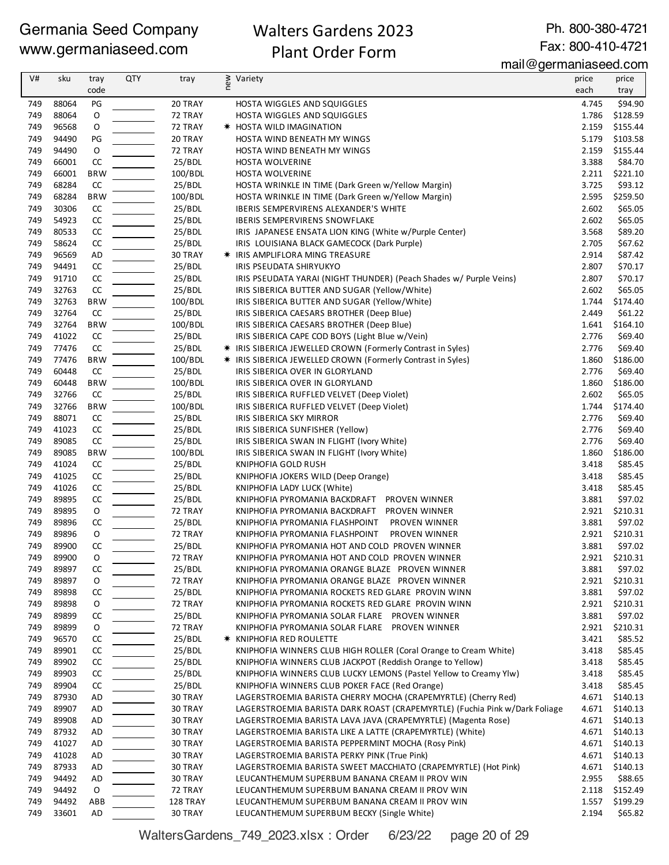## Walters Gardens 2023 Plant Order Form

Ph. 800-380-4721 Fax: 800-410-4721

mail@germaniaseed.com

| V#         | sku            | tray             | <b>QTY</b> | tray               | new | Variety                                                                                                        | price          | price                |
|------------|----------------|------------------|------------|--------------------|-----|----------------------------------------------------------------------------------------------------------------|----------------|----------------------|
|            |                | code             |            |                    |     |                                                                                                                | each           | tray                 |
| 749        | 88064          | PG               |            | 20 TRAY            |     | <b>HOSTA WIGGLES AND SQUIGGLES</b>                                                                             | 4.745          | \$94.90              |
| 749        | 88064          | O                |            | 72 TRAY            |     | <b>HOSTA WIGGLES AND SQUIGGLES</b>                                                                             | 1.786          | \$128.59             |
| 749        | 96568          | O                |            | 72 TRAY            |     | * HOSTA WILD IMAGINATION                                                                                       | 2.159          | \$155.44             |
| 749        | 94490          | PG               |            | 20 TRAY            |     | HOSTA WIND BENEATH MY WINGS                                                                                    | 5.179          | \$103.58             |
| 749        | 94490          | O                |            | 72 TRAY            |     | HOSTA WIND BENEATH MY WINGS                                                                                    | 2.159          | \$155.44             |
| 749        | 66001          | ${\sf CC}$       |            | 25/BDL             |     | <b>HOSTA WOLVERINE</b>                                                                                         | 3.388          | \$84.70              |
| 749        | 66001          | <b>BRW</b>       |            | 100/BDL            |     | HOSTA WOLVERINE                                                                                                | 2.211          | \$221.10             |
| 749<br>749 | 68284<br>68284 | CC<br><b>BRW</b> |            | 25/BDL<br>100/BDL  |     | HOSTA WRINKLE IN TIME (Dark Green w/Yellow Margin)<br>HOSTA WRINKLE IN TIME (Dark Green w/Yellow Margin)       | 3.725<br>2.595 | \$93.12<br>\$259.50  |
| 749        | 30306          | CC               |            | 25/BDL             |     | IBERIS SEMPERVIRENS ALEXANDER'S WHITE                                                                          | 2.602          | \$65.05              |
| 749        | 54923          | CC               |            | 25/BDL             |     | <b>IBERIS SEMPERVIRENS SNOWFLAKE</b>                                                                           | 2.602          | \$65.05              |
| 749        | 80533          | CC               |            | 25/BDL             |     | IRIS JAPANESE ENSATA LION KING (White w/Purple Center)                                                         | 3.568          | \$89.20              |
| 749        | 58624          | CC               |            | 25/BDL             |     | IRIS LOUISIANA BLACK GAMECOCK (Dark Purple)                                                                    | 2.705          | \$67.62              |
| 749        | 96569          | AD               |            | 30 TRAY            |     | <b>* IRIS AMPLIFLORA MING TREASURE</b>                                                                         | 2.914          | \$87.42              |
| 749        | 94491          | CC               |            | 25/BDL             |     | IRIS PSEUDATA SHIRYUKYO                                                                                        | 2.807          | \$70.17              |
| 749        | 91710          | CC               |            | 25/BDL             |     | IRIS PSEUDATA YARAI (NIGHT THUNDER) (Peach Shades w/ Purple Veins)                                             | 2.807          | \$70.17              |
| 749        | 32763          | CC               |            | 25/BDL             |     | IRIS SIBERICA BUTTER AND SUGAR (Yellow/White)                                                                  | 2.602          | \$65.05              |
| 749        | 32763          | <b>BRW</b>       |            | 100/BDL            |     | IRIS SIBERICA BUTTER AND SUGAR (Yellow/White)                                                                  | 1.744          | \$174.40             |
| 749        | 32764          | CC               |            | 25/BDL             |     | IRIS SIBERICA CAESARS BROTHER (Deep Blue)                                                                      | 2.449          | \$61.22              |
| 749        | 32764          | <b>BRW</b>       |            | 100/BDL            |     | IRIS SIBERICA CAESARS BROTHER (Deep Blue)                                                                      | 1.641          | \$164.10             |
| 749        | 41022          | CC               |            | 25/BDL             |     | IRIS SIBERICA CAPE COD BOYS (Light Blue w/Vein)                                                                | 2.776          | \$69.40              |
| 749        | 77476          | CC               |            | 25/BDL             |     | * IRIS SIBERICA JEWELLED CROWN (Formerly Contrast in Syles)                                                    | 2.776          | \$69.40              |
| 749        | 77476          | <b>BRW</b>       |            | 100/BDL            |     | * IRIS SIBERICA JEWELLED CROWN (Formerly Contrast in Syles)                                                    | 1.860          | \$186.00             |
| 749        | 60448          | CC               |            | 25/BDL             |     | IRIS SIBERICA OVER IN GLORYLAND                                                                                | 2.776          | \$69.40<br>\$186.00  |
| 749<br>749 | 60448<br>32766 | <b>BRW</b><br>CC |            | 100/BDL<br>25/BDL  |     | IRIS SIBERICA OVER IN GLORYLAND<br>IRIS SIBERICA RUFFLED VELVET (Deep Violet)                                  | 1.860<br>2.602 | \$65.05              |
| 749        | 32766          | <b>BRW</b>       |            | 100/BDL            |     | IRIS SIBERICA RUFFLED VELVET (Deep Violet)                                                                     | 1.744          | \$174.40             |
| 749        | 88071          | CC               |            | 25/BDL             |     | IRIS SIBERICA SKY MIRROR                                                                                       | 2.776          | \$69.40              |
| 749        | 41023          | CC               |            | 25/BDL             |     | IRIS SIBERICA SUNFISHER (Yellow)                                                                               | 2.776          | \$69.40              |
| 749        | 89085          | CC               |            | 25/BDL             |     | IRIS SIBERICA SWAN IN FLIGHT (Ivory White)                                                                     | 2.776          | \$69.40              |
| 749        | 89085          | <b>BRW</b>       |            | 100/BDL            |     | IRIS SIBERICA SWAN IN FLIGHT (Ivory White)                                                                     | 1.860          | \$186.00             |
| 749        | 41024          | CC               |            | 25/BDL             |     | KNIPHOFIA GOLD RUSH                                                                                            | 3.418          | \$85.45              |
| 749        | 41025          | CC               |            | 25/BDL             |     | KNIPHOFIA JOKERS WILD (Deep Orange)                                                                            | 3.418          | \$85.45              |
| 749        | 41026          | CC               |            | 25/BDL             |     | KNIPHOFIA LADY LUCK (White)                                                                                    | 3.418          | \$85.45              |
| 749        | 89895          | CC               |            | 25/BDL             |     | KNIPHOFIA PYROMANIA BACKDRAFT PROVEN WINNER                                                                    | 3.881          | \$97.02              |
| 749        | 89895          | O                |            | 72 TRAY            |     | KNIPHOFIA PYROMANIA BACKDRAFT PROVEN WINNER                                                                    | 2.921          | \$210.31             |
| 749        | 89896          | CC               |            | 25/BDL             |     | KNIPHOFIA PYROMANIA FLASHPOINT<br>PROVEN WINNER                                                                | 3.881          | \$97.02              |
| 749        | 89896          | O                |            | 72 TRAY            |     | PROVEN WINNER<br>KNIPHOFIA PYROMANIA FLASHPOINT                                                                | 2.921          | \$210.31             |
| 749        | 89900          | CC<br>$\Omega$   |            | 25/BDL             |     | KNIPHOFIA PYROMANIA HOT AND COLD PROVEN WINNER                                                                 | 3.881          | \$97.02              |
| 749        | 89900          |                  |            | 72 TRAY            |     | KNIPHOFIA PYROMANIA HOT AND COLD PROVEN WINNER                                                                 | 2.921          | \$210.31<br>\$97.02  |
| 749<br>749 | 89897<br>89897 | CC<br>0          |            | 25/BDL<br>72 TRAY  |     | KNIPHOFIA PYROMANIA ORANGE BLAZE PROVEN WINNER<br>KNIPHOFIA PYROMANIA ORANGE BLAZE PROVEN WINNER               | 3.881<br>2.921 | \$210.31             |
| 749        | 89898          | CC               |            | 25/BDL             |     | KNIPHOFIA PYROMANIA ROCKETS RED GLARE PROVIN WINN                                                              | 3.881          | \$97.02              |
| 749        | 89898          | 0                |            | 72 TRAY            |     | KNIPHOFIA PYROMANIA ROCKETS RED GLARE PROVIN WINN                                                              | 2.921          | \$210.31             |
| 749        | 89899          | CC               |            | 25/BDL             |     | KNIPHOFIA PYROMANIA SOLAR FLARE PROVEN WINNER                                                                  | 3.881          | \$97.02              |
| 749        | 89899          | 0                |            | 72 TRAY            |     | KNIPHOFIA PYROMANIA SOLAR FLARE PROVEN WINNER                                                                  | 2.921          | \$210.31             |
| 749        | 96570          | CC               |            | 25/BDL             |     | <b>* KNIPHOFIA RED ROULETTE</b>                                                                                | 3.421          | \$85.52              |
| 749        | 89901          | CC               |            | 25/BDL             |     | KNIPHOFIA WINNERS CLUB HIGH ROLLER (Coral Orange to Cream White)                                               | 3.418          | \$85.45              |
| 749        | 89902          | CC               |            | 25/BDL             |     | KNIPHOFIA WINNERS CLUB JACKPOT (Reddish Orange to Yellow)                                                      | 3.418          | \$85.45              |
| 749        | 89903          | CC               |            | 25/BDL             |     | KNIPHOFIA WINNERS CLUB LUCKY LEMONS (Pastel Yellow to Creamy Ylw)                                              | 3.418          | \$85.45              |
| 749        | 89904          | CC               |            | 25/BDL             |     | KNIPHOFIA WINNERS CLUB POKER FACE (Red Orange)                                                                 | 3.418          | \$85.45              |
| 749        | 87930          | AD               |            | 30 TRAY            |     | LAGERSTROEMIA BARISTA CHERRY MOCHA (CRAPEMYRTLE) (Cherry Red)                                                  | 4.671          | \$140.13             |
| 749        | 89907          | AD               |            | 30 TRAY            |     | LAGERSTROEMIA BARISTA DARK ROAST (CRAPEMYRTLE) (Fuchia Pink w/Dark Foliage                                     | 4.671          | \$140.13             |
| 749        | 89908          | AD               |            | 30 TRAY            |     | LAGERSTROEMIA BARISTA LAVA JAVA (CRAPEMYRTLE) (Magenta Rose)                                                   | 4.671          | \$140.13             |
| 749        | 87932          | AD               |            | 30 TRAY            |     | LAGERSTROEMIA BARISTA LIKE A LATTE (CRAPEMYRTLE) (White)                                                       | 4.671          | \$140.13             |
| 749<br>749 | 41027<br>41028 | AD               |            | 30 TRAY            |     | LAGERSTROEMIA BARISTA PEPPERMINT MOCHA (Rosy Pink)                                                             | 4.671<br>4.671 | \$140.13<br>\$140.13 |
| 749        | 87933          | AD<br>AD         |            | 30 TRAY<br>30 TRAY |     | LAGERSTROEMIA BARISTA PERKY PINK (True Pink)<br>LAGERSTROEMIA BARISTA SWEET MACCHIATO (CRAPEMYRTLE) (Hot Pink) |                | 4.671 \$140.13       |
| 749        | 94492          | AD               |            | 30 TRAY            |     | LEUCANTHEMUM SUPERBUM BANANA CREAM II PROV WIN                                                                 | 2.955          | \$88.65              |
| 749        | 94492          | 0                |            | 72 TRAY            |     | LEUCANTHEMUM SUPERBUM BANANA CREAM II PROV WIN                                                                 | 2.118          | \$152.49             |
| 749        | 94492          | ABB              |            | 128 TRAY           |     | LEUCANTHEMUM SUPERBUM BANANA CREAM II PROV WIN                                                                 | 1.557          | \$199.29             |
| 749        | 33601          | AD               |            | 30 TRAY            |     | LEUCANTHEMUM SUPERBUM BECKY (Single White)                                                                     | 2.194          | \$65.82              |

WaltersGardens\_749\_2023.xlsx : Order 6/23/22 page 20 of 29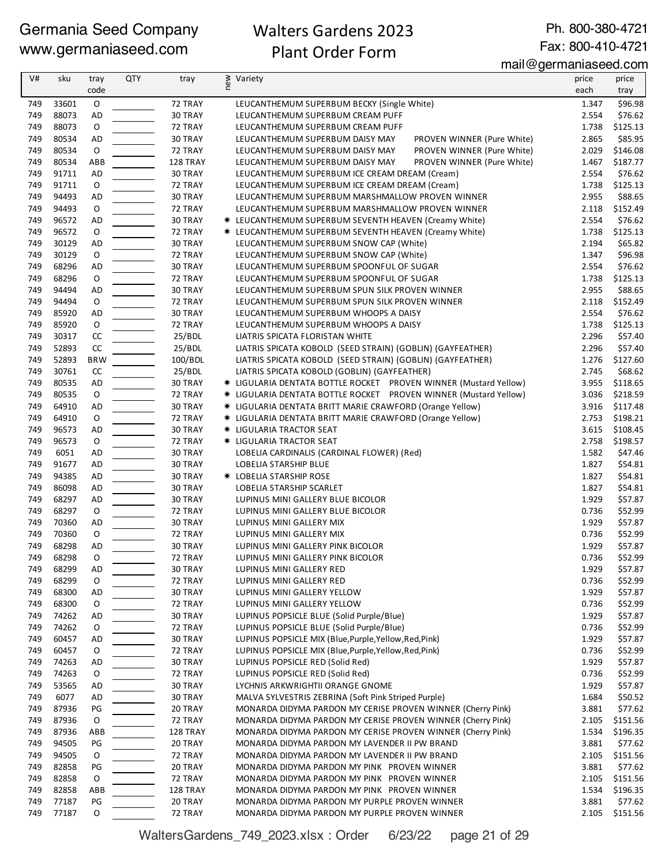## Walters Gardens 2023 Plant Order Form

Ph. 800-380-4721 Fax: 800-410-4721

mail@germaniaseed.com

| V#  | sku   | tray        | <b>QTY</b> | tray     | new | Variety                                                          | price | price    |
|-----|-------|-------------|------------|----------|-----|------------------------------------------------------------------|-------|----------|
|     |       | code        |            |          |     |                                                                  | each  | tray     |
| 749 | 33601 | $\mathsf O$ |            | 72 TRAY  |     | LEUCANTHEMUM SUPERBUM BECKY (Single White)                       | 1.347 | \$96.98  |
| 749 | 88073 | <b>AD</b>   |            | 30 TRAY  |     | LEUCANTHEMUM SUPERBUM CREAM PUFF                                 | 2.554 | \$76.62  |
| 749 | 88073 | O           |            | 72 TRAY  |     | LEUCANTHEMUM SUPERBUM CREAM PUFF                                 | 1.738 | \$125.13 |
| 749 | 80534 | <b>AD</b>   |            | 30 TRAY  |     | LEUCANTHEMUM SUPERBUM DAISY MAY<br>PROVEN WINNER (Pure White)    | 2.865 | \$85.95  |
| 749 | 80534 | $\mathsf O$ |            | 72 TRAY  |     | LEUCANTHEMUM SUPERBUM DAISY MAY<br>PROVEN WINNER (Pure White)    | 2.029 | \$146.08 |
| 749 | 80534 | ABB         |            | 128 TRAY |     | PROVEN WINNER (Pure White)<br>LEUCANTHEMUM SUPERBUM DAISY MAY    | 1.467 | \$187.77 |
| 749 | 91711 | AD          |            | 30 TRAY  |     | LEUCANTHEMUM SUPERBUM ICE CREAM DREAM (Cream)                    | 2.554 | \$76.62  |
| 749 | 91711 | 0           |            | 72 TRAY  |     | LEUCANTHEMUM SUPERBUM ICE CREAM DREAM (Cream)                    | 1.738 | \$125.13 |
| 749 | 94493 | AD          |            | 30 TRAY  |     | LEUCANTHEMUM SUPERBUM MARSHMALLOW PROVEN WINNER                  | 2.955 | \$88.65  |
| 749 | 94493 | $\mathsf O$ |            | 72 TRAY  |     | LEUCANTHEMUM SUPERBUM MARSHMALLOW PROVEN WINNER                  | 2.118 | \$152.49 |
| 749 | 96572 | <b>AD</b>   |            | 30 TRAY  |     | * LEUCANTHEMUM SUPERBUM SEVENTH HEAVEN (Creamy White)            | 2.554 | \$76.62  |
| 749 | 96572 | O           |            | 72 TRAY  |     | * LEUCANTHEMUM SUPERBUM SEVENTH HEAVEN (Creamy White)            | 1.738 | \$125.13 |
| 749 | 30129 | <b>AD</b>   |            | 30 TRAY  |     | LEUCANTHEMUM SUPERBUM SNOW CAP (White)                           | 2.194 | \$65.82  |
| 749 | 30129 | $\mathsf O$ |            | 72 TRAY  |     | LEUCANTHEMUM SUPERBUM SNOW CAP (White)                           | 1.347 | \$96.98  |
| 749 | 68296 | AD          |            | 30 TRAY  |     | LEUCANTHEMUM SUPERBUM SPOONFUL OF SUGAR                          | 2.554 | \$76.62  |
| 749 | 68296 | 0           |            | 72 TRAY  |     | LEUCANTHEMUM SUPERBUM SPOONFUL OF SUGAR                          | 1.738 | \$125.13 |
| 749 | 94494 | AD          |            | 30 TRAY  |     | LEUCANTHEMUM SUPERBUM SPUN SILK PROVEN WINNER                    | 2.955 | \$88.65  |
| 749 | 94494 | $\mathsf O$ |            | 72 TRAY  |     | LEUCANTHEMUM SUPERBUM SPUN SILK PROVEN WINNER                    | 2.118 | \$152.49 |
| 749 | 85920 | <b>AD</b>   |            | 30 TRAY  |     | LEUCANTHEMUM SUPERBUM WHOOPS A DAISY                             | 2.554 | \$76.62  |
| 749 | 85920 | 0           |            | 72 TRAY  |     | LEUCANTHEMUM SUPERBUM WHOOPS A DAISY                             | 1.738 | \$125.13 |
| 749 | 30317 | CC          |            | 25/BDL   |     | LIATRIS SPICATA FLORISTAN WHITE                                  | 2.296 | \$57.40  |
| 749 | 52893 | cc          |            | 25/BDL   |     | LIATRIS SPICATA KOBOLD (SEED STRAIN) (GOBLIN) (GAYFEATHER)       | 2.296 | \$57.40  |
| 749 | 52893 | <b>BRW</b>  |            | 100/BDL  |     | LIATRIS SPICATA KOBOLD (SEED STRAIN) (GOBLIN) (GAYFEATHER)       | 1.276 | \$127.60 |
| 749 | 30761 | CC          |            | 25/BDL   |     | LIATRIS SPICATA KOBOLD (GOBLIN) (GAYFEATHER)                     | 2.745 | \$68.62  |
| 749 | 80535 | AD          |            | 30 TRAY  |     | * LIGULARIA DENTATA BOTTLE ROCKET PROVEN WINNER (Mustard Yellow) | 3.955 | \$118.65 |
| 749 | 80535 | O           |            | 72 TRAY  |     | * LIGULARIA DENTATA BOTTLE ROCKET PROVEN WINNER (Mustard Yellow) | 3.036 | \$218.59 |
| 749 | 64910 | AD          |            | 30 TRAY  |     | * LIGULARIA DENTATA BRITT MARIE CRAWFORD (Orange Yellow)         | 3.916 | \$117.48 |
| 749 | 64910 | $\mathsf O$ |            | 72 TRAY  |     | * LIGULARIA DENTATA BRITT MARIE CRAWFORD (Orange Yellow)         | 2.753 | \$198.21 |
| 749 | 96573 | <b>AD</b>   |            | 30 TRAY  |     | * LIGULARIA TRACTOR SEAT                                         | 3.615 | \$108.45 |
| 749 | 96573 | 0           |            | 72 TRAY  |     | * LIGULARIA TRACTOR SEAT                                         | 2.758 | \$198.57 |
| 749 | 6051  | <b>AD</b>   |            | 30 TRAY  |     | LOBELIA CARDINALIS (CARDINAL FLOWER) (Red)                       | 1.582 | \$47.46  |
| 749 | 91677 | <b>AD</b>   |            | 30 TRAY  |     | LOBELIA STARSHIP BLUE                                            | 1.827 | \$54.81  |
| 749 | 94385 | AD          |            | 30 TRAY  |     | <b>* LOBELIA STARSHIP ROSE</b>                                   | 1.827 | \$54.81  |
| 749 | 86098 | AD          |            | 30 TRAY  |     | LOBELIA STARSHIP SCARLET                                         | 1.827 | \$54.81  |
| 749 | 68297 | AD          |            | 30 TRAY  |     | LUPINUS MINI GALLERY BLUE BICOLOR                                | 1.929 | \$57.87  |
| 749 | 68297 | $\mathsf O$ |            | 72 TRAY  |     | LUPINUS MINI GALLERY BLUE BICOLOR                                | 0.736 | \$52.99  |
| 749 | 70360 | <b>AD</b>   |            | 30 TRAY  |     | LUPINUS MINI GALLERY MIX                                         | 1.929 | \$57.87  |
| 749 | 70360 | 0           |            | 72 TRAY  |     | LUPINUS MINI GALLERY MIX                                         | 0.736 | \$52.99  |
| 749 | 68298 | <b>AD</b>   |            | 30 TRAY  |     | LUPINUS MINI GALLERY PINK BICOLOR                                | 1.929 | \$57.87  |
| 749 | 68298 | O           |            | 72 TRAY  |     | LUPINUS MINI GALLERY PINK BICOLOR                                | 0.736 | \$52.99  |
| 749 | 68299 | AD          |            | 30 TRAY  |     | LUPINUS MINI GALLERY RED                                         | 1.929 | \$57.87  |
| 749 | 68299 | 0           |            | 72 TRAY  |     | LUPINUS MINI GALLERY RED                                         | 0.736 | \$52.99  |
| 749 | 68300 | AD          |            | 30 TRAY  |     | LUPINUS MINI GALLERY YELLOW                                      | 1.929 | \$57.87  |
| 749 | 68300 | 0           |            | 72 TRAY  |     | LUPINUS MINI GALLERY YELLOW                                      | 0.736 | \$52.99  |
| 749 | 74262 | AD          |            | 30 TRAY  |     | LUPINUS POPSICLE BLUE (Solid Purple/Blue)                        | 1.929 | \$57.87  |
| 749 | 74262 | 0           |            | 72 TRAY  |     | LUPINUS POPSICLE BLUE (Solid Purple/Blue)                        | 0.736 | \$52.99  |
| 749 | 60457 | AD          |            | 30 TRAY  |     | LUPINUS POPSICLE MIX (Blue, Purple, Yellow, Red, Pink)           | 1.929 | \$57.87  |
| 749 | 60457 | 0           |            | 72 TRAY  |     | LUPINUS POPSICLE MIX (Blue, Purple, Yellow, Red, Pink)           | 0.736 | \$52.99  |
| 749 | 74263 | AD          |            | 30 TRAY  |     | LUPINUS POPSICLE RED (Solid Red)                                 | 1.929 | \$57.87  |
| 749 | 74263 | O           |            | 72 TRAY  |     | LUPINUS POPSICLE RED (Solid Red)                                 | 0.736 | \$52.99  |
| 749 | 53565 | AD          |            | 30 TRAY  |     | LYCHNIS ARKWRIGHTII ORANGE GNOME                                 | 1.929 | \$57.87  |
| 749 | 6077  | AD          |            | 30 TRAY  |     | MALVA SYLVESTRIS ZEBRINA (Soft Pink Striped Purple)              | 1.684 | \$50.52  |
| 749 | 87936 | PG          |            | 20 TRAY  |     | MONARDA DIDYMA PARDON MY CERISE PROVEN WINNER (Cherry Pink)      | 3.881 | \$77.62  |
| 749 | 87936 | $\mathsf O$ |            | 72 TRAY  |     | MONARDA DIDYMA PARDON MY CERISE PROVEN WINNER (Cherry Pink)      | 2.105 | \$151.56 |
| 749 | 87936 | ABB         |            | 128 TRAY |     | MONARDA DIDYMA PARDON MY CERISE PROVEN WINNER (Cherry Pink)      | 1.534 | \$196.35 |
| 749 | 94505 | PG          |            | 20 TRAY  |     | MONARDA DIDYMA PARDON MY LAVENDER II PW BRAND                    | 3.881 | \$77.62  |
| 749 | 94505 | 0           |            | 72 TRAY  |     | MONARDA DIDYMA PARDON MY LAVENDER II PW BRAND                    | 2.105 | \$151.56 |
| 749 | 82858 | PG          |            | 20 TRAY  |     | MONARDA DIDYMA PARDON MY PINK PROVEN WINNER                      | 3.881 | \$77.62  |
| 749 | 82858 | O           |            | 72 TRAY  |     | MONARDA DIDYMA PARDON MY PINK PROVEN WINNER                      | 2.105 | \$151.56 |
| 749 | 82858 | ABB         |            | 128 TRAY |     | MONARDA DIDYMA PARDON MY PINK PROVEN WINNER                      | 1.534 | \$196.35 |
| 749 | 77187 | PG          |            | 20 TRAY  |     | MONARDA DIDYMA PARDON MY PURPLE PROVEN WINNER                    | 3.881 | \$77.62  |
| 749 | 77187 | O           |            | 72 TRAY  |     | MONARDA DIDYMA PARDON MY PURPLE PROVEN WINNER                    | 2.105 | \$151.56 |

WaltersGardens\_749\_2023.xlsx : Order 6/23/22 page 21 of 29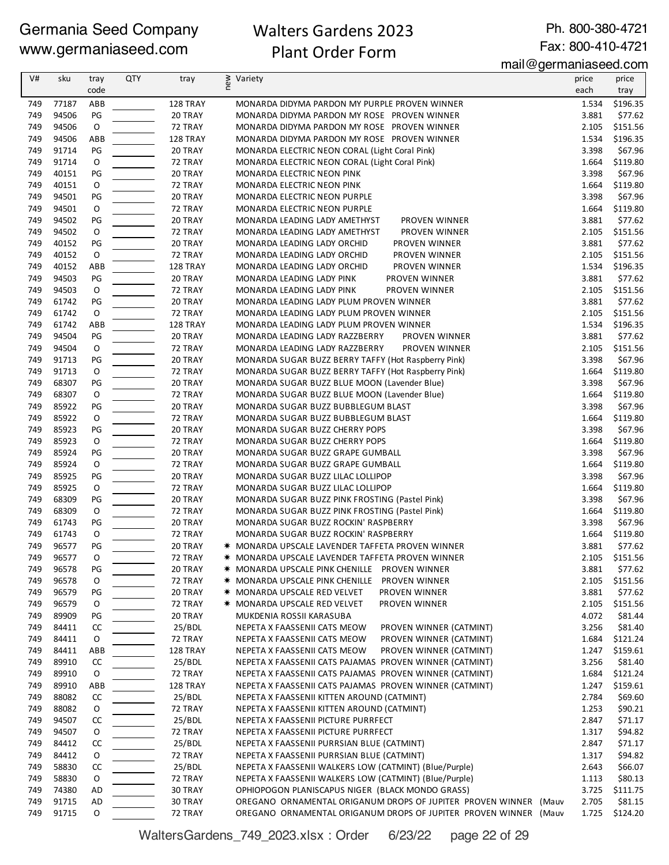## Walters Gardens 2023 Plant Order Form

Ph. 800-380-4721 Fax: 800-410-4721

| V#  | sku   | tray         | <b>QTY</b> | tray     | new<br>Variety                                                   | price | price    |
|-----|-------|--------------|------------|----------|------------------------------------------------------------------|-------|----------|
|     |       | code         |            |          |                                                                  | each  | tray     |
| 749 | 77187 | ABB          |            | 128 TRAY | MONARDA DIDYMA PARDON MY PURPLE PROVEN WINNER                    | 1.534 | \$196.35 |
| 749 | 94506 | PG           |            | 20 TRAY  | MONARDA DIDYMA PARDON MY ROSE PROVEN WINNER                      | 3.881 | \$77.62  |
| 749 | 94506 | $\mathsf O$  |            | 72 TRAY  | MONARDA DIDYMA PARDON MY ROSE PROVEN WINNER                      | 2.105 | \$151.56 |
| 749 | 94506 | ABB          |            | 128 TRAY | MONARDA DIDYMA PARDON MY ROSE PROVEN WINNER                      | 1.534 | \$196.35 |
| 749 | 91714 | PG           |            | 20 TRAY  | MONARDA ELECTRIC NEON CORAL (Light Coral Pink)                   | 3.398 | \$67.96  |
| 749 | 91714 | $\mathsf O$  |            | 72 TRAY  | MONARDA ELECTRIC NEON CORAL (Light Coral Pink)                   | 1.664 | \$119.80 |
| 749 | 40151 | PG           |            | 20 TRAY  | MONARDA ELECTRIC NEON PINK                                       | 3.398 | \$67.96  |
| 749 | 40151 | O            |            | 72 TRAY  | MONARDA ELECTRIC NEON PINK                                       | 1.664 | \$119.80 |
| 749 | 94501 | PG           |            | 20 TRAY  | MONARDA ELECTRIC NEON PURPLE                                     | 3.398 | \$67.96  |
| 749 | 94501 | $\mathsf O$  |            | 72 TRAY  | <b>MONARDA ELECTRIC NEON PURPLE</b>                              | 1.664 | \$119.80 |
| 749 | 94502 | PG           |            | 20 TRAY  | MONARDA LEADING LADY AMETHYST<br>PROVEN WINNER                   | 3.881 | \$77.62  |
| 749 | 94502 | O            |            | 72 TRAY  | MONARDA LEADING LADY AMETHYST<br>PROVEN WINNER                   | 2.105 | \$151.56 |
| 749 | 40152 | PG           |            | 20 TRAY  | MONARDA LEADING LADY ORCHID<br>PROVEN WINNER                     | 3.881 | \$77.62  |
| 749 | 40152 | $\mathsf O$  |            | 72 TRAY  | MONARDA LEADING LADY ORCHID<br>PROVEN WINNER                     | 2.105 | \$151.56 |
| 749 | 40152 | ABB          |            | 128 TRAY | MONARDA LEADING LADY ORCHID<br>PROVEN WINNER                     | 1.534 | \$196.35 |
| 749 | 94503 | PG           |            | 20 TRAY  | MONARDA LEADING LADY PINK<br>PROVEN WINNER                       | 3.881 | \$77.62  |
| 749 | 94503 | 0            |            | 72 TRAY  | MONARDA LEADING LADY PINK<br>PROVEN WINNER                       | 2.105 | \$151.56 |
| 749 | 61742 | PG           |            | 20 TRAY  | MONARDA LEADING LADY PLUM PROVEN WINNER                          | 3.881 | \$77.62  |
| 749 | 61742 | $\mathsf O$  |            | 72 TRAY  | MONARDA LEADING LADY PLUM PROVEN WINNER                          | 2.105 | \$151.56 |
| 749 | 61742 | ABB          |            | 128 TRAY | MONARDA LEADING LADY PLUM PROVEN WINNER                          | 1.534 | \$196.35 |
| 749 | 94504 | PG           |            | 20 TRAY  | MONARDA LEADING LADY RAZZBERRY<br>PROVEN WINNER                  | 3.881 | \$77.62  |
| 749 | 94504 | 0            |            | 72 TRAY  | PROVEN WINNER<br>MONARDA LEADING LADY RAZZBERRY                  | 2.105 | \$151.56 |
| 749 | 91713 | PG           |            | 20 TRAY  | MONARDA SUGAR BUZZ BERRY TAFFY (Hot Raspberry Pink)              | 3.398 | \$67.96  |
| 749 | 91713 | O            |            | 72 TRAY  | MONARDA SUGAR BUZZ BERRY TAFFY (Hot Raspberry Pink)              | 1.664 | \$119.80 |
| 749 | 68307 | PG           |            | 20 TRAY  | MONARDA SUGAR BUZZ BLUE MOON (Lavender Blue)                     | 3.398 | \$67.96  |
| 749 | 68307 | O            |            | 72 TRAY  | MONARDA SUGAR BUZZ BLUE MOON (Lavender Blue)                     | 1.664 | \$119.80 |
| 749 | 85922 | PG           |            | 20 TRAY  | MONARDA SUGAR BUZZ BUBBLEGUM BLAST                               | 3.398 | \$67.96  |
| 749 | 85922 | $\mathsf O$  |            | 72 TRAY  | MONARDA SUGAR BUZZ BUBBLEGUM BLAST                               | 1.664 | \$119.80 |
| 749 | 85923 | PG           |            | 20 TRAY  | MONARDA SUGAR BUZZ CHERRY POPS                                   | 3.398 | \$67.96  |
| 749 | 85923 | O            |            | 72 TRAY  | MONARDA SUGAR BUZZ CHERRY POPS                                   | 1.664 | \$119.80 |
| 749 | 85924 | PG           |            | 20 TRAY  | MONARDA SUGAR BUZZ GRAPE GUMBALL                                 | 3.398 | \$67.96  |
| 749 | 85924 | $\mathsf O$  |            | 72 TRAY  | MONARDA SUGAR BUZZ GRAPE GUMBALL                                 | 1.664 | \$119.80 |
| 749 | 85925 | PG           |            | 20 TRAY  | MONARDA SUGAR BUZZ LILAC LOLLIPOP                                | 3.398 | \$67.96  |
| 749 | 85925 | 0            |            | 72 TRAY  | MONARDA SUGAR BUZZ LILAC LOLLIPOP                                | 1.664 | \$119.80 |
| 749 | 68309 | PG           |            | 20 TRAY  | MONARDA SUGAR BUZZ PINK FROSTING (Pastel Pink)                   | 3.398 | \$67.96  |
| 749 | 68309 | $\mathsf{O}$ |            | 72 TRAY  | MONARDA SUGAR BUZZ PINK FROSTING (Pastel Pink)                   | 1.664 | \$119.80 |
| 749 | 61743 | PG           |            | 20 TRAY  | MONARDA SUGAR BUZZ ROCKIN' RASPBERRY                             | 3.398 | \$67.96  |
| 749 | 61743 | 0            |            | 72 TRAY  | MONARDA SUGAR BUZZ ROCKIN' RASPBERRY                             | 1.664 | \$119.80 |
| 749 | 96577 | PG           |            | 20 TRAY  | <b>* MONARDA UPSCALE LAVENDER TAFFETA PROVEN WINNER</b>          | 3.881 | \$77.62  |
| 749 | 96577 | O            |            | 72 TRAY  | * MONARDA UPSCALE LAVENDER TAFFETA PROVEN WINNER                 | 2.105 | \$151.56 |
| 749 | 96578 | PG           |            | 20 TRAY  | * MONARDA UPSCALE PINK CHENILLE<br><b>PROVEN WINNER</b>          | 3.881 | \$77.62  |
| 749 | 96578 | O            |            | 72 TRAY  | * MONARDA UPSCALE PINK CHENILLE<br>PROVEN WINNER                 | 2.105 | \$151.56 |
| 749 | 96579 | PG           |            | 20 TRAY  | <b>* MONARDA UPSCALE RED VELVET</b><br>PROVEN WINNER             | 3.881 | \$77.62  |
| 749 | 96579 | O            |            | 72 TRAY  | <b>* MONARDA UPSCALE RED VELVET</b><br>PROVEN WINNER             | 2.105 | \$151.56 |
| 749 | 89909 | PG           |            | 20 TRAY  | MUKDENIA ROSSII KARASUBA                                         | 4.072 | \$81.44  |
| 749 | 84411 | CC           |            | 25/BDL   | NEPETA X FAASSENII CATS MEOW<br>PROVEN WINNER (CATMINT)          | 3.256 | \$81.40  |
| 749 | 84411 | 0            |            | 72 TRAY  | NEPETA X FAASSENII CATS MEOW<br>PROVEN WINNER (CATMINT)          | 1.684 | \$121.24 |
| 749 | 84411 | ABB          |            | 128 TRAY | NEPETA X FAASSENII CATS MEOW<br>PROVEN WINNER (CATMINT)          | 1.247 | \$159.61 |
| 749 | 89910 | CC           |            | 25/BDL   | NEPETA X FAASSENII CATS PAJAMAS PROVEN WINNER (CATMINT)          | 3.256 | \$81.40  |
| 749 | 89910 | O            |            | 72 TRAY  | NEPETA X FAASSENII CATS PAJAMAS PROVEN WINNER (CATMINT)          | 1.684 | \$121.24 |
| 749 | 89910 | ABB          |            | 128 TRAY | NEPETA X FAASSENII CATS PAJAMAS PROVEN WINNER (CATMINT)          | 1.247 | \$159.61 |
| 749 | 88082 | CC           |            | 25/BDL   | NEPETA X FAASSENII KITTEN AROUND (CATMINT)                       | 2.784 | \$69.60  |
| 749 | 88082 | 0            |            | 72 TRAY  | NEPETA X FAASSENII KITTEN AROUND (CATMINT)                       | 1.253 | \$90.21  |
| 749 | 94507 | CC           |            | 25/BDL   | NEPETA X FAASSENII PICTURE PURRFECT                              | 2.847 | \$71.17  |
| 749 | 94507 | O            |            | 72 TRAY  | NEPETA X FAASSENII PICTURE PURRFECT                              | 1.317 | \$94.82  |
| 749 | 84412 | CC           |            | 25/BDL   | NEPETA X FAASSENII PURRSIAN BLUE (CATMINT)                       | 2.847 | \$71.17  |
| 749 | 84412 | 0            |            | 72 TRAY  | NEPETA X FAASSENII PURRSIAN BLUE (CATMINT)                       | 1.317 | \$94.82  |
| 749 | 58830 | CC           |            | 25/BDL   | NEPETA X FAASSENII WALKERS LOW (CATMINT) (Blue/Purple)           | 2.643 | \$66.07  |
| 749 | 58830 | O            |            | 72 TRAY  | NEPETA X FAASSENII WALKERS LOW (CATMINT) (Blue/Purple)           | 1.113 | \$80.13  |
| 749 | 74380 | AD           |            | 30 TRAY  | OPHIOPOGON PLANISCAPUS NIGER (BLACK MONDO GRASS)                 | 3.725 | \$111.75 |
| 749 | 91715 | AD           |            | 30 TRAY  | OREGANO ORNAMENTAL ORIGANUM DROPS OF JUPITER PROVEN WINNER (Mauv | 2.705 | \$81.15  |
| 749 | 91715 | 0            |            | 72 TRAY  | OREGANO ORNAMENTAL ORIGANUM DROPS OF JUPITER PROVEN WINNER (Mauv | 1.725 | \$124.20 |

WaltersGardens\_749\_2023.xlsx : Order 6/23/22 page 22 of 29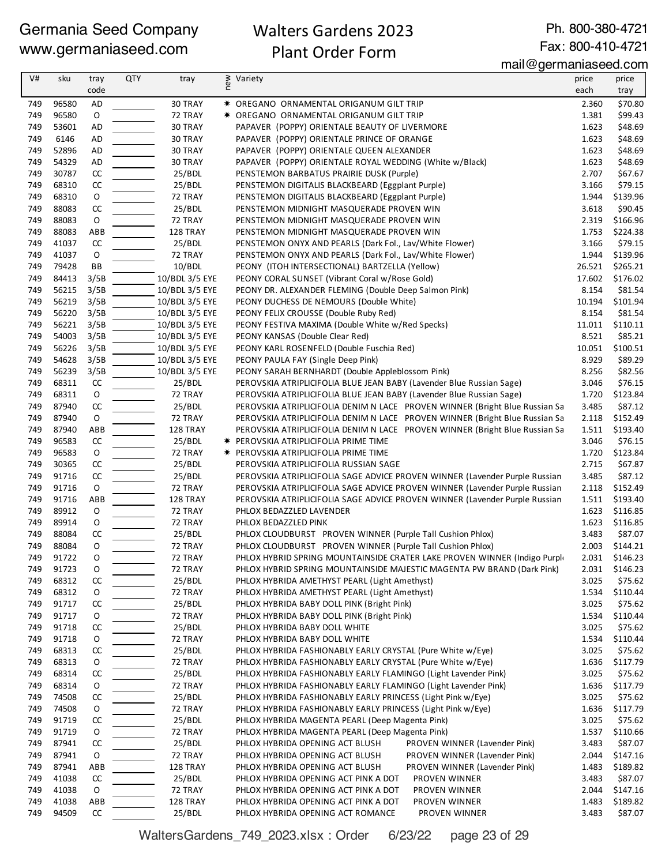## Walters Gardens 2023 Plant Order Form

Ph. 800-380-4721 Fax: 800-410-4721

mail@germaniaseed.com

| V#         | sku            | tray<br>code | QTY | tray              | new | Variety                                                                                                        | price<br>each   | price<br>tray        |
|------------|----------------|--------------|-----|-------------------|-----|----------------------------------------------------------------------------------------------------------------|-----------------|----------------------|
| 749        | 96580          | AD           |     | 30 TRAY           |     | * OREGANO ORNAMENTAL ORIGANUM GILT TRIP                                                                        | 2.360           | \$70.80              |
| 749        | 96580          | $\mathsf O$  |     | 72 TRAY           |     | * OREGANO ORNAMENTAL ORIGANUM GILT TRIP                                                                        | 1.381           | \$99.43              |
| 749        | 53601          | AD           |     | 30 TRAY           |     | PAPAVER (POPPY) ORIENTALE BEAUTY OF LIVERMORE                                                                  | 1.623           | \$48.69              |
| 749        | 6146           | AD           |     | 30 TRAY           |     | PAPAVER (POPPY) ORIENTALE PRINCE OF ORANGE                                                                     | 1.623           | \$48.69              |
| 749        | 52896          | AD           |     | 30 TRAY           |     | PAPAVER (POPPY) ORIENTALE QUEEN ALEXANDER                                                                      | 1.623           | \$48.69              |
| 749        | 54329          | <b>AD</b>    |     | 30 TRAY           |     | PAPAVER (POPPY) ORIENTALE ROYAL WEDDING (White w/Black)                                                        | 1.623           | \$48.69              |
| 749        | 30787          | CC           |     | 25/BDL            |     | PENSTEMON BARBATUS PRAIRIE DUSK (Purple)                                                                       | 2.707           | \$67.67              |
| 749        | 68310          | CC           |     | 25/BDL            |     | PENSTEMON DIGITALIS BLACKBEARD (Eggplant Purple)                                                               | 3.166           | \$79.15              |
| 749        | 68310          | O            |     | 72 TRAY           |     | PENSTEMON DIGITALIS BLACKBEARD (Eggplant Purple)                                                               | 1.944           | \$139.96             |
| 749        | 88083          | CC           |     | 25/BDL            |     | PENSTEMON MIDNIGHT MASQUERADE PROVEN WIN                                                                       | 3.618           | \$90.45              |
| 749        | 88083          | $\mathsf O$  |     | 72 TRAY           |     | PENSTEMON MIDNIGHT MASQUERADE PROVEN WIN                                                                       | 2.319           | \$166.96             |
| 749        | 88083          | ABB          |     | 128 TRAY          |     | PENSTEMON MIDNIGHT MASQUERADE PROVEN WIN                                                                       | 1.753           | \$224.38             |
| 749<br>749 | 41037<br>41037 | CC           |     | 25/BDL<br>72 TRAY |     | PENSTEMON ONYX AND PEARLS (Dark Fol., Lav/White Flower)                                                        | 3.166           | \$79.15<br>\$139.96  |
| 749        | 79428          | O<br>BB      |     | 10/BDL            |     | PENSTEMON ONYX AND PEARLS (Dark Fol., Lav/White Flower)<br>PEONY (ITOH INTERSECTIONAL) BARTZELLA (Yellow)      | 1.944<br>26.521 | \$265.21             |
| 749        | 84413          | 3/5B         |     | 10/BDL 3/5 EYE    |     | PEONY CORAL SUNSET (Vibrant Coral w/Rose Gold)                                                                 | 17.602          | \$176.02             |
| 749        | 56215          | 3/5B         |     | 10/BDL 3/5 EYE    |     | PEONY DR. ALEXANDER FLEMING (Double Deep Salmon Pink)                                                          | 8.154           | \$81.54              |
| 749        | 56219          | 3/5B         |     | 10/BDL 3/5 EYE    |     | PEONY DUCHESS DE NEMOURS (Double White)                                                                        | 10.194          | \$101.94             |
| 749        | 56220          | 3/5B         |     | 10/BDL 3/5 EYE    |     | PEONY FELIX CROUSSE (Double Ruby Red)                                                                          | 8.154           | \$81.54              |
| 749        | 56221          | 3/5B         |     | 10/BDL 3/5 EYE    |     | PEONY FESTIVA MAXIMA (Double White w/Red Specks)                                                               | 11.011          | \$110.11             |
| 749        | 54003          | 3/5B         |     | 10/BDL 3/5 EYE    |     | PEONY KANSAS (Double Clear Red)                                                                                | 8.521           | \$85.21              |
| 749        | 56226          | 3/5B         |     | 10/BDL 3/5 EYE    |     | PEONY KARL ROSENFELD (Double Fuschia Red)                                                                      | 10.051          | \$100.51             |
| 749        | 54628          | 3/5B         |     | 10/BDL 3/5 EYE    |     | PEONY PAULA FAY (Single Deep Pink)                                                                             | 8.929           | \$89.29              |
| 749        | 56239          | 3/5B         |     | 10/BDL 3/5 EYE    |     | PEONY SARAH BERNHARDT (Double Appleblossom Pink)                                                               | 8.256           | \$82.56              |
| 749        | 68311          | CC           |     | 25/BDL            |     | PEROVSKIA ATRIPLICIFOLIA BLUE JEAN BABY (Lavender Blue Russian Sage)                                           | 3.046           | \$76.15              |
| 749        | 68311          | O            |     | 72 TRAY           |     | PEROVSKIA ATRIPLICIFOLIA BLUE JEAN BABY (Lavender Blue Russian Sage)                                           | 1.720           | \$123.84             |
| 749        | 87940          | CC           |     | 25/BDL            |     | PEROVSKIA ATRIPLICIFOLIA DENIM N LACE PROVEN WINNER (Bright Blue Russian Sa                                    | 3.485           | \$87.12              |
| 749        | 87940          | $\mathsf O$  |     | 72 TRAY           |     | PEROVSKIA ATRIPLICIFOLIA DENIM N LACE PROVEN WINNER (Bright Blue Russian Sa                                    | 2.118           | \$152.49             |
| 749        | 87940          | ABB          |     | 128 TRAY          |     | PEROVSKIA ATRIPLICIFOLIA DENIM N LACE PROVEN WINNER (Bright Blue Russian Sa                                    | 1.511           | \$193.40             |
| 749        | 96583          | CC           |     | 25/BDL            |     | * PEROVSKIA ATRIPLICIFOLIA PRIME TIME                                                                          | 3.046           | \$76.15              |
| 749        | 96583          | O            |     | 72 TRAY           |     | <b>★ PEROVSKIA ATRIPLICIFOLIA PRIME TIME</b>                                                                   | 1.720           | \$123.84             |
| 749        | 30365          | CC           |     | 25/BDL            |     | PEROVSKIA ATRIPLICIFOLIA RUSSIAN SAGE                                                                          | 2.715           | \$67.87              |
| 749        | 91716          | CC           |     | 25/BDL            |     | PEROVSKIA ATRIPLICIFOLIA SAGE ADVICE PROVEN WINNER (Lavender Purple Russian                                    | 3.485           | \$87.12              |
| 749        | 91716          | $\mathsf O$  |     | 72 TRAY           |     | PEROVSKIA ATRIPLICIFOLIA SAGE ADVICE PROVEN WINNER (Lavender Purple Russian                                    | 2.118           | \$152.49             |
| 749        | 91716          | ABB          |     | 128 TRAY          |     | PEROVSKIA ATRIPLICIFOLIA SAGE ADVICE PROVEN WINNER (Lavender Purple Russian                                    | 1.511           | \$193.40             |
| 749        | 89912          | O            |     | 72 TRAY           |     | PHLOX BEDAZZLED LAVENDER                                                                                       | 1.623           | \$116.85             |
| 749<br>749 | 89914<br>88084 | O<br>CC      |     | 72 TRAY           |     | PHLOX BEDAZZLED PINK<br>PHLOX CLOUDBURST PROVEN WINNER (Purple Tall Cushion Phlox)                             | 1.623<br>3.483  | \$116.85<br>\$87.07  |
| 749        | 88084          | O            |     | 25/BDL<br>72 TRAY |     | PHLOX CLOUDBURST PROVEN WINNER (Purple Tall Cushion Phlox)                                                     | 2.003           | \$144.21             |
| 749        | 91722          | O            |     | 72 TRAY           |     | PHLOX HYBRID SPRING MOUNTAINSIDE CRATER LAKE PROVEN WINNER (Indigo Purple                                      | 2.031           | \$146.23             |
| 749        | 91723          | O            |     | 72 TRAY           |     | PHLOX HYBRID SPRING MOUNTAINSIDE MAJESTIC MAGENTA PW BRAND (Dark Pink)                                         | 2.031           | \$146.23             |
| 749        | 68312          | CC           |     | 25/BDL            |     | PHLOX HYBRIDA AMETHYST PEARL (Light Amethyst)                                                                  | 3.025           | \$75.62              |
| 749        | 68312          | 0            |     | 72 TRAY           |     | PHLOX HYBRIDA AMETHYST PEARL (Light Amethyst)                                                                  | 1.534           | \$110.44             |
| 749        | 91717          | CC           |     | 25/BDL            |     | PHLOX HYBRIDA BABY DOLL PINK (Bright Pink)                                                                     | 3.025           | \$75.62              |
| 749        | 91717          | 0            |     | 72 TRAY           |     | PHLOX HYBRIDA BABY DOLL PINK (Bright Pink)                                                                     | 1.534           | \$110.44             |
| 749        | 91718          | CC           |     | 25/BDL            |     | PHLOX HYBRIDA BABY DOLL WHITE                                                                                  | 3.025           | \$75.62              |
| 749        | 91718          | O            |     | 72 TRAY           |     | PHLOX HYBRIDA BABY DOLL WHITE                                                                                  | 1.534           | \$110.44             |
| 749        | 68313          | CC           |     | 25/BDL            |     | PHLOX HYBRIDA FASHIONABLY EARLY CRYSTAL (Pure White w/Eye)                                                     | 3.025           | \$75.62              |
| 749        | 68313          | 0            |     | 72 TRAY           |     | PHLOX HYBRIDA FASHIONABLY EARLY CRYSTAL (Pure White w/Eye)                                                     | 1.636           | \$117.79             |
| 749        | 68314          | CC           |     | 25/BDL            |     | PHLOX HYBRIDA FASHIONABLY EARLY FLAMINGO (Light Lavender Pink)                                                 | 3.025           | \$75.62              |
| 749        | 68314          | 0            |     | 72 TRAY           |     | PHLOX HYBRIDA FASHIONABLY EARLY FLAMINGO (Light Lavender Pink)                                                 | 1.636           | \$117.79             |
| 749        | 74508          | CC           |     | 25/BDL            |     | PHLOX HYBRIDA FASHIONABLY EARLY PRINCESS (Light Pink w/Eye)                                                    | 3.025           | \$75.62              |
| 749        | 74508          | 0            |     | 72 TRAY           |     | PHLOX HYBRIDA FASHIONABLY EARLY PRINCESS (Light Pink w/Eye)                                                    | 1.636           | \$117.79             |
| 749        | 91719          | CC           |     | 25/BDL            |     | PHLOX HYBRIDA MAGENTA PEARL (Deep Magenta Pink)                                                                | 3.025           | \$75.62              |
| 749        | 91719          | O            |     | 72 TRAY           |     | PHLOX HYBRIDA MAGENTA PEARL (Deep Magenta Pink)                                                                | 1.537           | \$110.66             |
| 749        | 87941          | CC           |     | 25/BDL            |     | PHLOX HYBRIDA OPENING ACT BLUSH<br>PROVEN WINNER (Lavender Pink)                                               | 3.483           | \$87.07              |
| 749        | 87941          | $\mathsf O$  |     | 72 TRAY           |     | PROVEN WINNER (Lavender Pink)<br>PHLOX HYBRIDA OPENING ACT BLUSH                                               | 2.044           | \$147.16             |
| 749        | 87941          | ABB          |     | 128 TRAY          |     | PHLOX HYBRIDA OPENING ACT BLUSH<br>PROVEN WINNER (Lavender Pink)                                               | 1.483           | \$189.82             |
| 749<br>749 | 41038<br>41038 | CC<br>0      |     | 25/BDL<br>72 TRAY |     | PROVEN WINNER<br>PHLOX HYBRIDA OPENING ACT PINK A DOT                                                          | 3.483           | \$87.07              |
| 749        | 41038          | ABB          |     | 128 TRAY          |     | PHLOX HYBRIDA OPENING ACT PINK A DOT<br>PROVEN WINNER<br>PHLOX HYBRIDA OPENING ACT PINK A DOT<br>PROVEN WINNER | 2.044<br>1.483  | \$147.16<br>\$189.82 |
| 749        | 94509          | CC           |     | 25/BDL            |     | PHLOX HYBRIDA OPENING ACT ROMANCE<br>PROVEN WINNER                                                             | 3.483           | \$87.07              |
|            |                |              |     |                   |     |                                                                                                                |                 |                      |

WaltersGardens\_749\_2023.xlsx : Order 6/23/22 page 23 of 29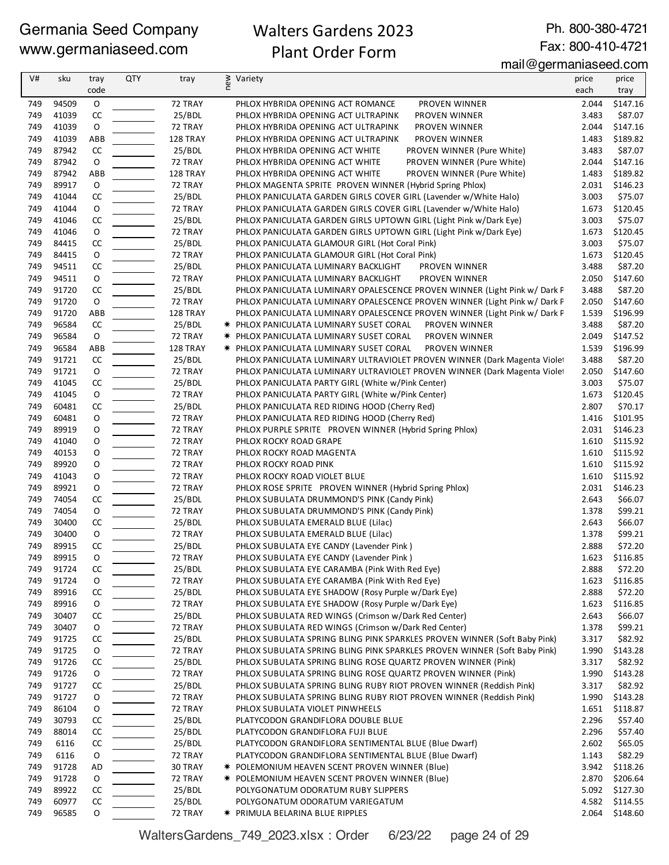## Walters Gardens 2023 Plant Order Form

Ph. 800-380-4721 Fax: 800-410-4721

| V#  | sku   | tray          | QTY | tray     | new<br>Variety                                                            | price | price          |
|-----|-------|---------------|-----|----------|---------------------------------------------------------------------------|-------|----------------|
|     |       | code          |     |          |                                                                           | each  | tray           |
| 749 | 94509 | $\mathsf O$   |     | 72 TRAY  | PHLOX HYBRIDA OPENING ACT ROMANCE<br>PROVEN WINNER                        | 2.044 | \$147.16       |
| 749 | 41039 | CC            |     | 25/BDL   | PHLOX HYBRIDA OPENING ACT ULTRAPINK<br>PROVEN WINNER                      | 3.483 | \$87.07        |
| 749 | 41039 | $\mathsf O$   |     | 72 TRAY  | PHLOX HYBRIDA OPENING ACT ULTRAPINK<br>PROVEN WINNER                      | 2.044 | \$147.16       |
| 749 | 41039 | ABB           |     | 128 TRAY | PHLOX HYBRIDA OPENING ACT ULTRAPINK<br>PROVEN WINNER                      | 1.483 | \$189.82       |
| 749 | 87942 | CC            |     | 25/BDL   | PHLOX HYBRIDA OPENING ACT WHITE<br>PROVEN WINNER (Pure White)             | 3.483 | \$87.07        |
| 749 | 87942 | O             |     | 72 TRAY  | PROVEN WINNER (Pure White)<br>PHLOX HYBRIDA OPENING ACT WHITE             | 2.044 | \$147.16       |
| 749 | 87942 | ABB           |     | 128 TRAY | PROVEN WINNER (Pure White)<br>PHLOX HYBRIDA OPENING ACT WHITE             | 1.483 | \$189.82       |
| 749 | 89917 | $\mathsf O$   |     | 72 TRAY  | PHLOX MAGENTA SPRITE PROVEN WINNER (Hybrid Spring Phlox)                  | 2.031 | \$146.23       |
| 749 | 41044 | CC            |     | 25/BDL   | PHLOX PANICULATA GARDEN GIRLS COVER GIRL (Lavender w/White Halo)          | 3.003 | \$75.07        |
| 749 | 41044 | $\mathsf O$   |     | 72 TRAY  | PHLOX PANICULATA GARDEN GIRLS COVER GIRL (Lavender w/White Halo)          | 1.673 | \$120.45       |
| 749 | 41046 | CC            |     | 25/BDL   | PHLOX PANICULATA GARDEN GIRLS UPTOWN GIRL (Light Pink w/Dark Eye)         | 3.003 | \$75.07        |
| 749 | 41046 | 0             |     | 72 TRAY  | PHLOX PANICULATA GARDEN GIRLS UPTOWN GIRL (Light Pink w/Dark Eye)         | 1.673 | \$120.45       |
| 749 | 84415 | CC            |     | 25/BDL   | PHLOX PANICULATA GLAMOUR GIRL (Hot Coral Pink)                            | 3.003 | \$75.07        |
| 749 | 84415 | $\mathsf O$   |     | 72 TRAY  | PHLOX PANICULATA GLAMOUR GIRL (Hot Coral Pink)                            | 1.673 | \$120.45       |
| 749 | 94511 | CC            |     | 25/BDL   | PHLOX PANICULATA LUMINARY BACKLIGHT<br>PROVEN WINNER                      | 3.488 | \$87.20        |
| 749 | 94511 | 0             |     | 72 TRAY  | PHLOX PANICULATA LUMINARY BACKLIGHT<br>PROVEN WINNER                      | 2.050 | \$147.60       |
| 749 | 91720 | CC            |     | 25/BDL   | PHLOX PANICULATA LUMINARY OPALESCENCE PROVEN WINNER (Light Pink w/ Dark F | 3.488 | \$87.20        |
| 749 | 91720 | $\mathsf O$   |     | 72 TRAY  | PHLOX PANICULATA LUMINARY OPALESCENCE PROVEN WINNER (Light Pink w/ Dark F | 2.050 | \$147.60       |
| 749 | 91720 | ABB           |     | 128 TRAY | PHLOX PANICULATA LUMINARY OPALESCENCE PROVEN WINNER (Light Pink w/ Dark F | 1.539 | \$196.99       |
| 749 | 96584 | cc            |     | 25/BDL   | * PHLOX PANICULATA LUMINARY SUSET CORAL<br>PROVEN WINNER                  | 3.488 | \$87.20        |
| 749 | 96584 | $\mathsf O$   |     | 72 TRAY  | <b>* PHLOX PANICULATA LUMINARY SUSET CORAL</b><br>PROVEN WINNER           | 2.049 | \$147.52       |
| 749 | 96584 | ABB           |     | 128 TRAY | PROVEN WINNER<br><b>* PHLOX PANICULATA LUMINARY SUSET CORAL</b>           | 1.539 | \$196.99       |
| 749 | 91721 | CC            |     | 25/BDL   | PHLOX PANICULATA LUMINARY ULTRAVIOLET PROVEN WINNER (Dark Magenta Violet  | 3.488 | \$87.20        |
| 749 | 91721 | O             |     | 72 TRAY  | PHLOX PANICULATA LUMINARY ULTRAVIOLET PROVEN WINNER (Dark Magenta Violet  | 2.050 | \$147.60       |
| 749 | 41045 | $\mathsf{CC}$ |     | 25/BDL   | PHLOX PANICULATA PARTY GIRL (White w/Pink Center)                         | 3.003 | \$75.07        |
| 749 | 41045 | $\mathsf O$   |     | 72 TRAY  | PHLOX PANICULATA PARTY GIRL (White w/Pink Center)                         | 1.673 | \$120.45       |
| 749 | 60481 | CC            |     | 25/BDL   | PHLOX PANICULATA RED RIDING HOOD (Cherry Red)                             | 2.807 | \$70.17        |
| 749 | 60481 | 0             |     | 72 TRAY  | PHLOX PANICULATA RED RIDING HOOD (Cherry Red)                             | 1.416 | \$101.95       |
| 749 | 89919 | O             |     | 72 TRAY  | PHLOX PURPLE SPRITE PROVEN WINNER (Hybrid Spring Phlox)                   | 2.031 | \$146.23       |
| 749 | 41040 | O             |     | 72 TRAY  | PHLOX ROCKY ROAD GRAPE                                                    | 1.610 | \$115.92       |
| 749 | 40153 | O             |     | 72 TRAY  | PHLOX ROCKY ROAD MAGENTA                                                  | 1.610 | \$115.92       |
| 749 | 89920 | O             |     | 72 TRAY  | PHLOX ROCKY ROAD PINK                                                     | 1.610 | \$115.92       |
| 749 | 41043 | O             |     | 72 TRAY  | PHLOX ROCKY ROAD VIOLET BLUE                                              | 1.610 | \$115.92       |
| 749 | 89921 | O             |     | 72 TRAY  | PHLOX ROSE SPRITE PROVEN WINNER (Hybrid Spring Phlox)                     |       | 2.031 \$146.23 |
| 749 | 74054 | $\mathsf{CC}$ |     | 25/BDL   | PHLOX SUBULATA DRUMMOND'S PINK (Candy Pink)                               | 2.643 | \$66.07        |
| 749 | 74054 | $\mathsf O$   |     | 72 TRAY  | PHLOX SUBULATA DRUMMOND'S PINK (Candy Pink)                               | 1.378 | \$99.21        |
| 749 | 30400 | CC            |     | 25/BDL   | PHLOX SUBULATA EMERALD BLUE (Lilac)                                       | 2.643 | \$66.07        |
| 749 | 30400 | O             |     | 72 TRAY  | PHLOX SUBULATA EMERALD BLUE (Lilac)                                       | 1.378 | \$99.21        |
| 749 | 89915 | $\mathsf{CC}$ |     | 25/BDL   | PHLOX SUBULATA EYE CANDY (Lavender Pink)                                  | 2.888 | \$72.20        |
| 749 | 89915 | O             |     | 72 TRAY  | PHLOX SUBULATA EYE CANDY (Lavender Pink)                                  | 1.623 | \$116.85       |
| 749 | 91724 | CC            |     | 25/BDL   | PHLOX SUBULATA EYE CARAMBA (Pink With Red Eye)                            | 2.888 | \$72.20        |
| 749 | 91724 | O             |     | 72 TRAY  | PHLOX SUBULATA EYE CARAMBA (Pink With Red Eye)                            | 1.623 | \$116.85       |
| 749 | 89916 | CC            |     | 25/BDL   | PHLOX SUBULATA EYE SHADOW (Rosy Purple w/Dark Eye)                        | 2.888 | \$72.20        |
| 749 | 89916 | O             |     | 72 TRAY  | PHLOX SUBULATA EYE SHADOW (Rosy Purple w/Dark Eye)                        | 1.623 | \$116.85       |
| 749 | 30407 | CC            |     | 25/BDL   | PHLOX SUBULATA RED WINGS (Crimson w/Dark Red Center)                      | 2.643 | \$66.07        |
| 749 | 30407 | 0             |     | 72 TRAY  | PHLOX SUBULATA RED WINGS (Crimson w/Dark Red Center)                      | 1.378 | \$99.21        |
| 749 | 91725 | CC            |     | 25/BDL   | PHLOX SUBULATA SPRING BLING PINK SPARKLES PROVEN WINNER (Soft Baby Pink)  | 3.317 | \$82.92        |
| 749 | 91725 | 0             |     | 72 TRAY  | PHLOX SUBULATA SPRING BLING PINK SPARKLES PROVEN WINNER (Soft Baby Pink)  | 1.990 | \$143.28       |
| 749 | 91726 | CC            |     | 25/BDL   | PHLOX SUBULATA SPRING BLING ROSE QUARTZ PROVEN WINNER (Pink)              | 3.317 | \$82.92        |
| 749 | 91726 | 0             |     | 72 TRAY  | PHLOX SUBULATA SPRING BLING ROSE QUARTZ PROVEN WINNER (Pink)              | 1.990 | \$143.28       |
| 749 | 91727 | CC            |     | 25/BDL   | PHLOX SUBULATA SPRING BLING RUBY RIOT PROVEN WINNER (Reddish Pink)        | 3.317 | \$82.92        |
| 749 | 91727 | 0             |     | 72 TRAY  | PHLOX SUBULATA SPRING BLING RUBY RIOT PROVEN WINNER (Reddish Pink)        | 1.990 | \$143.28       |
| 749 | 86104 | O             |     | 72 TRAY  | PHLOX SUBULATA VIOLET PINWHEELS                                           | 1.651 | \$118.87       |
| 749 | 30793 | CC            |     | 25/BDL   | PLATYCODON GRANDIFLORA DOUBLE BLUE                                        | 2.296 | \$57.40        |
| 749 | 88014 | CC            |     | 25/BDL   | PLATYCODON GRANDIFLORA FUJI BLUE                                          | 2.296 | \$57.40        |
| 749 | 6116  | CC            |     | 25/BDL   | PLATYCODON GRANDIFLORA SENTIMENTAL BLUE (Blue Dwarf)                      | 2.602 | \$65.05        |
| 749 | 6116  | 0             |     | 72 TRAY  | PLATYCODON GRANDIFLORA SENTIMENTAL BLUE (Blue Dwarf)                      | 1.143 | \$82.29        |
| 749 | 91728 | AD            |     | 30 TRAY  | <b>★ POLEMONIUM HEAVEN SCENT PROVEN WINNER (Blue)</b>                     | 3.942 | \$118.26       |
| 749 | 91728 | O             |     | 72 TRAY  | <b>* POLEMONIUM HEAVEN SCENT PROVEN WINNER (Blue)</b>                     | 2.870 | \$206.64       |
| 749 | 89922 | CC            |     | 25/BDL   | POLYGONATUM ODORATUM RUBY SLIPPERS                                        | 5.092 | \$127.30       |
| 749 | 60977 | CC            |     | 25/BDL   | POLYGONATUM ODORATUM VARIEGATUM                                           | 4.582 | \$114.55       |
| 749 | 96585 | 0             |     | 72 TRAY  | * PRIMULA BELARINA BLUE RIPPLES                                           | 2.064 | \$148.60       |

WaltersGardens\_749\_2023.xlsx : Order 6/23/22 page 24 of 29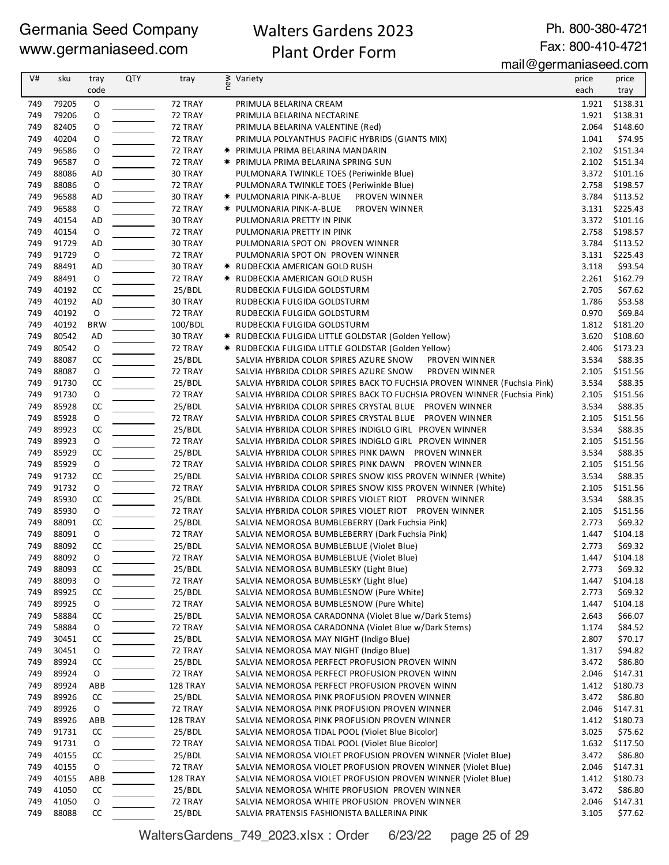## Walters Gardens 2023 Plant Order Form

Ph. 800-380-4721 Fax: 800-410-4721

mail@germaniaseed.com

| V#  | sku   | tray          | <b>QTY</b> | tray     | new | Variety                                                                  | price | price          |
|-----|-------|---------------|------------|----------|-----|--------------------------------------------------------------------------|-------|----------------|
|     |       | code          |            |          |     |                                                                          | each  | tray           |
| 749 | 79205 | $\mathsf O$   |            | 72 TRAY  |     | PRIMULA BELARINA CREAM                                                   | 1.921 | \$138.31       |
| 749 | 79206 | O             |            | 72 TRAY  |     | PRIMULA BELARINA NECTARINE                                               | 1.921 | \$138.31       |
| 749 | 82405 | O             |            | 72 TRAY  |     | PRIMULA BELARINA VALENTINE (Red)                                         | 2.064 | \$148.60       |
| 749 | 40204 | 0             |            | 72 TRAY  |     | PRIMULA POLYANTHUS PACIFIC HYBRIDS (GIANTS MIX)                          | 1.041 | \$74.95        |
| 749 | 96586 | O             |            | 72 TRAY  |     | <b>* PRIMULA PRIMA BELARINA MANDARIN</b>                                 | 2.102 | \$151.34       |
| 749 | 96587 | O             |            | 72 TRAY  |     | <b>★ PRIMULA PRIMA BELARINA SPRING SUN</b>                               | 2.102 | \$151.34       |
| 749 | 88086 | <b>AD</b>     |            | 30 TRAY  |     | PULMONARA TWINKLE TOES (Periwinkle Blue)                                 | 3.372 | \$101.16       |
| 749 | 88086 | 0             |            | 72 TRAY  |     | PULMONARA TWINKLE TOES (Periwinkle Blue)                                 | 2.758 | \$198.57       |
| 749 | 96588 | <b>AD</b>     |            | 30 TRAY  |     | * PULMONARIA PINK-A-BLUE<br>PROVEN WINNER                                | 3.784 | \$113.52       |
| 749 | 96588 | $\mathsf O$   |            | 72 TRAY  |     | * PULMONARIA PINK-A-BLUE<br>PROVEN WINNER                                | 3.131 | \$225.43       |
| 749 | 40154 | <b>AD</b>     |            | 30 TRAY  |     | PULMONARIA PRETTY IN PINK                                                |       | 3.372 \$101.16 |
| 749 | 40154 | 0             |            | 72 TRAY  |     | PULMONARIA PRETTY IN PINK                                                | 2.758 | \$198.57       |
| 749 | 91729 | AD            |            | 30 TRAY  |     | PULMONARIA SPOT ON PROVEN WINNER                                         | 3.784 | \$113.52       |
| 749 | 91729 | ${\mathsf o}$ |            | 72 TRAY  |     | PULMONARIA SPOT ON PROVEN WINNER                                         | 3.131 | \$225.43       |
| 749 | 88491 | AD            |            | 30 TRAY  |     | <b>★ RUDBECKIA AMERICAN GOLD RUSH</b>                                    | 3.118 | \$93.54        |
| 749 | 88491 | $\mathsf O$   |            | 72 TRAY  |     | <b>* RUDBECKIA AMERICAN GOLD RUSH</b>                                    | 2.261 | \$162.79       |
| 749 | 40192 | CC            |            | 25/BDL   |     | RUDBECKIA FULGIDA GOLDSTURM                                              | 2.705 | \$67.62        |
| 749 | 40192 | <b>AD</b>     |            | 30 TRAY  |     | RUDBECKIA FULGIDA GOLDSTURM                                              | 1.786 | \$53.58        |
| 749 | 40192 | $\circ$       |            | 72 TRAY  |     | RUDBECKIA FULGIDA GOLDSTURM                                              | 0.970 | \$69.84        |
| 749 | 40192 | <b>BRW</b>    |            | 100/BDL  |     | RUDBECKIA FULGIDA GOLDSTURM                                              | 1.812 | \$181.20       |
| 749 | 80542 | AD            |            | 30 TRAY  |     | * RUDBECKIA FULGIDA LITTLE GOLDSTAR (Golden Yellow)                      | 3.620 | \$108.60       |
| 749 | 80542 | O             |            | 72 TRAY  |     | * RUDBECKIA FULGIDA LITTLE GOLDSTAR (Golden Yellow)                      | 2.406 | \$173.23       |
| 749 | 88087 | CC            |            | 25/BDL   |     | SALVIA HYBRIDA COLOR SPIRES AZURE SNOW<br>PROVEN WINNER                  | 3.534 | \$88.35        |
| 749 | 88087 | O             |            | 72 TRAY  |     | SALVIA HYBRIDA COLOR SPIRES AZURE SNOW<br>PROVEN WINNER                  | 2.105 | \$151.56       |
| 749 | 91730 | CC            |            | 25/BDL   |     | SALVIA HYBRIDA COLOR SPIRES BACK TO FUCHSIA PROVEN WINNER (Fuchsia Pink) | 3.534 | \$88.35        |
| 749 | 91730 | 0             |            | 72 TRAY  |     | SALVIA HYBRIDA COLOR SPIRES BACK TO FUCHSIA PROVEN WINNER (Fuchsia Pink) | 2.105 | \$151.56       |
| 749 | 85928 | CC            |            | 25/BDL   |     | SALVIA HYBRIDA COLOR SPIRES CRYSTAL BLUE PROVEN WINNER                   | 3.534 | \$88.35        |
| 749 | 85928 | $\mathsf O$   |            | 72 TRAY  |     | SALVIA HYBRIDA COLOR SPIRES CRYSTAL BLUE PROVEN WINNER                   | 2.105 | \$151.56       |
| 749 | 89923 | CC            |            | 25/BDL   |     | SALVIA HYBRIDA COLOR SPIRES INDIGLO GIRL PROVEN WINNER                   | 3.534 | \$88.35        |
| 749 | 89923 | $\mathsf O$   |            | 72 TRAY  |     | SALVIA HYBRIDA COLOR SPIRES INDIGLO GIRL PROVEN WINNER                   | 2.105 | \$151.56       |
| 749 | 85929 | $\mathsf{CC}$ |            | 25/BDL   |     | SALVIA HYBRIDA COLOR SPIRES PINK DAWN PROVEN WINNER                      | 3.534 | \$88.35        |
| 749 | 85929 | $\mathsf O$   |            | 72 TRAY  |     | SALVIA HYBRIDA COLOR SPIRES PINK DAWN PROVEN WINNER                      | 2.105 | \$151.56       |
| 749 | 91732 | CC            |            | 25/BDL   |     | SALVIA HYBRIDA COLOR SPIRES SNOW KISS PROVEN WINNER (White)              | 3.534 | \$88.35        |
| 749 | 91732 | 0             |            | 72 TRAY  |     | SALVIA HYBRIDA COLOR SPIRES SNOW KISS PROVEN WINNER (White)              | 2.105 | \$151.56       |
| 749 | 85930 | CC            |            | 25/BDL   |     | SALVIA HYBRIDA COLOR SPIRES VIOLET RIOT PROVEN WINNER                    | 3.534 | \$88.35        |
| 749 | 85930 | $\mathsf O$   |            | 72 TRAY  |     | SALVIA HYBRIDA COLOR SPIRES VIOLET RIOT PROVEN WINNER                    | 2.105 | \$151.56       |
| 749 | 88091 | CC            |            | 25/BDL   |     | SALVIA NEMOROSA BUMBLEBERRY (Dark Fuchsia Pink)                          | 2.773 | \$69.32        |
| 749 | 88091 | O             |            | 72 TRAY  |     | SALVIA NEMOROSA BUMBLEBERRY (Dark Fuchsia Pink)                          | 1.447 | \$104.18       |
| 749 | 88092 | CC            |            | 25/BDL   |     | SALVIA NEMOROSA BUMBLEBLUE (Violet Blue)                                 | 2.773 | \$69.32        |
| 749 | 88092 | O             |            | 72 TRAY  |     | SALVIA NEMOROSA BUMBLEBLUE (Violet Blue)                                 | 1.447 | \$104.18       |
| 749 | 88093 | CC            |            | 25/BDL   |     | SALVIA NEMOROSA BUMBLESKY (Light Blue)                                   | 2.773 | \$69.32        |
| 749 | 88093 | 0             |            | 72 TRAY  |     | SALVIA NEMOROSA BUMBLESKY (Light Blue)                                   | 1.447 | \$104.18       |
| 749 | 89925 | CC            |            | 25/BDL   |     | SALVIA NEMOROSA BUMBLESNOW (Pure White)                                  | 2.773 | \$69.32        |
| 749 | 89925 | 0             |            | 72 TRAY  |     | SALVIA NEMOROSA BUMBLESNOW (Pure White)                                  | 1.447 | \$104.18       |
| 749 | 58884 | СC            |            | 25/BDL   |     | SALVIA NEMOROSA CARADONNA (Violet Blue w/Dark Stems)                     | 2.643 | \$66.07        |
| 749 | 58884 | 0             |            | 72 TRAY  |     | SALVIA NEMOROSA CARADONNA (Violet Blue w/Dark Stems)                     | 1.174 | \$84.52        |
| 749 | 30451 | CC            |            | 25/BDL   |     | SALVIA NEMOROSA MAY NIGHT (Indigo Blue)                                  | 2.807 | \$70.17        |
| 749 | 30451 | 0             |            | 72 TRAY  |     | SALVIA NEMOROSA MAY NIGHT (Indigo Blue)                                  | 1.317 | \$94.82        |
| 749 | 89924 | CC            |            | 25/BDL   |     | SALVIA NEMOROSA PERFECT PROFUSION PROVEN WINN                            | 3.472 | \$86.80        |
| 749 | 89924 | $\mathsf O$   |            | 72 TRAY  |     | SALVIA NEMOROSA PERFECT PROFUSION PROVEN WINN                            | 2.046 | \$147.31       |
| 749 | 89924 | ABB           |            | 128 TRAY |     | SALVIA NEMOROSA PERFECT PROFUSION PROVEN WINN                            | 1.412 | \$180.73       |
| 749 | 89926 | CC            |            | 25/BDL   |     | SALVIA NEMOROSA PINK PROFUSION PROVEN WINNER                             | 3.472 | \$86.80        |
| 749 | 89926 | 0             |            | 72 TRAY  |     | SALVIA NEMOROSA PINK PROFUSION PROVEN WINNER                             | 2.046 | \$147.31       |
| 749 | 89926 | ABB           |            | 128 TRAY |     | SALVIA NEMOROSA PINK PROFUSION PROVEN WINNER                             | 1.412 | \$180.73       |
| 749 | 91731 | CC            |            | 25/BDL   |     | SALVIA NEMOROSA TIDAL POOL (Violet Blue Bicolor)                         | 3.025 | \$75.62        |
| 749 | 91731 | 0             |            | 72 TRAY  |     | SALVIA NEMOROSA TIDAL POOL (Violet Blue Bicolor)                         | 1.632 | \$117.50       |
| 749 | 40155 | CC            |            | 25/BDL   |     | SALVIA NEMOROSA VIOLET PROFUSION PROVEN WINNER (Violet Blue)             | 3.472 | \$86.80        |
| 749 | 40155 | 0             |            | 72 TRAY  |     | SALVIA NEMOROSA VIOLET PROFUSION PROVEN WINNER (Violet Blue)             | 2.046 | \$147.31       |
| 749 | 40155 | ABB           |            | 128 TRAY |     | SALVIA NEMOROSA VIOLET PROFUSION PROVEN WINNER (Violet Blue)             | 1.412 | \$180.73       |
| 749 | 41050 | CC            |            | 25/BDL   |     | SALVIA NEMOROSA WHITE PROFUSION PROVEN WINNER                            | 3.472 | \$86.80        |
| 749 | 41050 | O             |            | 72 TRAY  |     | SALVIA NEMOROSA WHITE PROFUSION PROVEN WINNER                            | 2.046 | \$147.31       |
| 749 | 88088 | СC            |            | 25/BDL   |     | SALVIA PRATENSIS FASHIONISTA BALLERINA PINK                              | 3.105 | \$77.62        |

WaltersGardens\_749\_2023.xlsx : Order 6/23/22 page 25 of 29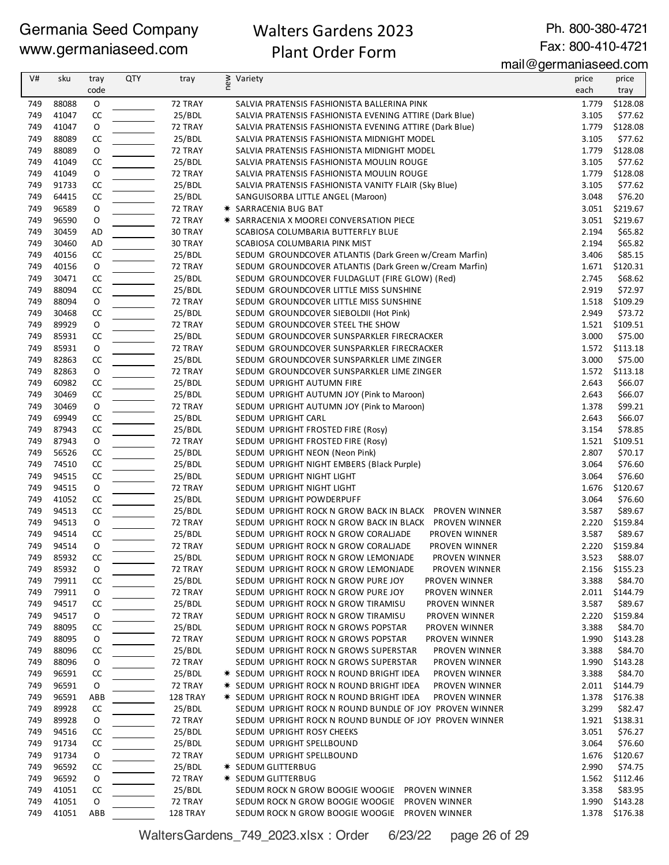## Walters Gardens 2023 Plant Order Form

Ph. 800-380-4721 Fax: 800-410-4721

mail@germaniaseed.com

| V#         | sku            | tray        | <b>QTY</b> | tray              | ≷ Variety<br>E                                                                                                      | price          | price               |
|------------|----------------|-------------|------------|-------------------|---------------------------------------------------------------------------------------------------------------------|----------------|---------------------|
|            |                | code        |            |                   |                                                                                                                     | each           | tray                |
| 749        | 88088          | $\mathsf O$ |            | 72 TRAY           | SALVIA PRATENSIS FASHIONISTA BALLERINA PINK                                                                         | 1.779          | \$128.08            |
| 749        | 41047          | CC          |            | 25/BDL            | SALVIA PRATENSIS FASHIONISTA EVENING ATTIRE (Dark Blue)                                                             | 3.105          | \$77.62             |
| 749        | 41047          | O           |            | 72 TRAY           | SALVIA PRATENSIS FASHIONISTA EVENING ATTIRE (Dark Blue)                                                             | 1.779          | \$128.08            |
| 749        | 88089          | CC          |            | 25/BDL            | SALVIA PRATENSIS FASHIONISTA MIDNIGHT MODEL                                                                         | 3.105          | \$77.62             |
| 749        | 88089          | O           |            | 72 TRAY           | SALVIA PRATENSIS FASHIONISTA MIDNIGHT MODEL                                                                         | 1.779          | \$128.08            |
| 749        | 41049          | CC          |            | 25/BDL            | SALVIA PRATENSIS FASHIONISTA MOULIN ROUGE                                                                           | 3.105          | \$77.62             |
| 749        | 41049          | O           |            | 72 TRAY           | SALVIA PRATENSIS FASHIONISTA MOULIN ROUGE                                                                           | 1.779          | \$128.08            |
| 749        | 91733          | CC          |            | 25/BDL            | SALVIA PRATENSIS FASHIONISTA VANITY FLAIR (Sky Blue)                                                                | 3.105          | \$77.62             |
| 749        | 64415          | CC          |            | 25/BDL            | SANGUISORBA LITTLE ANGEL (Maroon)                                                                                   | 3.048          | \$76.20             |
| 749        | 96589          | O           |            | 72 TRAY           | * SARRACENIA BUG BAT                                                                                                | 3.051          | \$219.67            |
| 749        | 96590          | O           |            | 72 TRAY           | <b>★ SARRACENIA X MOOREI CONVERSATION PIECE</b>                                                                     | 3.051          | \$219.67            |
| 749        | 30459          | AD          |            | 30 TRAY           | SCABIOSA COLUMBARIA BUTTERFLY BLUE                                                                                  | 2.194          | \$65.82             |
| 749<br>749 | 30460<br>40156 | AD<br>CC    |            | 30 TRAY           | SCABIOSA COLUMBARIA PINK MIST<br>SEDUM GROUNDCOVER ATLANTIS (Dark Green w/Cream Marfin)                             | 2.194<br>3.406 | \$65.82             |
| 749        | 40156          | O           |            | 25/BDL<br>72 TRAY |                                                                                                                     |                | \$85.15<br>\$120.31 |
| 749        | 30471          | CC          |            | 25/BDL            | SEDUM GROUNDCOVER ATLANTIS (Dark Green w/Cream Marfin)<br>SEDUM GROUNDCOVER FULDAGLUT (FIRE GLOW) (Red)             | 1.671<br>2.745 | \$68.62             |
| 749        | 88094          | CC          |            | 25/BDL            | SEDUM GROUNDCOVER LITTLE MISS SUNSHINE                                                                              | 2.919          | \$72.97             |
| 749        | 88094          | O           |            | 72 TRAY           | SEDUM GROUNDCOVER LITTLE MISS SUNSHINE                                                                              | 1.518          | \$109.29            |
| 749        | 30468          | CC          |            | 25/BDL            | SEDUM GROUNDCOVER SIEBOLDII (Hot Pink)                                                                              | 2.949          | \$73.72             |
| 749        | 89929          | O           |            | 72 TRAY           | SEDUM GROUNDCOVER STEEL THE SHOW                                                                                    | 1.521          | \$109.51            |
| 749        | 85931          | CC          |            | 25/BDL            | SEDUM GROUNDCOVER SUNSPARKLER FIRECRACKER                                                                           | 3.000          | \$75.00             |
| 749        | 85931          | O           |            | 72 TRAY           | SEDUM GROUNDCOVER SUNSPARKLER FIRECRACKER                                                                           |                | 1.572 \$113.18      |
| 749        | 82863          | CC          |            | 25/BDL            | SEDUM GROUNDCOVER SUNSPARKLER LIME ZINGER                                                                           | 3.000          | \$75.00             |
| 749        | 82863          | O           |            | 72 TRAY           | SEDUM GROUNDCOVER SUNSPARKLER LIME ZINGER                                                                           |                | 1.572 \$113.18      |
| 749        | 60982          | CC          |            | 25/BDL            | SEDUM UPRIGHT AUTUMN FIRE                                                                                           | 2.643          | \$66.07             |
| 749        | 30469          | CC          |            | 25/BDL            | SEDUM UPRIGHT AUTUMN JOY (Pink to Maroon)                                                                           | 2.643          | \$66.07             |
| 749        | 30469          | O           |            | 72 TRAY           | SEDUM UPRIGHT AUTUMN JOY (Pink to Maroon)                                                                           | 1.378          | \$99.21             |
| 749        | 69949          | CC          |            | 25/BDL            | SEDUM UPRIGHT CARL                                                                                                  | 2.643          | \$66.07             |
| 749        | 87943          | CC          |            | 25/BDL            | SEDUM UPRIGHT FROSTED FIRE (Rosy)                                                                                   | 3.154          | \$78.85             |
| 749        | 87943          | O           |            | 72 TRAY           | SEDUM UPRIGHT FROSTED FIRE (Rosy)                                                                                   | 1.521          | \$109.51            |
| 749        | 56526          | CC          |            | 25/BDL            | SEDUM UPRIGHT NEON (Neon Pink)                                                                                      | 2.807          | \$70.17             |
| 749        | 74510          | CC          |            | 25/BDL            | SEDUM UPRIGHT NIGHT EMBERS (Black Purple)                                                                           | 3.064          | \$76.60             |
| 749        | 94515          | CC          |            | 25/BDL            | SEDUM UPRIGHT NIGHT LIGHT                                                                                           | 3.064          | \$76.60             |
| 749        | 94515          | O           |            | 72 TRAY           | SEDUM UPRIGHT NIGHT LIGHT                                                                                           | 1.676          | \$120.67            |
| 749        | 41052          | CC          |            | 25/BDL            | SEDUM UPRIGHT POWDERPUFF                                                                                            | 3.064          | \$76.60             |
| 749        | 94513          | CC          |            | 25/BDL            | SEDUM UPRIGHT ROCK N GROW BACK IN BLACK PROVEN WINNER                                                               | 3.587          | \$89.67             |
| 749        | 94513          | O           |            | 72 TRAY           | SEDUM UPRIGHT ROCK N GROW BACK IN BLACK PROVEN WINNER                                                               | 2.220          | \$159.84            |
| 749<br>749 | 94514<br>94514 | CC<br>O     |            | 25/BDL<br>72 TRAY | SEDUM UPRIGHT ROCK N GROW CORALIADE<br>PROVEN WINNER<br>SEDUM UPRIGHT ROCK N GROW CORALIADE<br><b>PROVEN WINNER</b> | 3.587<br>2.220 | \$89.67<br>\$159.84 |
| 749        | 85932          | CC          |            | 25/BDL            |                                                                                                                     | 3.523          | \$88.07             |
| 749        | 85932          | O           |            | 72 TRAY           | SEDUM UPRIGHT ROCK N GROW LEMONJADE<br>PROVEN WINNER<br>SEDUM UPRIGHT ROCK N GROW LEMONJADE<br>PROVEN WINNER        | 2.156          | \$155.23            |
| 749        | 79911          | CC          |            | 25/BDL            | SEDUM UPRIGHT ROCK N GROW PURE JOY<br>PROVEN WINNER                                                                 | 3.388          | \$84.70             |
| 749        | 79911          | O           |            | 72 TRAY           | SEDUM UPRIGHT ROCK N GROW PURE JOY<br>PROVEN WINNER                                                                 | 2.011          | \$144.79            |
| 749        | 94517          | CC          |            | 25/BDL            | SEDUM UPRIGHT ROCK N GROW TIRAMISU<br>PROVEN WINNER                                                                 | 3.587          | \$89.67             |
| 749        | 94517          | O           |            | 72 TRAY           | SEDUM UPRIGHT ROCK N GROW TIRAMISU<br>PROVEN WINNER                                                                 | 2.220          | \$159.84            |
| 749        | 88095          | CC          |            | 25/BDL            | SEDUM UPRIGHT ROCK N GROWS POPSTAR<br>PROVEN WINNER                                                                 | 3.388          | \$84.70             |
| 749        | 88095          | 0           |            | 72 TRAY           | SEDUM UPRIGHT ROCK N GROWS POPSTAR<br>PROVEN WINNER                                                                 | 1.990          | \$143.28            |
| 749        | 88096          | CC          |            | 25/BDL            | SEDUM UPRIGHT ROCK N GROWS SUPERSTAR<br>PROVEN WINNER                                                               | 3.388          | \$84.70             |
| 749        | 88096          | 0           |            | 72 TRAY           | SEDUM UPRIGHT ROCK N GROWS SUPERSTAR<br>PROVEN WINNER                                                               | 1.990          | \$143.28            |
| 749        | 96591          | CC          |            | 25/BDL            | <b>★ SEDUM UPRIGHT ROCK N ROUND BRIGHT IDEA</b><br>PROVEN WINNER                                                    | 3.388          | \$84.70             |
| 749        | 96591          | 0           |            | 72 TRAY           | * SEDUM UPRIGHT ROCK N ROUND BRIGHT IDEA<br>PROVEN WINNER                                                           | 2.011          | \$144.79            |
| 749        | 96591          | <b>ABB</b>  |            | 128 TRAY          | * SEDUM UPRIGHT ROCK N ROUND BRIGHT IDEA<br>PROVEN WINNER                                                           | 1.378          | \$176.38            |
| 749        | 89928          | CC          |            | 25/BDL            | SEDUM UPRIGHT ROCK N ROUND BUNDLE OF JOY PROVEN WINNER                                                              | 3.299          | \$82.47             |
| 749        | 89928          | O           |            | 72 TRAY           | SEDUM UPRIGHT ROCK N ROUND BUNDLE OF JOY PROVEN WINNER                                                              | 1.921          | \$138.31            |
| 749        | 94516          | CC          |            | 25/BDL            | SEDUM UPRIGHT ROSY CHEEKS                                                                                           | 3.051          | \$76.27             |
| 749        | 91734          | CC          |            | 25/BDL            | SEDUM UPRIGHT SPELLBOUND                                                                                            | 3.064          | \$76.60             |
| 749        | 91734          | 0           |            | 72 TRAY           | SEDUM UPRIGHT SPELLBOUND                                                                                            | 1.676          | \$120.67            |
| 749        | 96592          | CC          |            | 25/BDL            | <b>★ SEDUM GLITTERBUG</b>                                                                                           | 2.990          | \$74.75             |
| 749        | 96592          | 0           |            | 72 TRAY           | <b>★ SEDUM GLITTERBUG</b>                                                                                           | 1.562          | \$112.46            |
| 749        | 41051          | CC          |            | 25/BDL            | SEDUM ROCK N GROW BOOGIE WOOGIE PROVEN WINNER                                                                       | 3.358          | \$83.95             |
| 749        | 41051          | O           |            | 72 TRAY           | SEDUM ROCK N GROW BOOGIE WOOGIE PROVEN WINNER                                                                       | 1.990          | \$143.28            |
| 749        | 41051          | ABB         |            | 128 TRAY          | SEDUM ROCK N GROW BOOGIE WOOGIE PROVEN WINNER                                                                       | 1.378          | \$176.38            |

WaltersGardens\_749\_2023.xlsx : Order 6/23/22 page 26 of 29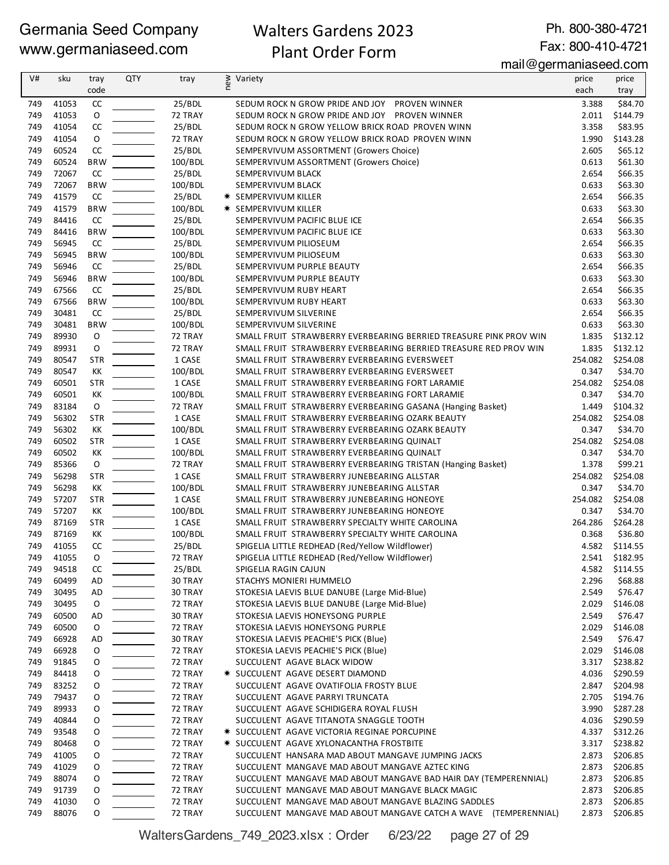## Walters Gardens 2023 Plant Order Form

Ph. 800-380-4721 Fax: 800-410-4721

mail@germaniaseed.com

| V#         | sku            | tray             | <b>QTY</b> | tray              | ≷ Variety<br>E                                                                           | price            | price               |
|------------|----------------|------------------|------------|-------------------|------------------------------------------------------------------------------------------|------------------|---------------------|
|            |                | code             |            |                   |                                                                                          | each             | tray                |
| 749        | 41053          | CC               |            | 25/BDL            | SEDUM ROCK N GROW PRIDE AND JOY PROVEN WINNER                                            | 3.388            | \$84.70             |
| 749        | 41053          | $\circ$          |            | 72 TRAY           | SEDUM ROCK N GROW PRIDE AND JOY PROVEN WINNER                                            | 2.011            | \$144.79            |
| 749        | 41054          | CC               |            | 25/BDL            | SEDUM ROCK N GROW YELLOW BRICK ROAD PROVEN WINN                                          | 3.358            | \$83.95             |
| 749        | 41054          | O                |            | 72 TRAY           | SEDUM ROCK N GROW YELLOW BRICK ROAD PROVEN WINN                                          | 1.990            | \$143.28            |
| 749        | 60524          | CC               |            | 25/BDL            | SEMPERVIVUM ASSORTMENT (Growers Choice)                                                  | 2.605            | \$65.12             |
| 749        | 60524          | <b>BRW</b>       |            | 100/BDL           | SEMPERVIVUM ASSORTMENT (Growers Choice)                                                  | 0.613            | \$61.30             |
| 749        | 72067          | CC               |            | 25/BDL            | SEMPERVIVUM BLACK                                                                        | 2.654            | \$66.35             |
| 749        | 72067          | <b>BRW</b>       |            | 100/BDL           | SEMPERVIVUM BLACK                                                                        | 0.633            | \$63.30             |
| 749        | 41579<br>41579 | CC<br><b>BRW</b> |            | 25/BDL            | <b>★ SEMPERVIVUM KILLER</b>                                                              | 2.654            | \$66.35             |
| 749<br>749 | 84416          | CC               |            | 100/BDL<br>25/BDL | <b>★ SEMPERVIVUM KILLER</b><br>SEMPERVIVUM PACIFIC BLUE ICE                              | 0.633<br>2.654   | \$63.30<br>\$66.35  |
| 749        | 84416          | <b>BRW</b>       |            | 100/BDL           | SEMPERVIVUM PACIFIC BLUE ICE                                                             | 0.633            | \$63.30             |
| 749        | 56945          | CC               |            | 25/BDL            | SEMPERVIVUM PILIOSEUM                                                                    | 2.654            | \$66.35             |
| 749        | 56945          | <b>BRW</b>       |            | 100/BDL           | SEMPERVIVUM PILIOSEUM                                                                    | 0.633            | \$63.30             |
| 749        | 56946          | CC               |            | 25/BDL            | SEMPERVIVUM PURPLE BEAUTY                                                                | 2.654            | \$66.35             |
| 749        | 56946          | <b>BRW</b>       |            | 100/BDL           | SEMPERVIVUM PURPLE BEAUTY                                                                | 0.633            | \$63.30             |
| 749        | 67566          | CC               |            | 25/BDL            | SEMPERVIVUM RUBY HEART                                                                   | 2.654            | \$66.35             |
| 749        | 67566          | <b>BRW</b>       |            | 100/BDL           | SEMPERVIVUM RUBY HEART                                                                   | 0.633            | \$63.30             |
| 749        | 30481          | CC               |            | 25/BDL            | SEMPERVIVUM SILVERINE                                                                    | 2.654            | \$66.35             |
| 749        | 30481          | <b>BRW</b>       |            | 100/BDL           | SEMPERVIVUM SILVERINE                                                                    | 0.633            | \$63.30             |
| 749        | 89930          | 0                |            | 72 TRAY           | SMALL FRUIT STRAWBERRY EVERBEARING BERRIED TREASURE PINK PROV WIN                        | 1.835            | \$132.12            |
| 749        | 89931          | O                |            | 72 TRAY           | SMALL FRUIT STRAWBERRY EVERBEARING BERRIED TREASURE RED PROV WIN                         | 1.835            | \$132.12            |
| 749        | 80547          | <b>STR</b>       |            | 1 CASE            | SMALL FRUIT STRAWBERRY EVERBEARING EVERSWEET                                             | 254.082          | \$254.08            |
| 749        | 80547          | KK               |            | 100/BDL           | SMALL FRUIT STRAWBERRY EVERBEARING EVERSWEET                                             | 0.347            | \$34.70             |
| 749        | 60501          | <b>STR</b>       |            | 1 CASE            | SMALL FRUIT STRAWBERRY EVERBEARING FORT LARAMIE                                          | 254.082          | \$254.08            |
| 749        | 60501          | KK               |            | 100/BDL           | SMALL FRUIT STRAWBERRY EVERBEARING FORT LARAMIE                                          | 0.347            | \$34.70             |
| 749        | 83184          | 0                |            | 72 TRAY           | SMALL FRUIT STRAWBERRY EVERBEARING GASANA (Hanging Basket)                               | 1.449            | \$104.32            |
| 749        | 56302          | <b>STR</b>       |            | 1 CASE            | SMALL FRUIT STRAWBERRY EVERBEARING OZARK BEAUTY                                          | 254.082          | \$254.08            |
| 749        | 56302          | КK               |            | 100/BDL           | SMALL FRUIT STRAWBERRY EVERBEARING OZARK BEAUTY                                          | 0.347            | \$34.70             |
| 749        | 60502          | <b>STR</b>       |            | 1 CASE            | SMALL FRUIT STRAWBERRY EVERBEARING QUINALT                                               | 254.082          | \$254.08            |
| 749        | 60502          | KK               |            | 100/BDL           | SMALL FRUIT STRAWBERRY EVERBEARING QUINALT                                               | 0.347            | \$34.70             |
| 749        | 85366          | $\mathsf O$      |            | 72 TRAY           | SMALL FRUIT STRAWBERRY EVERBEARING TRISTAN (Hanging Basket)                              | 1.378            | \$99.21             |
| 749        | 56298          | <b>STR</b>       |            | 1 CASE            | SMALL FRUIT STRAWBERRY JUNEBEARING ALLSTAR                                               | 254.082          | \$254.08            |
| 749        | 56298          | КK               |            | 100/BDL           | SMALL FRUIT STRAWBERRY JUNEBEARING ALLSTAR                                               | 0.347            | \$34.70             |
| 749<br>749 | 57207<br>57207 | <b>STR</b><br>KK |            | 1 CASE<br>100/BDL | SMALL FRUIT STRAWBERRY JUNEBEARING HONEOYE<br>SMALL FRUIT STRAWBERRY JUNEBEARING HONEOYE | 254.082          | \$254.08<br>\$34.70 |
| 749        | 87169          | <b>STR</b>       |            | 1 CASE            | SMALL FRUIT STRAWBERRY SPECIALTY WHITE CAROLINA                                          | 0.347<br>264.286 | \$264.28            |
| 749        | 87169          | КK               |            | 100/BDL           | SMALL FRUIT STRAWBERRY SPECIALTY WHITE CAROLINA                                          | 0.368            | \$36.80             |
| 749        | 41055          | CC               |            | 25/BDL            | SPIGELIA LITTLE REDHEAD (Red/Yellow Wildflower)                                          | 4.582            | \$114.55            |
| 749        | 41055          | $\Omega$         |            | 72 TRAY           | SPIGELIA LITTLE REDHEAD (Red/Yellow Wildflower)                                          | 2.541            | \$182.95            |
| 749        | 94518          | CC               |            | 25/BDL            | SPIGELIA RAGIN CAJUN                                                                     | 4.582            | \$114.55            |
| 749        | 60499          | AD               |            | 30 TRAY           | STACHYS MONIERI HUMMELO                                                                  | 2.296            | \$68.88             |
| 749        | 30495          | AD               |            | 30 TRAY           | STOKESIA LAEVIS BLUE DANUBE (Large Mid-Blue)                                             | 2.549            | \$76.47             |
| 749        | 30495          | 0                |            | 72 TRAY           | STOKESIA LAEVIS BLUE DANUBE (Large Mid-Blue)                                             | 2.029            | \$146.08            |
| 749        | 60500          | AD               |            | 30 TRAY           | STOKESIA LAEVIS HONEYSONG PURPLE                                                         | 2.549            | \$76.47             |
| 749        | 60500          | 0                |            | 72 TRAY           | STOKESIA LAEVIS HONEYSONG PURPLE                                                         | 2.029            | \$146.08            |
| 749        | 66928          | AD               |            | 30 TRAY           | STOKESIA LAEVIS PEACHIE'S PICK (Blue)                                                    | 2.549            | \$76.47             |
| 749        | 66928          | O                |            | 72 TRAY           | STOKESIA LAEVIS PEACHIE'S PICK (Blue)                                                    | 2.029            | \$146.08            |
| 749        | 91845          | 0                |            | 72 TRAY           | SUCCULENT AGAVE BLACK WIDOW                                                              | 3.317            | \$238.82            |
| 749        | 84418          | 0                |            | 72 TRAY           | * SUCCULENT AGAVE DESERT DIAMOND                                                         | 4.036            | \$290.59            |
| 749        | 83252          | 0                |            | 72 TRAY           | SUCCULENT AGAVE OVATIFOLIA FROSTY BLUE                                                   | 2.847            | \$204.98            |
| 749        | 79437          | 0                |            | 72 TRAY           | SUCCULENT AGAVE PARRYI TRUNCATA                                                          | 2.705            | \$194.76            |
| 749        | 89933          | 0                |            | 72 TRAY           | SUCCULENT AGAVE SCHIDIGERA ROYAL FLUSH                                                   | 3.990            | \$287.28            |
| 749        | 40844          | 0                |            | 72 TRAY           | SUCCULENT AGAVE TITANOTA SNAGGLE TOOTH                                                   | 4.036            | \$290.59            |
| 749        | 93548          | O                |            | 72 TRAY           | * SUCCULENT AGAVE VICTORIA REGINAE PORCUPINE                                             | 4.337            | \$312.26            |
| 749        | 80468          | O                |            | 72 TRAY           | * SUCCULENT AGAVE XYLONACANTHA FROSTBITE                                                 | 3.317            | \$238.82            |
| 749        | 41005          | 0                |            | 72 TRAY           | SUCCULENT HANSARA MAD ABOUT MANGAVE JUMPING JACKS                                        | 2.873            | \$206.85            |
| 749        | 41029          | 0                |            | 72 TRAY           | SUCCULENT MANGAVE MAD ABOUT MANGAVE AZTEC KING                                           | 2.873            | \$206.85            |
| 749        | 88074          | 0                |            | 72 TRAY           | SUCCULENT MANGAVE MAD ABOUT MANGAVE BAD HAIR DAY (TEMPERENNIAL)                          | 2.873            | \$206.85            |
| 749        | 91739          | 0                |            | 72 TRAY           | SUCCULENT MANGAVE MAD ABOUT MANGAVE BLACK MAGIC                                          | 2.873            | \$206.85            |
| 749        | 41030          | O                |            | 72 TRAY           | SUCCULENT MANGAVE MAD ABOUT MANGAVE BLAZING SADDLES                                      | 2.873            | \$206.85            |
| 749        | 88076          | 0                |            | 72 TRAY           | SUCCULENT MANGAVE MAD ABOUT MANGAVE CATCH A WAVE (TEMPERENNIAL)                          | 2.873            | \$206.85            |

WaltersGardens\_749\_2023.xlsx : Order 6/23/22 page 27 of 29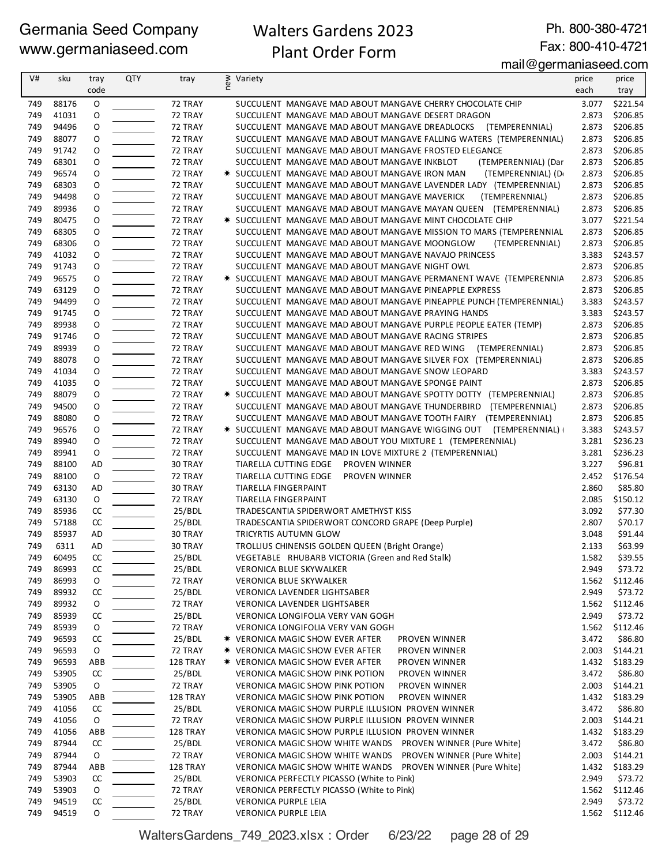## Walters Gardens 2023 Plant Order Form

Ph. 800-380-4721 Fax: 800-410-4721

#### mail@germaniaseed.com

| V#         | sku            | tray       | QTY | tray               | new | Variety                                                                                                                     | price          | price                |
|------------|----------------|------------|-----|--------------------|-----|-----------------------------------------------------------------------------------------------------------------------------|----------------|----------------------|
|            |                | code       |     |                    |     |                                                                                                                             | each           | tray                 |
| 749        | 88176          | O          |     | 72 TRAY            |     | SUCCULENT MANGAVE MAD ABOUT MANGAVE CHERRY CHOCOLATE CHIP                                                                   | 3.077          | \$221.54             |
| 749        | 41031          | 0          |     | 72 TRAY            |     | SUCCULENT MANGAVE MAD ABOUT MANGAVE DESERT DRAGON                                                                           | 2.873          | \$206.85             |
| 749        | 94496          | 0          |     | 72 TRAY            |     | SUCCULENT MANGAVE MAD ABOUT MANGAVE DREADLOCKS (TEMPERENNIAL)                                                               | 2.873          | \$206.85             |
| 749        | 88077          | 0          |     | 72 TRAY            |     | SUCCULENT MANGAVE MAD ABOUT MANGAVE FALLING WATERS (TEMPERENNIAL)                                                           | 2.873          | \$206.85             |
| 749        | 91742          | 0          |     | 72 TRAY            |     | SUCCULENT MANGAVE MAD ABOUT MANGAVE FROSTED ELEGANCE                                                                        | 2.873          | \$206.85             |
| 749        | 68301          | 0          |     | 72 TRAY            |     | SUCCULENT MANGAVE MAD ABOUT MANGAVE INKBLOT<br>(TEMPERENNIAL) (Dar                                                          | 2.873          | \$206.85             |
| 749        | 96574          | 0          |     | 72 TRAY            |     | (TEMPERENNIAL) (D<br>* SUCCULENT MANGAVE MAD ABOUT MANGAVE IRON MAN                                                         | 2.873          | \$206.85             |
| 749        | 68303          | O          |     | 72 TRAY            |     | SUCCULENT MANGAVE MAD ABOUT MANGAVE LAVENDER LADY (TEMPERENNIAL)                                                            | 2.873          | \$206.85             |
| 749<br>749 | 94498          | O          |     | 72 TRAY            |     | SUCCULENT MANGAVE MAD ABOUT MANGAVE MAVERICK<br>(TEMPERENNIAL)                                                              | 2.873          | \$206.85             |
| 749        | 89936<br>80475 | 0<br>0     |     | 72 TRAY<br>72 TRAY |     | SUCCULENT MANGAVE MAD ABOUT MANGAVE MAYAN QUEEN (TEMPERENNIAL)<br>* SUCCULENT MANGAVE MAD ABOUT MANGAVE MINT CHOCOLATE CHIP | 2.873<br>3.077 | \$206.85<br>\$221.54 |
| 749        | 68305          | 0          |     | 72 TRAY            |     | SUCCULENT MANGAVE MAD ABOUT MANGAVE MISSION TO MARS (TEMPERENNIAL                                                           | 2.873          | \$206.85             |
| 749        | 68306          | 0          |     | 72 TRAY            |     | SUCCULENT MANGAVE MAD ABOUT MANGAVE MOONGLOW<br>(TEMPERENNIAL)                                                              | 2.873          | \$206.85             |
| 749        | 41032          | O          |     | 72 TRAY            |     | SUCCULENT MANGAVE MAD ABOUT MANGAVE NAVAJO PRINCESS                                                                         | 3.383          | \$243.57             |
| 749        | 91743          | 0          |     | 72 TRAY            |     | SUCCULENT MANGAVE MAD ABOUT MANGAVE NIGHT OWL                                                                               | 2.873          | \$206.85             |
| 749        | 96575          | 0          |     | 72 TRAY            |     | * SUCCULENT MANGAVE MAD ABOUT MANGAVE PERMANENT WAVE (TEMPERENNIA                                                           | 2.873          | \$206.85             |
| 749        | 63129          | 0          |     | 72 TRAY            |     | SUCCULENT MANGAVE MAD ABOUT MANGAVE PINEAPPLE EXPRESS                                                                       | 2.873          | \$206.85             |
| 749        | 94499          | O          |     | 72 TRAY            |     | SUCCULENT MANGAVE MAD ABOUT MANGAVE PINEAPPLE PUNCH (TEMPERENNIAL)                                                          | 3.383          | \$243.57             |
| 749        | 91745          | 0          |     | 72 TRAY            |     | SUCCULENT MANGAVE MAD ABOUT MANGAVE PRAYING HANDS                                                                           | 3.383          | \$243.57             |
| 749        | 89938          | 0          |     | 72 TRAY            |     | SUCCULENT MANGAVE MAD ABOUT MANGAVE PURPLE PEOPLE EATER (TEMP)                                                              | 2.873          | \$206.85             |
| 749        | 91746          | 0          |     | 72 TRAY            |     | SUCCULENT MANGAVE MAD ABOUT MANGAVE RACING STRIPES                                                                          | 2.873          | \$206.85             |
| 749        | 89939          | 0          |     | 72 TRAY            |     | SUCCULENT MANGAVE MAD ABOUT MANGAVE RED WING (TEMPERENNIAL)                                                                 | 2.873          | \$206.85             |
| 749        | 88078          | 0          |     | 72 TRAY            |     | SUCCULENT MANGAVE MAD ABOUT MANGAVE SILVER FOX (TEMPERENNIAL)                                                               | 2.873          | \$206.85             |
| 749        | 41034          | 0          |     | 72 TRAY            |     | SUCCULENT MANGAVE MAD ABOUT MANGAVE SNOW LEOPARD                                                                            | 3.383          | \$243.57             |
| 749        | 41035          | 0          |     | 72 TRAY            |     | SUCCULENT MANGAVE MAD ABOUT MANGAVE SPONGE PAINT                                                                            | 2.873          | \$206.85             |
| 749        | 88079          | 0          |     | 72 TRAY            |     | * SUCCULENT MANGAVE MAD ABOUT MANGAVE SPOTTY DOTTY (TEMPERENNIAL)                                                           | 2.873          | \$206.85             |
| 749        | 94500          | O          |     | 72 TRAY            |     | SUCCULENT MANGAVE MAD ABOUT MANGAVE THUNDERBIRD (TEMPERENNIAL)                                                              | 2.873          | \$206.85             |
| 749        | 88080          | 0          |     | 72 TRAY            |     | SUCCULENT MANGAVE MAD ABOUT MANGAVE TOOTH FAIRY (TEMPERENNIAL)                                                              | 2.873          | \$206.85             |
| 749        | 96576          | 0          |     | 72 TRAY            |     | * SUCCULENT MANGAVE MAD ABOUT MANGAVE WIGGING OUT (TEMPERENNIAL)                                                            | 3.383          | \$243.57             |
| 749        | 89940          | 0          |     | 72 TRAY            |     | SUCCULENT MANGAVE MAD ABOUT YOU MIXTURE 1 (TEMPERENNIAL)                                                                    | 3.281          | \$236.23             |
| 749        | 89941          | O          |     | 72 TRAY            |     | SUCCULENT MANGAVE MAD IN LOVE MIXTURE 2 (TEMPERENNIAL)                                                                      | 3.281          | \$236.23             |
| 749        | 88100          | AD         |     | 30 TRAY            |     | TIARELLA CUTTING EDGE PROVEN WINNER                                                                                         | 3.227          | \$96.81              |
| 749        | 88100          | 0          |     | 72 TRAY            |     | TIARELLA CUTTING EDGE<br>PROVEN WINNER                                                                                      | 2.452          | \$176.54             |
| 749<br>749 | 63130<br>63130 | AD<br>O    |     | 30 TRAY            |     | TIARELLA FINGERPAINT                                                                                                        | 2.860          | \$85.80<br>\$150.12  |
| 749        | 85936          | CC         |     | 72 TRAY<br>25/BDL  |     | TIARELLA FINGERPAINT<br>TRADESCANTIA SPIDERWORT AMETHYST KISS                                                               | 2.085<br>3.092 | \$77.30              |
| 749        | 57188          | CC         |     | 25/BDL             |     | TRADESCANTIA SPIDERWORT CONCORD GRAPE (Deep Purple)                                                                         | 2.807          | \$70.17              |
| 749        | 85937          | AD         |     | 30 TRAY            |     | <b>TRICYRTIS AUTUMN GLOW</b>                                                                                                | 3.048          | \$91.44              |
| 749        | 6311           | AD         |     | 30 TRAY            |     | TROLLIUS CHINENSIS GOLDEN QUEEN (Bright Orange)                                                                             | 2.133          | \$63.99              |
| 749        | 60495          | <b>CC</b>  |     | 25/BDL             |     | VEGETABLE RHUBARB VICTORIA (Green and Red Stalk)                                                                            | 1.582          | \$39.55              |
| 749        | 86993          | CC         |     | 25/BDL             |     | <b>VERONICA BLUE SKYWALKER</b>                                                                                              | 2.949          | \$73.72              |
| 749        | 86993          | O          |     | 72 TRAY            |     | <b>VERONICA BLUE SKYWALKER</b>                                                                                              | 1.562          | \$112.46             |
| 749        | 89932          | CC         |     | 25/BDL             |     | VERONICA LAVENDER LIGHTSABER                                                                                                | 2.949          | \$73.72              |
| 749        | 89932          | O          |     | 72 TRAY            |     | VERONICA LAVENDER LIGHTSABER                                                                                                | 1.562          | \$112.46             |
| 749        | 85939          | CC         |     | 25/BDL             |     | VERONICA LONGIFOLIA VERY VAN GOGH                                                                                           | 2.949          | \$73.72              |
| 749        | 85939          | 0          |     | 72 TRAY            |     | VERONICA LONGIFOLIA VERY VAN GOGH                                                                                           | 1.562          | \$112.46             |
| 749        | 96593          | CC         |     | 25/BDL             |     | <b>* VERONICA MAGIC SHOW EVER AFTER</b><br>PROVEN WINNER                                                                    | 3.472          | \$86.80              |
| 749        | 96593          | O          |     | 72 TRAY            |     | * VERONICA MAGIC SHOW EVER AFTER<br>PROVEN WINNER                                                                           | 2.003          | \$144.21             |
| 749        | 96593          | ABB        |     | 128 TRAY           |     | <b>* VERONICA MAGIC SHOW EVER AFTER</b><br>PROVEN WINNER                                                                    | 1.432          | \$183.29             |
| 749        | 53905          | CC         |     | 25/BDL             |     | VERONICA MAGIC SHOW PINK POTION<br>PROVEN WINNER                                                                            | 3.472          | \$86.80              |
| 749        | 53905          | 0          |     | 72 TRAY            |     | <b>VERONICA MAGIC SHOW PINK POTION</b><br>PROVEN WINNER                                                                     | 2.003          | \$144.21             |
| 749        | 53905          | <b>ABB</b> |     | 128 TRAY           |     | <b>VERONICA MAGIC SHOW PINK POTION</b><br>PROVEN WINNER                                                                     | 1.432          | \$183.29             |
| 749        | 41056          | CC         |     | 25/BDL             |     | VERONICA MAGIC SHOW PURPLE ILLUSION PROVEN WINNER                                                                           | 3.472          | \$86.80              |
| 749        | 41056          | O          |     | 72 TRAY            |     | VERONICA MAGIC SHOW PURPLE ILLUSION PROVEN WINNER                                                                           | 2.003          | \$144.21             |
| 749        | 41056          | ABB        |     | 128 TRAY           |     | VERONICA MAGIC SHOW PURPLE ILLUSION PROVEN WINNER                                                                           | 1.432          | \$183.29             |
| 749        | 87944          | CC         |     | 25/BDL             |     | VERONICA MAGIC SHOW WHITE WANDS<br>PROVEN WINNER (Pure White)                                                               | 3.472          | \$86.80              |
| 749        | 87944          | O          |     | 72 TRAY            |     | PROVEN WINNER (Pure White)<br>VERONICA MAGIC SHOW WHITE WANDS                                                               | 2.003          | \$144.21             |
| 749        | 87944          | ABB        |     | 128 TRAY           |     | VERONICA MAGIC SHOW WHITE WANDS PROVEN WINNER (Pure White)                                                                  | 1.432          | \$183.29             |
| 749        | 53903          | CC         |     | 25/BDL             |     | VERONICA PERFECTLY PICASSO (White to Pink)                                                                                  | 2.949          | \$73.72              |
| 749<br>749 | 53903<br>94519 | 0<br>CC    |     | 72 TRAY<br>25/BDL  |     | VERONICA PERFECTLY PICASSO (White to Pink)<br>VERONICA PURPLE LEIA                                                          | 1.562<br>2.949 | \$112.46<br>\$73.72  |
| 749        | 94519          | O          |     | 72 TRAY            |     | VERONICA PURPLE LEIA                                                                                                        | 1.562          | \$112.46             |
|            |                |            |     |                    |     |                                                                                                                             |                |                      |

WaltersGardens\_749\_2023.xlsx : Order 6/23/22 page 28 of 29